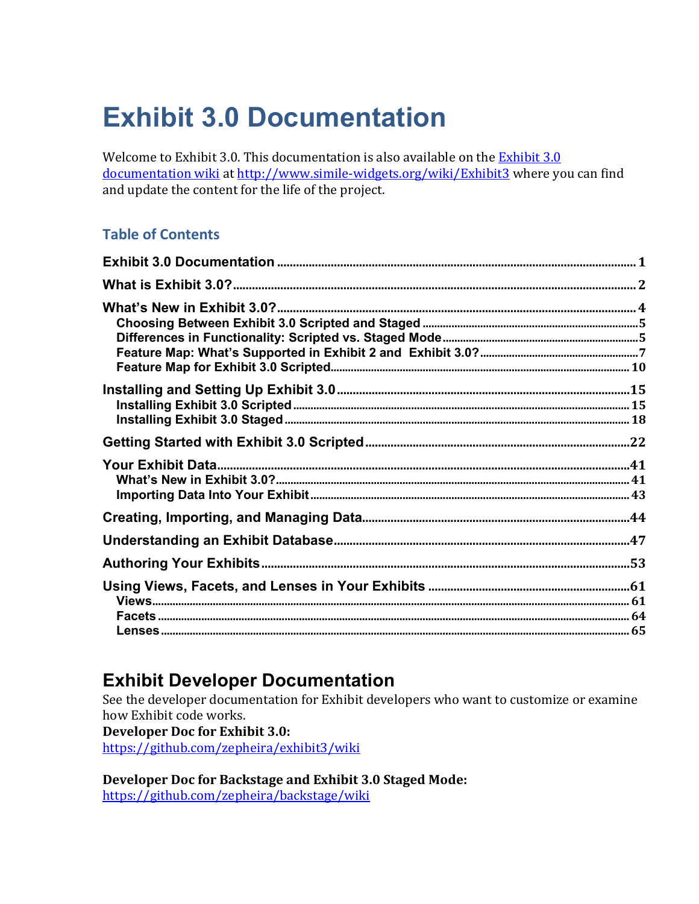# **Exhibit 3.0 Documentation**

Welcome to Exhibit 3.0. This documentation is also available on the Exhibit 3.0 documentation wiki at http://www.simile-widgets.org/wiki/Exhibit3 where you can find and update the content for the life of the project.

## **Table of Contents**

## **Exhibit Developer Documentation**

See the developer documentation for Exhibit developers who want to customize or examine how Exhibit code works.

**Developer Doc for Exhibit 3.0:** <https://github.com/zepheira/exhibit3/wiki>

**Developer Doc for Backstage and Exhibit 3.0 Staged Mode:** <https://github.com/zepheira/backstage/wiki>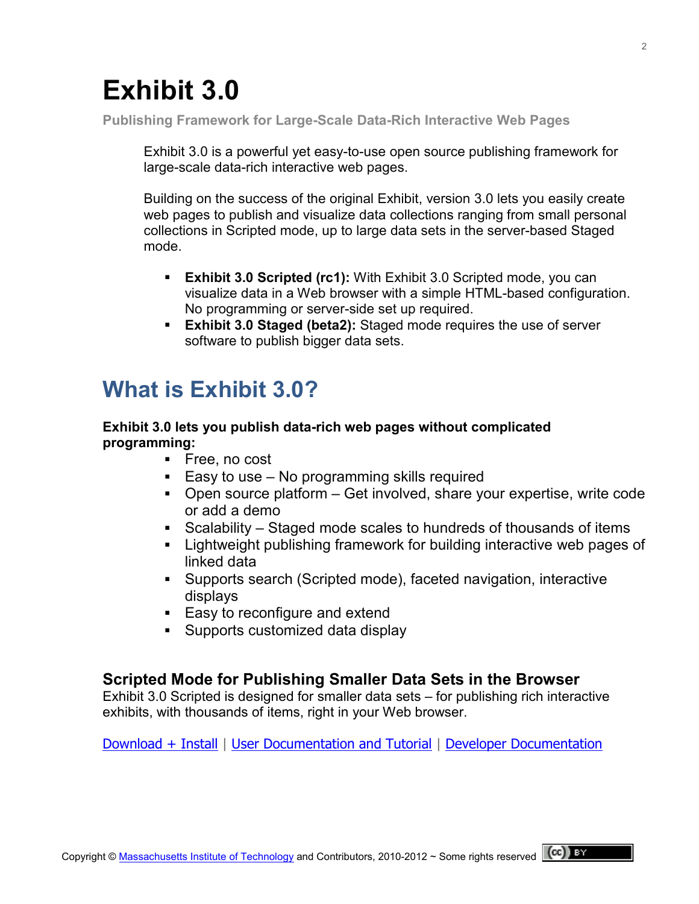# **Exhibit 3.0**

**Publishing Framework for Large-Scale Data-Rich Interactive Web Pages**

Exhibit 3.0 is a powerful yet easy-to-use open source publishing framework for large-scale data-rich interactive web pages.

Building on the success of the [original Exhibit,](http://www.simile-widgets.org/exhibit/) version 3.0 lets you easily create web pages to publish and visualize data collections ranging from small personal collections in Scripted mode, up to large data sets in the server-based Staged mode.

- **Exhibit 3.0 Scripted (rc1):** With Exhibit 3.0 Scripted mode, you can visualize data in a Web browser with a simple HTML-based configuration. No programming or server-side set up required.
- **Exhibit 3.0 Staged (beta2):** Staged mode requires the use of server software to publish bigger data sets.

# **What is Exhibit 3.0?**

#### **Exhibit 3.0 lets you publish data-rich web pages without complicated programming:**

- Free, no cost
- $\blacksquare$  Easy to use No programming skills required
- Open source platform Get involved, share your expertise, write code or add a demo
- Scalability Staged mode scales to hundreds of thousands of items
- Lightweight publishing framework for building interactive web pages of linked data
- Supports search (Scripted mode), faceted navigation, interactive displays
- Easy to reconfigure and extend
- **Supports customized data display**

### **Scripted Mode for Publishing Smaller Data Sets in the Browser**

Exhibit 3.0 Scripted is designed for smaller data sets – for publishing rich interactive exhibits, with thousands of items, right in your Web browser.

[Download + Install](https://github.com/zepheira/exhibit3/) | [User Documentation and Tutorial](http://simile-widgets.org/wiki/Exhibit3) | [Developer Documentation](https://github.com/zepheira/exhibit3/wiki)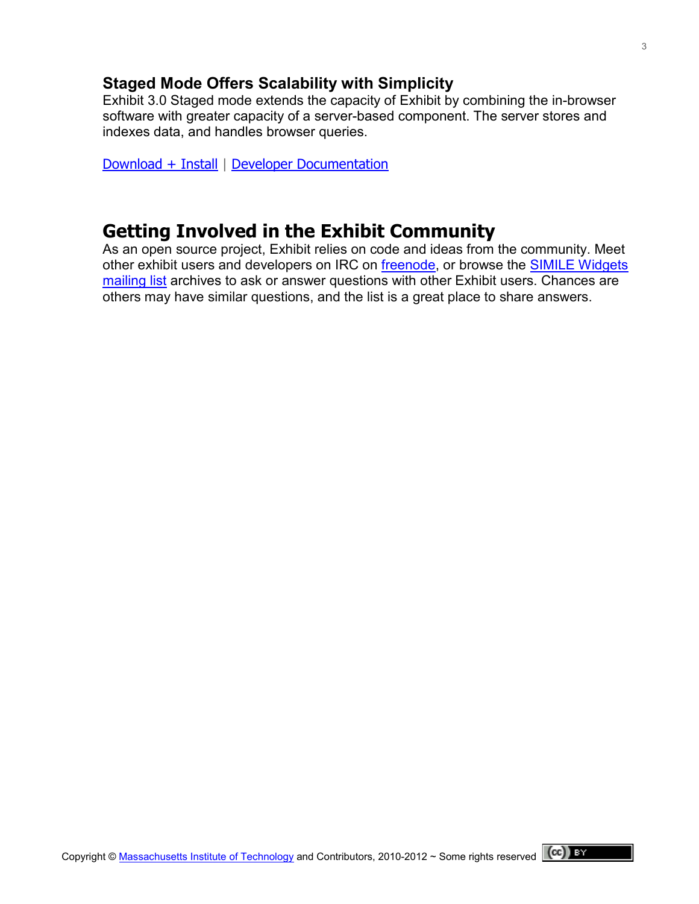### **Staged Mode Offers Scalability with Simplicity**

Exhibit 3.0 Staged mode extends the capacity of Exhibit by combining the in-browser software with greater capacity of a server-based component. The server stores and indexes data, and handles browser queries.

[Download + Install](https://github.com/zepheira/backstage/) | [Developer Documentation](https://github.com/zepheira/backstage/wiki)

## **Getting Involved in the Exhibit Community**

As an open source project, Exhibit relies on code and ideas from the community. Meet other exhibit users and developers on IRC on [freenode,](irc://irc.freenode:6667/#exhibit3) or browse the [SIMILE Widgets](http://groups.google.com/group/simile-widgets)  [mailing list](http://groups.google.com/group/simile-widgets) archives to ask or answer questions with other Exhibit users. Chances are others may have similar questions, and the list is a great place to share answers.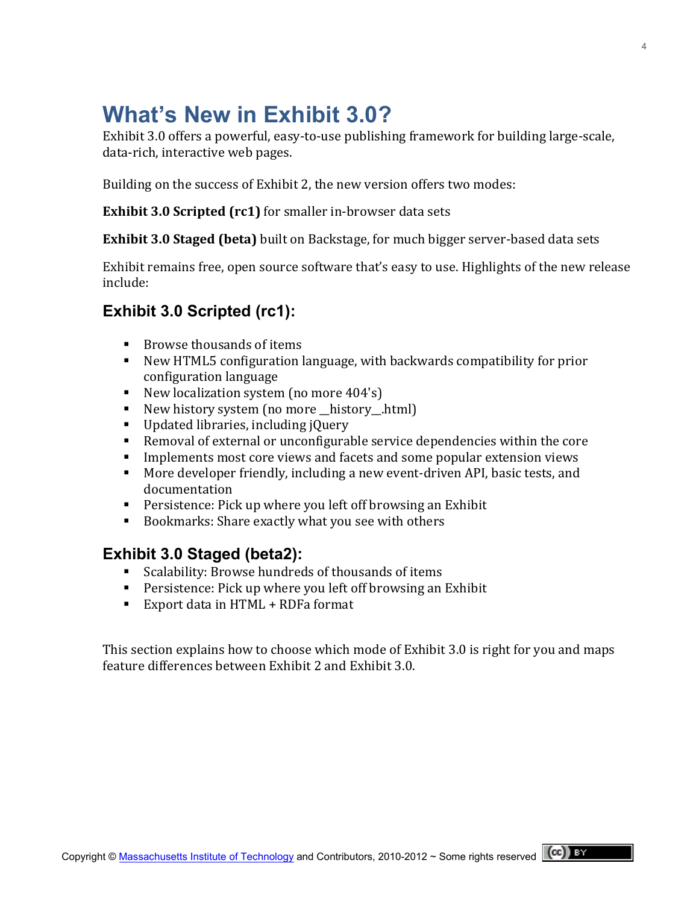# **What's New in Exhibit 3.0?**

Exhibit 3.0 offers a powerful, easy-to-use publishing framework for building large-scale. data-rich, interactive web pages.

Building on the success of Exhibit 2, the new version offers two modes:

**Exhibit 3.0 Scripted (rc1)** for smaller in-browser data sets

**Exhibit 3.0 Staged (beta)** built on Backstage, for much bigger server-based data sets

Exhibit remains free, open source software that's easy to use. Highlights of the new release include:

## **Exhibit 3.0 Scripted (rc1):**

- $\blacksquare$  Browse thousands of items
- New HTML5 configuration language, with backwards compatibility for prior configuration language
- New localization system (no more  $404's$ )
- New history system (no more history .html)
- $\blacksquare$  Updated libraries, including jQuery
- Removal of external or unconfigurable service dependencies within the core
- Implements most core views and facets and some popular extension views
- More developer friendly, including a new event-driven API, basic tests, and documentation
- **Persistence: Pick up where you left off browsing an Exhibit**
- Bookmarks: Share exactly what you see with others

## **Exhibit 3.0 Staged (beta2):**

- Scalability: Browse hundreds of thousands of items
- **Persistence: Pick up where you left off browsing an Exhibit**
- Export data in  $HTML + RDFa$  format

This section explains how to choose which mode of Exhibit 3.0 is right for you and maps feature differences between Exhibit 2 and Exhibit 3.0.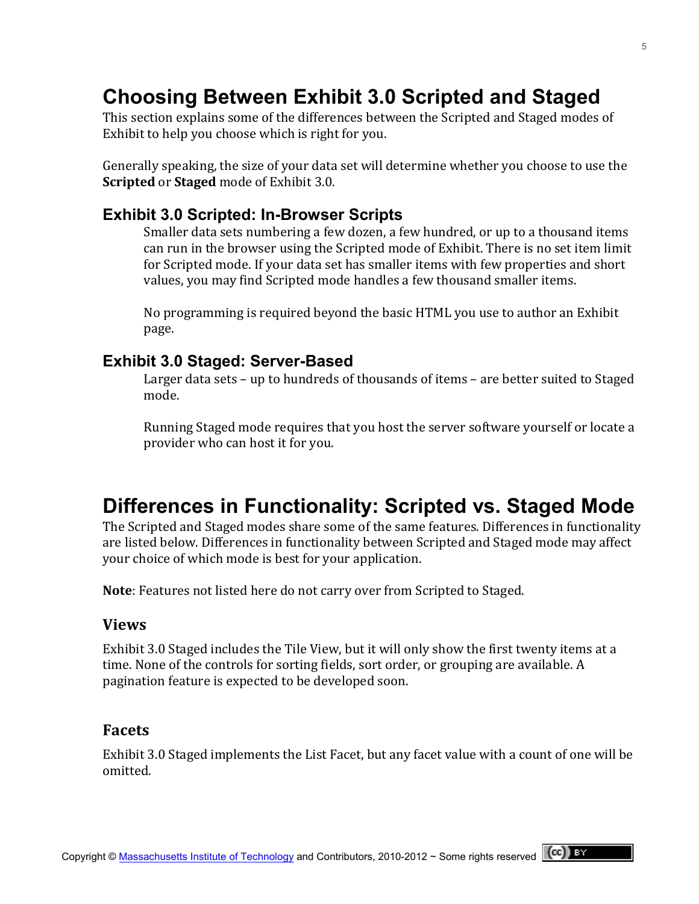# **Choosing Between Exhibit 3.0 Scripted and Staged**

This section explains some of the differences between the Scripted and Staged modes of Exhibit to help you choose which is right for you.

Generally speaking, the size of your data set will determine whether you choose to use the **Scripted** or **Staged** mode of Exhibit 3.0.

#### **Exhibit 3.0 Scripted: In-Browser Scripts**

Smaller data sets numbering a few dozen, a few hundred, or up to a thousand items can run in the browser using the Scripted mode of Exhibit. There is no set item limit for Scripted mode. If your data set has smaller items with few properties and short values, you may find Scripted mode handles a few thousand smaller items.

No programming is required beyond the basic HTML you use to author an Exhibit page.

#### **Exhibit 3.0 Staged: Server-Based**

Larger data sets – up to hundreds of thousands of items – are better suited to Staged mode.

Running Staged mode requires that you host the server software yourself or locate a provider who can host it for you.

## **Differences in Functionality: Scripted vs. Staged Mode**

The Scripted and Staged modes share some of the same features. Differences in functionality are listed below. Differences in functionality between Scripted and Staged mode may affect your choice of which mode is best for your application.

**Note**: Features not listed here do not carry over from Scripted to Staged.

#### **Views**

Exhibit 3.0 Staged includes the Tile View, but it will only show the first twenty items at a time. None of the controls for sorting fields, sort order, or grouping are available. A pagination feature is expected to be developed soon.

#### **Facets**

Exhibit 3.0 Staged implements the List Facet, but any facet value with a count of one will be omitted.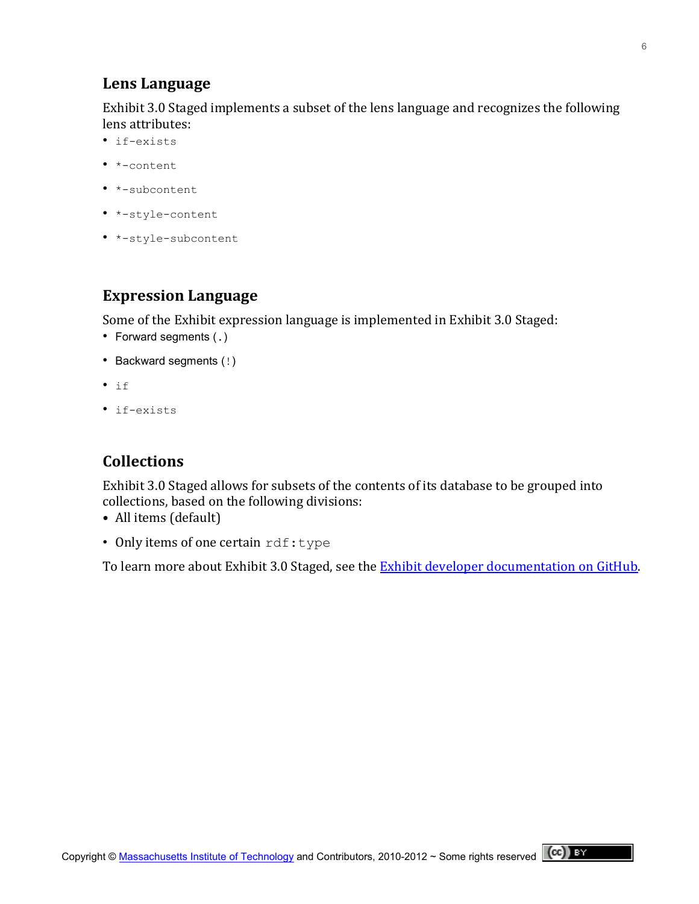### Lens Language

Exhibit 3.0 Staged implements a subset of the lens language and recognizes the following lens attributes:

- if-exists
- \*-content
- \*-subcontent
- \*-style-content
- \*-style-subcontent

## **Expression Language**

Some of the Exhibit expression language is implemented in Exhibit 3.0 Staged:

- Forward segments (.)
- Backward segments (!)
- if
- if-exists

## **Collections**

Exhibit 3.0 Staged allows for subsets of the contents of its database to be grouped into collections, based on the following divisions:

- All items (default)
- Only items of one certain rdf: type

To learn more about Exhibit 3.0 Staged, see the Exhibit developer documentation on GitHub.

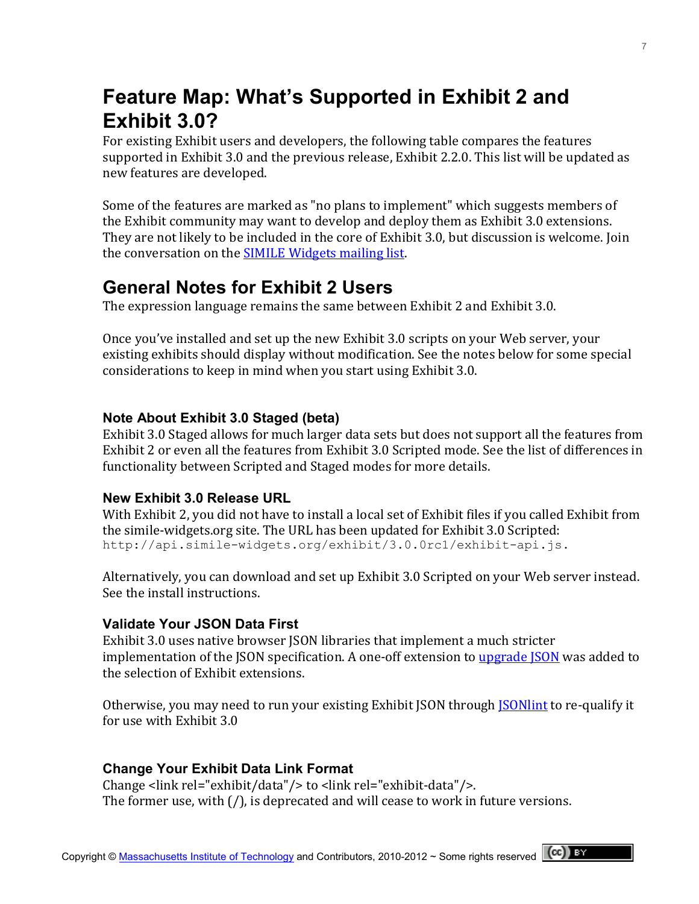# **Feature Map: What's Supported in Exhibit 2 and Exhibit 3.0?**

For existing Exhibit users and developers, the following table compares the features supported in Exhibit 3.0 and the previous release, Exhibit 2.2.0. This list will be updated as new features are developed.

Some of the features are marked as "no plans to implement" which suggests members of the Exhibit community may want to develop and deploy them as Exhibit 3.0 extensions. They are not likely to be included in the core of Exhibit 3.0, but discussion is welcome. Join the conversation on the **SIMILE Widgets mailing list**.

## **General Notes for Exhibit 2 Users**

The expression language remains the same between Exhibit 2 and Exhibit 3.0.

Once you've installed and set up the new Exhibit 3.0 scripts on your Web server, your existing exhibits should display without modification. See the notes below for some special considerations to keep in mind when you start using Exhibit 3.0.

### **Note About Exhibit 3.0 Staged (beta)**

Exhibit 3.0 Staged allows for much larger data sets but does not support all the features from Exhibit 2 or even all the features from Exhibit 3.0 Scripted mode. See the list of differences in functionality between Scripted and Staged modes for more details.

## **New Exhibit 3.0 Release URL**

With Exhibit 2, you did not have to install a local set of Exhibit files if you called Exhibit from the simile-widgets.org site. The URL has been updated for Exhibit 3.0 Scripted: http://api.simile-widgets.org/exhibit/3.0.0rc1/exhibit-api.js.

Alternatively, you can download and set up Exhibit 3.0 Scripted on your Web server instead. See the install instructions.

### **Validate Your JSON Data First**

Exhibit 3.0 uses native browser JSON libraries that implement a much stricter implementation of the JSON specification. A one-off extension to upgrade JSON was added to the selection of Exhibit extensions.

Otherwise, you may need to run your existing Exhibit JSON through **JSON interally** it it for use with Exhibit 3.0

## **Change Your Exhibit Data Link Format**

Change <link rel="exhibit/data"/> to <link rel="exhibit-data"/>. The former use, with  $($  /), is deprecated and will cease to work in future versions.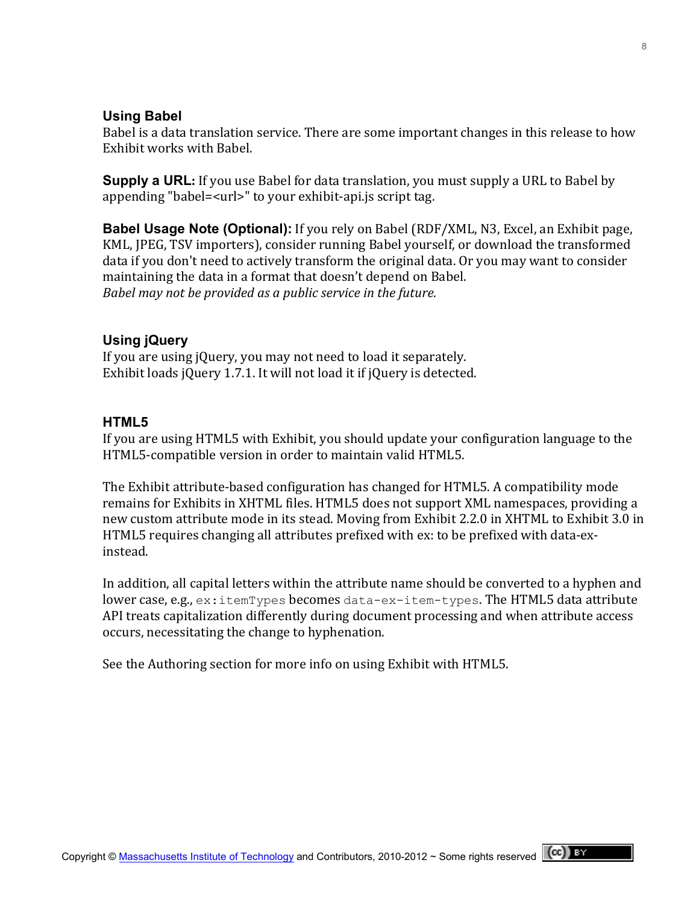#### **Using Babel**

Babel is a data translation service. There are some important changes in this release to how Exhibit works with Babel.

**Supply a URL**: If you use Babel for data translation, you must supply a URL to Babel by appending "babel=<url>" to your exhibit-api.js script tag.

**Babel Usage Note (Optional):** If you rely on Babel (RDF/XML, N3, Excel, an Exhibit page, KML, JPEG, TSV importers), consider running Babel yourself, or download the transformed data if you don't need to actively transform the original data. Or you may want to consider maintaining the data in a format that doesn't depend on Babel. Babel may not be provided as a public service in the future.

#### **Using jQuery**

If you are using jQuery, you may not need to load it separately. Exhibit loads jQuery 1.7.1. It will not load it if jQuery is detected.

#### **HTML5**

If you are using HTML5 with Exhibit, you should update your configuration language to the HTML5-compatible version in order to maintain valid HTML5.

The Exhibit attribute-based configuration has changed for HTML5. A compatibility mode remains for Exhibits in XHTML files. HTML5 does not support XML namespaces, providing a new custom attribute mode in its stead. Moving from Exhibit 2.2.0 in XHTML to Exhibit 3.0 in HTML5 requires changing all attributes prefixed with ex: to be prefixed with data-exinstead.

In addition, all capital letters within the attribute name should be converted to a hyphen and lower case, e.g.,  $ex:$ itemTypes becomes data-ex-item-types. The HTML5 data attribute API treats capitalization differently during document processing and when attribute access occurs, necessitating the change to hyphenation.

See the Authoring section for more info on using Exhibit with HTML5.

8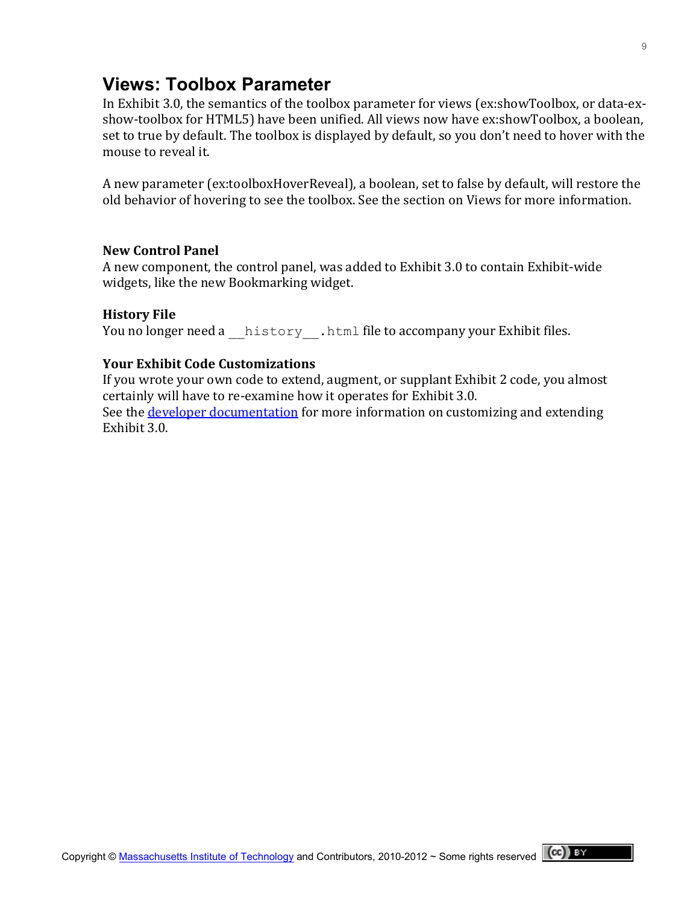## **Views: Toolbox Parameter**

In Exhibit 3.0, the semantics of the toolbox parameter for views (ex:showToolbox, or data-exshow-toolbox for HTML5) have been unified. All views now have ex:showToolbox, a boolean, set to true by default. The toolbox is displayed by default, so you don't need to hover with the mouse to reveal it.

A new parameter (ex:toolboxHoverReveal), a boolean, set to false by default, will restore the old behavior of hovering to see the toolbox. See the section on Views for more information.

#### **New!Control!Panel**

A new component, the control panel, was added to Exhibit 3.0 to contain Exhibit-wide widgets, like the new Bookmarking widget.

#### **History File**

You no longer need a history .html file to accompany your Exhibit files.

#### **Your Exhibit Code Customizations**

If you wrote your own code to extend, augment, or supplant Exhibit 2 code, you almost certainly will have to re-examine how it operates for Exhibit 3.0. See the developer documentation for more information on customizing and extending Exhibit 3.0.

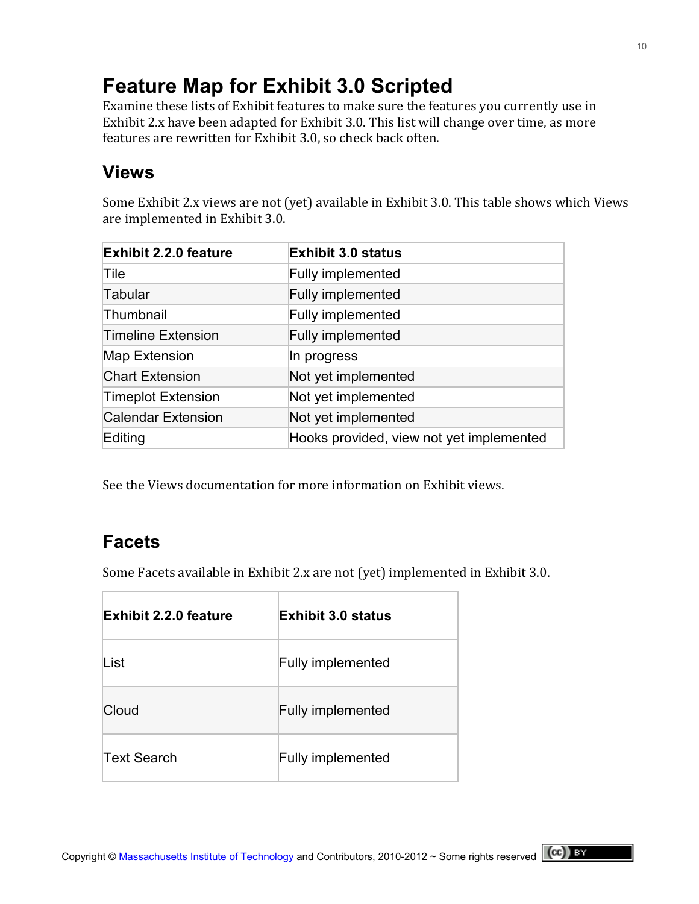# **Feature Map for Exhibit 3.0 Scripted**

Examine these lists of Exhibit features to make sure the features you currently use in Exhibit 2.x have been adapted for Exhibit 3.0. This list will change over time, as more features are rewritten for Exhibit 3.0, so check back often.

## **Views**

Some Exhibit 2.x views are not (yet) available in Exhibit 3.0. This table shows which Views are implemented in Exhibit 3.0.

| <b>Exhibit 2.2.0 feature</b> | <b>Exhibit 3.0 status</b>                |  |
|------------------------------|------------------------------------------|--|
| Tile                         | <b>Fully implemented</b>                 |  |
| Tabular                      | Fully implemented                        |  |
| Thumbnail                    | <b>Fully implemented</b>                 |  |
| <b>Timeline Extension</b>    | <b>Fully implemented</b>                 |  |
| Map Extension                | In progress                              |  |
| <b>Chart Extension</b>       | Not yet implemented                      |  |
| <b>Timeplot Extension</b>    | Not yet implemented                      |  |
| <b>Calendar Extension</b>    | Not yet implemented                      |  |
| Editing                      | Hooks provided, view not yet implemented |  |

See the Views documentation for more information on Exhibit views.

## **Facets**

Some Facets available in Exhibit 2.x are not (yet) implemented in Exhibit 3.0.

| <b>Exhibit 2.2.0 feature</b> | <b>Exhibit 3.0 status</b> |
|------------------------------|---------------------------|
| List                         | <b>Fully implemented</b>  |
| Cloud                        | <b>Fully implemented</b>  |
| <b>Text Search</b>           | <b>Fully implemented</b>  |

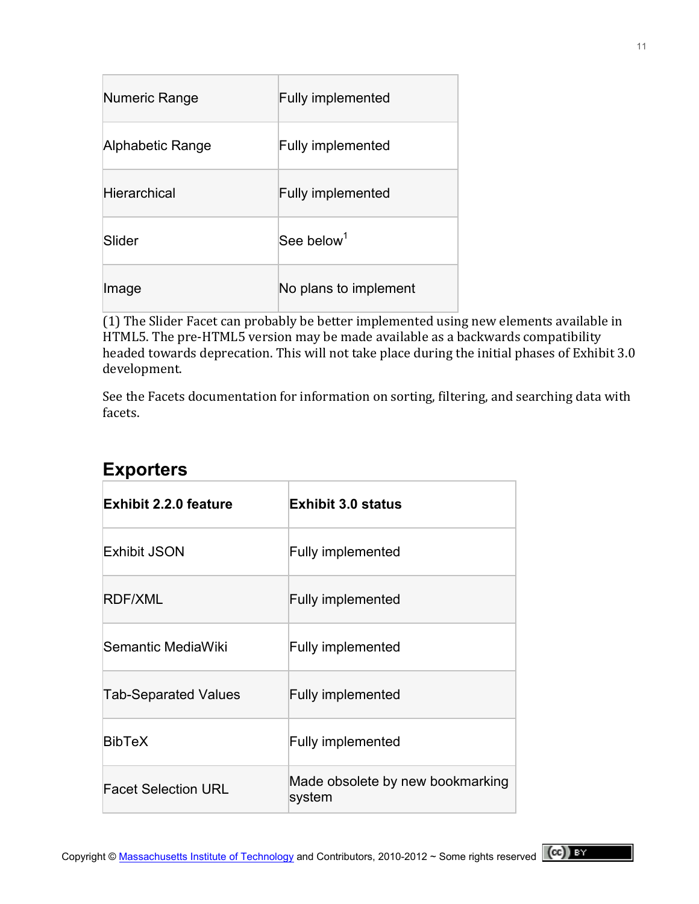| Numeric Range       | <b>Fully implemented</b> |
|---------------------|--------------------------|
| Alphabetic Range    | <b>Fully implemented</b> |
| <b>Hierarchical</b> | <b>Fully implemented</b> |
| Slider              | See below <sup>1</sup>   |
| Image               | No plans to implement    |

(1) The Slider Facet can probably be better implemented using new elements available in HTML5. The pre-HTML5 version may be made available as a backwards compatibility headed towards deprecation. This will not take place during the initial phases of Exhibit 3.0 development.

See the Facets documentation for information on sorting, filtering, and searching data with facets.

| <b>Exhibit 2.2.0 feature</b> | <b>Exhibit 3.0 status</b>                  |
|------------------------------|--------------------------------------------|
| <b>Exhibit JSON</b>          | <b>Fully implemented</b>                   |
| RDF/XML                      | <b>Fully implemented</b>                   |
| Semantic MediaWiki           | <b>Fully implemented</b>                   |
| <b>Tab-Separated Values</b>  | <b>Fully implemented</b>                   |
| <b>BibTeX</b>                | <b>Fully implemented</b>                   |
| <b>Facet Selection URL</b>   | Made obsolete by new bookmarking<br>system |

## **Exporters**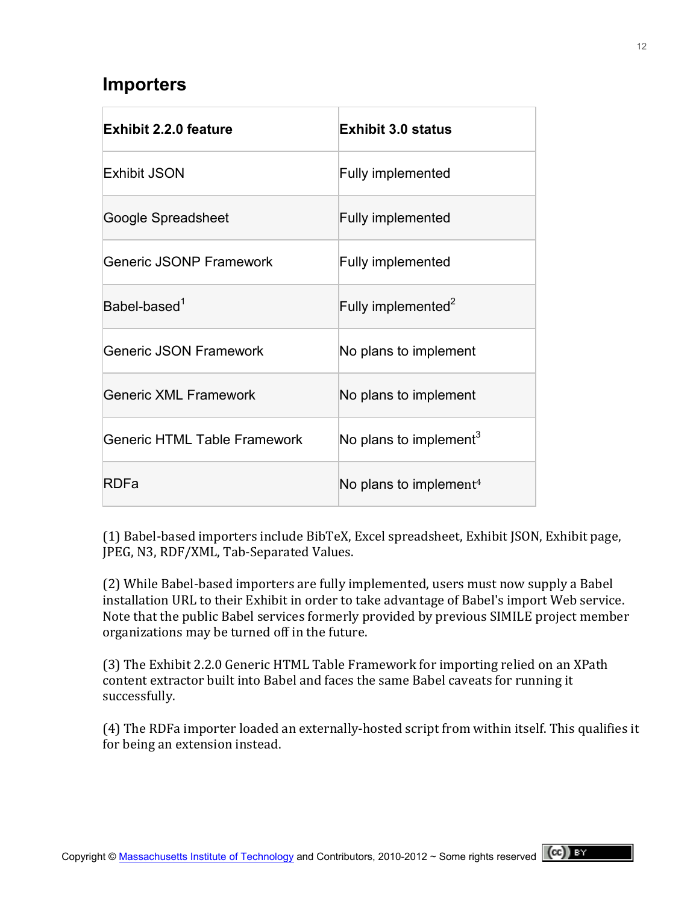## **Importers**

| <b>Exhibit 2.2.0 feature</b>        | <b>Exhibit 3.0 status</b>          |
|-------------------------------------|------------------------------------|
| <b>Exhibit JSON</b>                 | <b>Fully implemented</b>           |
| Google Spreadsheet                  | <b>Fully implemented</b>           |
| <b>Generic JSONP Framework</b>      | <b>Fully implemented</b>           |
| $Babel-based1$                      | Fully implemented <sup>2</sup>     |
| <b>Generic JSON Framework</b>       | No plans to implement              |
| <b>Generic XML Framework</b>        | No plans to implement              |
| <b>Generic HTML Table Framework</b> | No plans to implement <sup>3</sup> |
| RDFa                                | No plans to implement <sup>4</sup> |

(1) Babel-based importers include BibTeX, Excel spreadsheet, Exhibit JSON, Exhibit page, JPEG, N3, RDF/XML, Tab-Separated Values.

(2) While Babel-based importers are fully implemented, users must now supply a Babel installation URL to their Exhibit in order to take advantage of Babel's import Web service. Note that the public Babel services formerly provided by previous SIMILE project member organizations may be turned off in the future.

(3) The Exhibit 2.2.0 Generic HTML Table Framework for importing relied on an XPath content extractor built into Babel and faces the same Babel caveats for running it successfully.

(4) The RDFa importer loaded an externally-hosted script from within itself. This qualifies it for being an extension instead.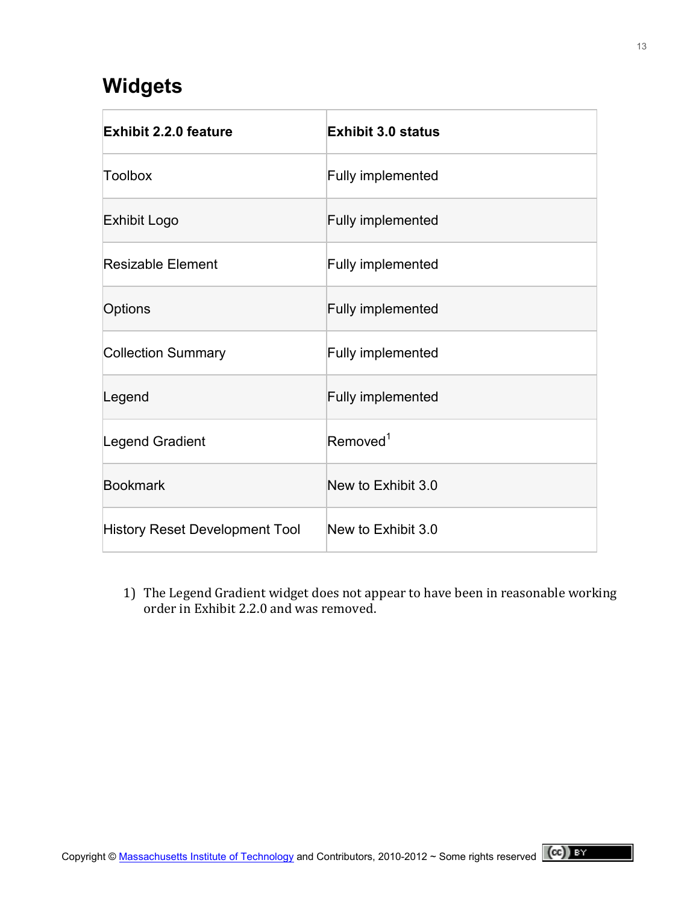## **Widgets**

| <b>Exhibit 2.2.0 feature</b>   | <b>Exhibit 3.0 status</b> |
|--------------------------------|---------------------------|
| <b>Toolbox</b>                 | <b>Fully implemented</b>  |
| Exhibit Logo                   | <b>Fully implemented</b>  |
| Resizable Element              | <b>Fully implemented</b>  |
| Options                        | <b>Fully implemented</b>  |
| <b>Collection Summary</b>      | <b>Fully implemented</b>  |
| Legend                         | <b>Fully implemented</b>  |
| Legend Gradient                | Removed <sup>1</sup>      |
| <b>Bookmark</b>                | New to Exhibit 3.0        |
| History Reset Development Tool | New to Exhibit 3.0        |

1) The Legend Gradient widget does not appear to have been in reasonable working order in Exhibit 2.2.0 and was removed.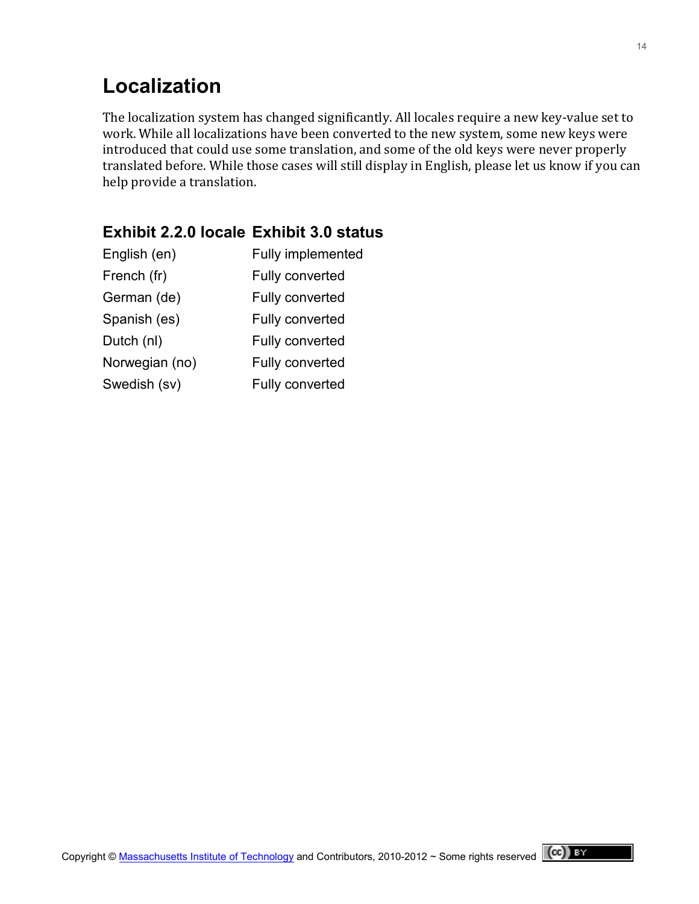# **Localization**

The localization system has changed significantly. All locales require a new key-value set to work. While all localizations have been converted to the new system, some new keys were introduced that could use some translation, and some of the old keys were never properly translated before. While those cases will still display in English, please let us know if you can help provide a translation.

### **Exhibit 2.2.0 locale Exhibit 3.0 status**

| English (en)   | Fully implemented |
|----------------|-------------------|
| French (fr)    | Fully converted   |
| German (de)    | Fully converted   |
| Spanish (es)   | Fully converted   |
| Dutch (nl)     | Fully converted   |
| Norwegian (no) | Fully converted   |
| Swedish (sv)   | Fully converted   |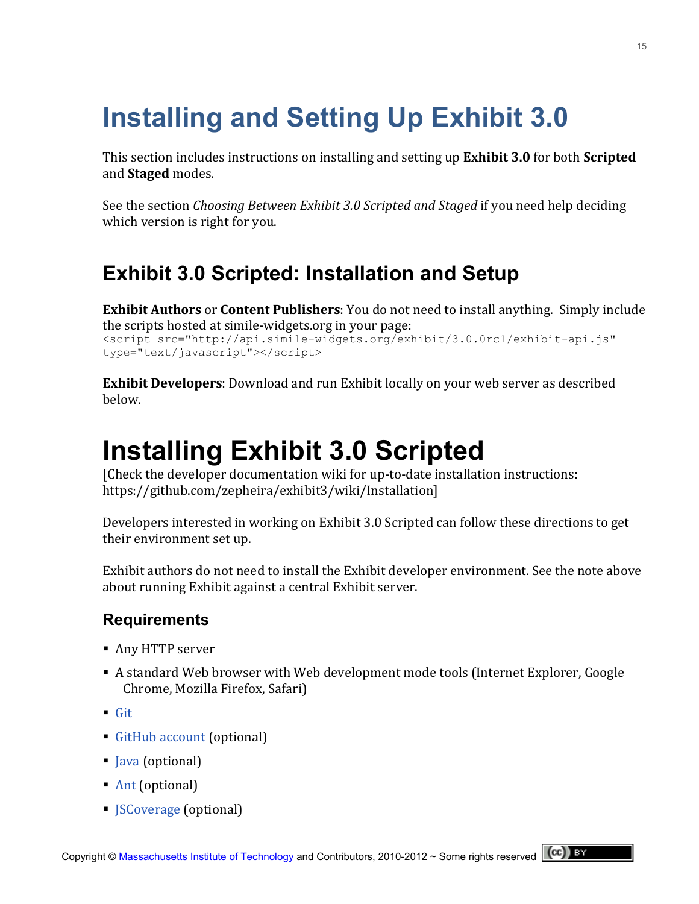# **Installing and Setting Up Exhibit 3.0**

This section includes instructions on installing and setting up **Exhibit 3.0** for both **Scripted** and **Staged** modes.

See the section *Choosing Between Exhibit 3.0 Scripted and Staged* if you need help deciding which version is right for you.

# **Exhibit 3.0 Scripted: Installation and Setup**

**Exhibit Authors** or **Content Publishers**: You do not need to install anything. Simply include the scripts hosted at simile-widgets.org in your page: <script src="http://api.simile-widgets.org/exhibit/3.0.0rc1/exhibit-api.js" type="text/javascript"></script>

**Exhibit Developers**: Download and run Exhibit locally on your web server as described below.

# **Installing Exhibit 3.0 Scripted**

[Check the developer documentation wiki for up-to-date installation instructions: [https://github.com/zepheira/exhibit3/wiki/Installation\]](https://github.com/zepheira/exhibit3/wiki/Installation)

Developers interested in working on Exhibit 3.0 Scripted can follow these directions to get their environment set up.

Exhibit authors do not need to install the Exhibit developer environment. See the note above about running Exhibit against a central Exhibit server.

## **Requirements**

- Any HTTP server
- A standard Web browser with Web development mode tools (Internet Explorer, Google Chrome, Mozilla Firefox, Safari)
- $\blacksquare$  [Git](http://book.git-scm.com/2_installing_git.html)
- GitHub account (optional)
- lava (optional)
- [Ant](https://ant.apache.org/) (optional)
- *[JSCoverage](http://siliconforks.com/jscoverage/) (optional)*

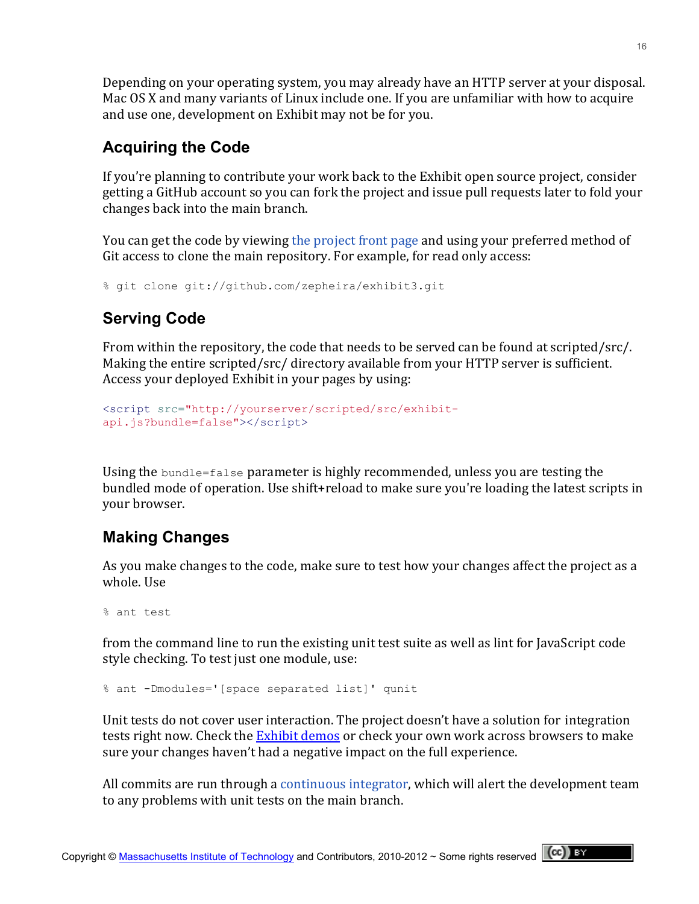Depending on your operating system, you may already have an HTTP server at your disposal. Mac OS X and many variants of Linux include one. If you are unfamiliar with how to acquire and use one, development on Exhibit may not be for you.

## **Acquiring the Code**

If you're planning to contribute your work back to the Exhibit open source project, consider getting a GitHub account so you can fork the project and issue pull requests later to fold your changes back into the main branch.

You can get the code by viewing the project front page and using your preferred method of Git access to clone the main repository. For example, for read only access:

```
% git clone git://github.com/zepheira/exhibit3.git
```
## **Serving Code**

From within the repository, the code that needs to be served can be found at scripted/src/. Making the entire scripted/src/ directory available from your HTTP server is sufficient. Access your deployed Exhibit in your pages by using:

```
<script src="http://yourserver/scripted/src/exhibit-
api.js?bundle=false"></script>
```
Using the bundle=false parameter is highly recommended, unless you are testing the bundled mode of operation. Use shift+reload to make sure you're loading the latest scripts in your browser.

## **Making Changes**

As you make changes to the code, make sure to test how your changes affect the project as a whole. Use

```
% ant test
```
from the command line to run the existing unit test suite as well as lint for JavaScript code style checking. To test just one module, use:

```
% ant -Dmodules='[space separated list]' qunit
```
Unit tests do not cover user interaction. The project doesn't have a solution for integration tests right now. Check the Exhibit demos or check your own work across browsers to make sure your changes haven't had a negative impact on the full experience.

All commits are run through a continuous integrator, which will alert the development team to any problems with unit tests on the main branch.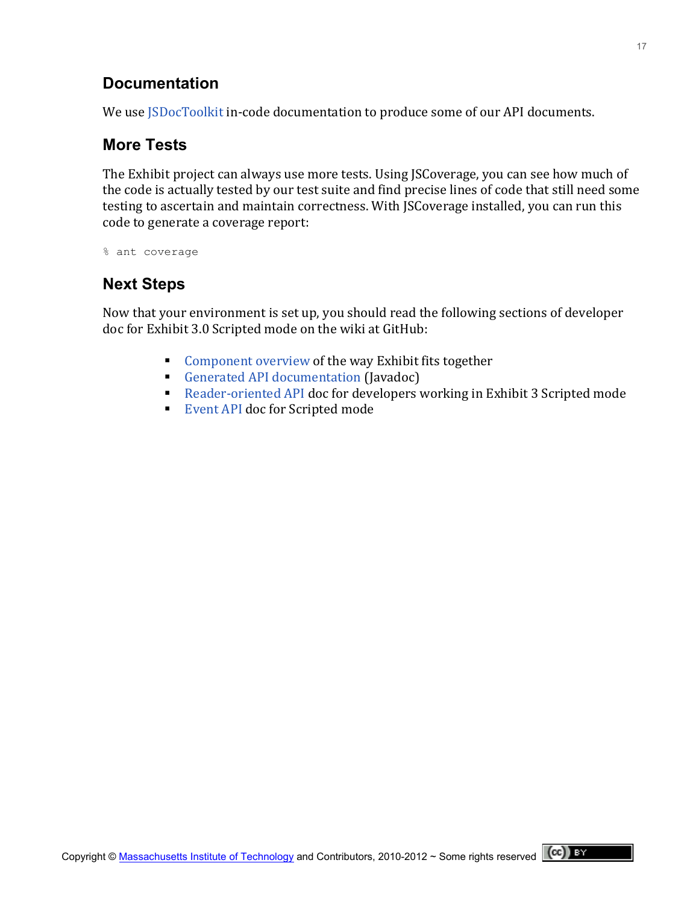## **Documentation**

We use JSDocToolkit in-code documentation to produce some of our API documents.

## **More Tests**

The Exhibit project can always use more tests. Using JSCoverage, you can see how much of the code is actually tested by our test suite and find precise lines of code that still need some testing to ascertain and maintain correctness. With JSCoverage installed, you can run this code to generate a coverage report:

% ant coverage

## **Next Steps**

Now that your environment is set up, you should read the following sections of developer doc for Exhibit 3.0 Scripted mode on the wiki at GitHub:

- Component overview of the way Exhibit fits together
- Generated API documentation (Javadoc)
- Reader-oriented API doc for developers working in Exhibit 3 Scripted mode
- Event API doc for Scripted mode

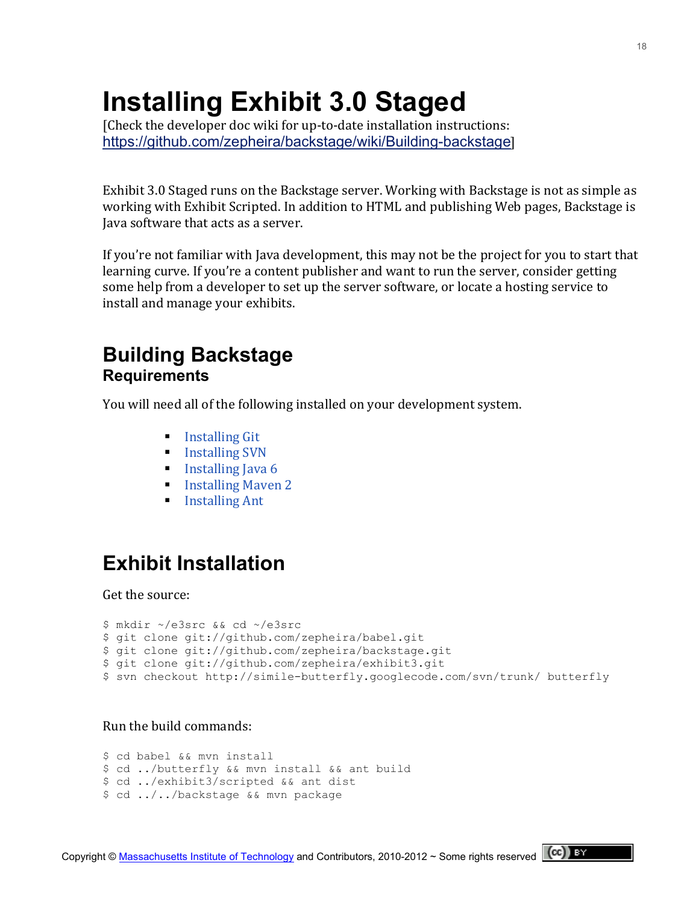# **Installing Exhibit 3.0 Staged**

[Check the developer doc wiki for up-to-date installation instructions: <https://github.com/zepheira/backstage/wiki/Building-backstage>]

Exhibit 3.0 Staged runs on the Backstage server. Working with Backstage is not as simple as working with Exhibit Scripted. In addition to HTML and publishing Web pages, Backstage is Java software that acts as a server.

If you're not familiar with Java development, this may not be the project for you to start that learning curve. If you're a content publisher and want to run the server, consider getting some help from a developer to set up the server software, or locate a hosting service to install and manage your exhibits.

## **Building Backstage Requirements**

You will need all of the following installed on your development system.

- $\blacksquare$  Installing Git
- $\blacksquare$  Installing SVN
- Installing Java  $6$
- **Installing Mayen 2**
- $\blacksquare$  Installing Ant

# **Exhibit Installation**

Get the source:

```
$ mkdir ~/e3src && cd ~/e3src
$ git clone git://github.com/zepheira/babel.git
$ git clone git://github.com/zepheira/backstage.git
$ git clone git://github.com/zepheira/exhibit3.git
$ svn checkout http://simile-butterfly.googlecode.com/svn/trunk/ butterfly
```
#### Run the build commands:

```
$ cd babel && mvn install
$ cd ../butterfly && mvn install && ant build
$ cd ../exhibit3/scripted && ant dist
$ cd ../../backstage && mvn package
```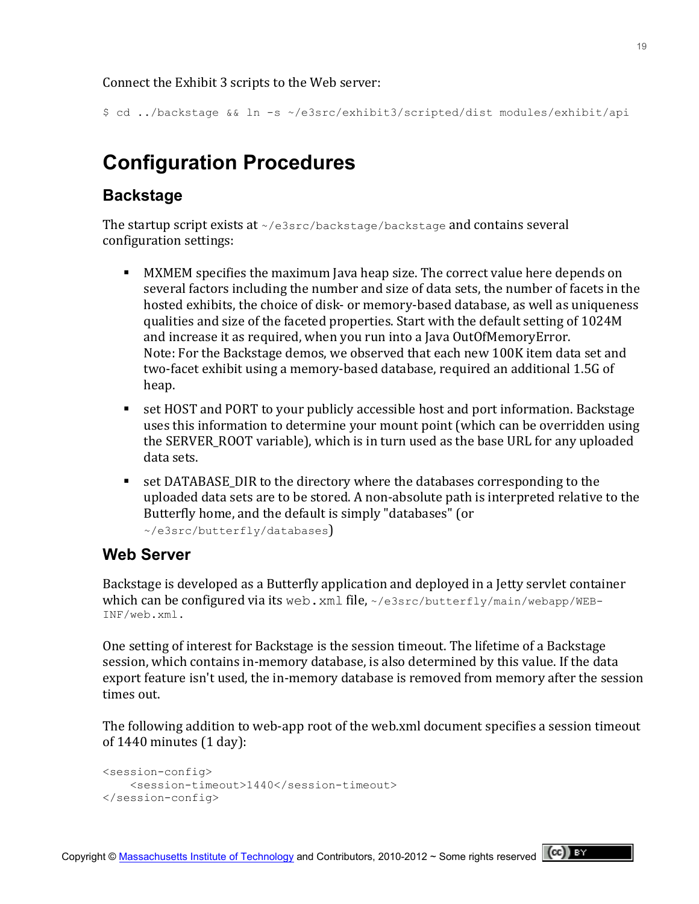Connect the Exhibit 3 scripts to the Web server:

\$ cd ../backstage && ln -s ~/e3src/exhibit3/scripted/dist modules/exhibit/api

# **Configuration Procedures**

## **Backstage**

The startup script exists at  $\sim$ /e3src/backstage/backstage and contains several configuration settings:

- **MI** MXMEM specifies the maximum Java heap size. The correct value here depends on several factors including the number and size of data sets, the number of facets in the hosted exhibits, the choice of disk- or memory-based database, as well as uniqueness qualities and size of the faceted properties. Start with the default setting of 1024M and increase it as required, when you run into a Java OutOfMemoryError. Note: For the Backstage demos, we observed that each new 100K item data set and two-facet exhibit using a memory-based database, required an additional 1.5G of heap.
- **Set HOST and PORT to your publicly accessible host and port information. Backstage I** uses this information to determine your mount point (which can be overridden using the SERVER ROOT variable), which is in turn used as the base URL for any uploaded data sets.
- **SET DATABASE\_DIR to the directory where the databases corresponding to the** uploaded data sets are to be stored. A non-absolute path is interpreted relative to the Butterfly home, and the default is simply "databases" (or

~/e3src/butterfly/databases)

## **Web Server**

Backstage is developed as a Butterfly application and deployed in a Jetty servlet container which can be configured via its web. xml file,  $\sim$ /e3src/butterfly/main/webapp/WEB-INF/web.xml.

One setting of interest for Backstage is the session timeout. The lifetime of a Backstage session, which contains in-memory database, is also determined by this value. If the data export feature isn't used, the in-memory database is removed from memory after the session times out.

The following addition to web-app root of the web.xml document specifies a session timeout of  $1440$  minutes  $(1$  day):

```
<session-config>
    <session-timeout>1440</session-timeout>
</session-config>
```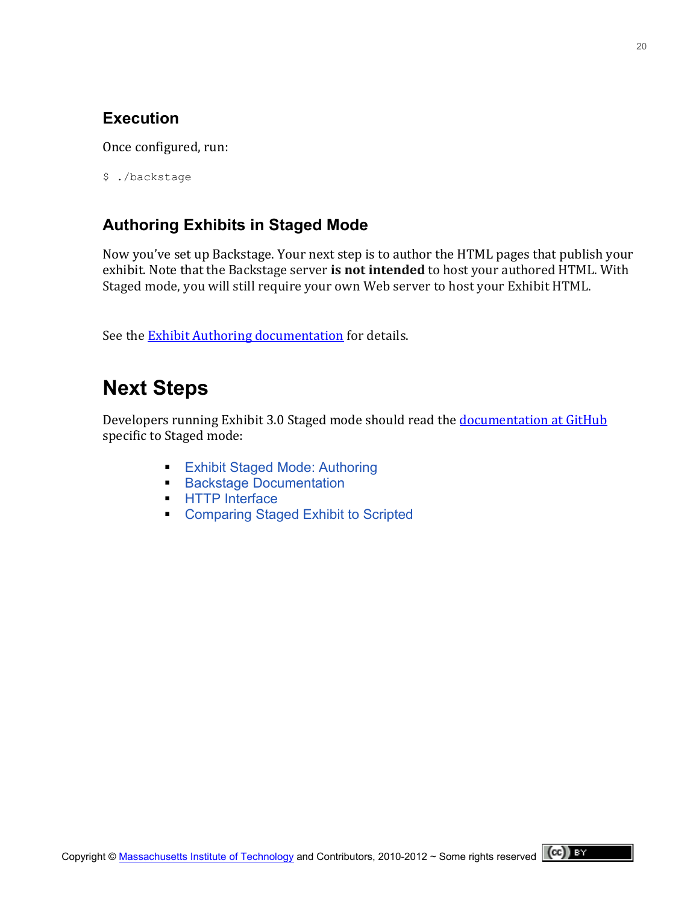## **Execution**

Once configured, run:

\$ ./backstage

## **Authoring Exhibits in Staged Mode**

Now you've set up Backstage. Your next step is to author the HTML pages that publish your exhibit. Note that the Backstage server is not intended to host your authored HTML. With Staged mode, you will still require your own Web server to host your Exhibit HTML.

See the **Exhibit Authoring documentation** for details.

# **Next Steps**

Developers running Exhibit 3.0 Staged mode should read the documentation at GitHub specific to Staged mode:

- **[Exhibit Staged Mode: Authoring](https://github.com/zepheira/backstage/wiki/Authoring)**
- **[Backstage Documentation](https://github.com/zepheira/backstage/wiki)**
- **[HTTP Interface](https://github.com/zepheira/backstage/wiki/HTTP-Interface)**
- **[Comparing Staged Exhibit to Scripted](https://github.com/zepheira/backstage/wiki/Staged-Compared-to-Scripted)**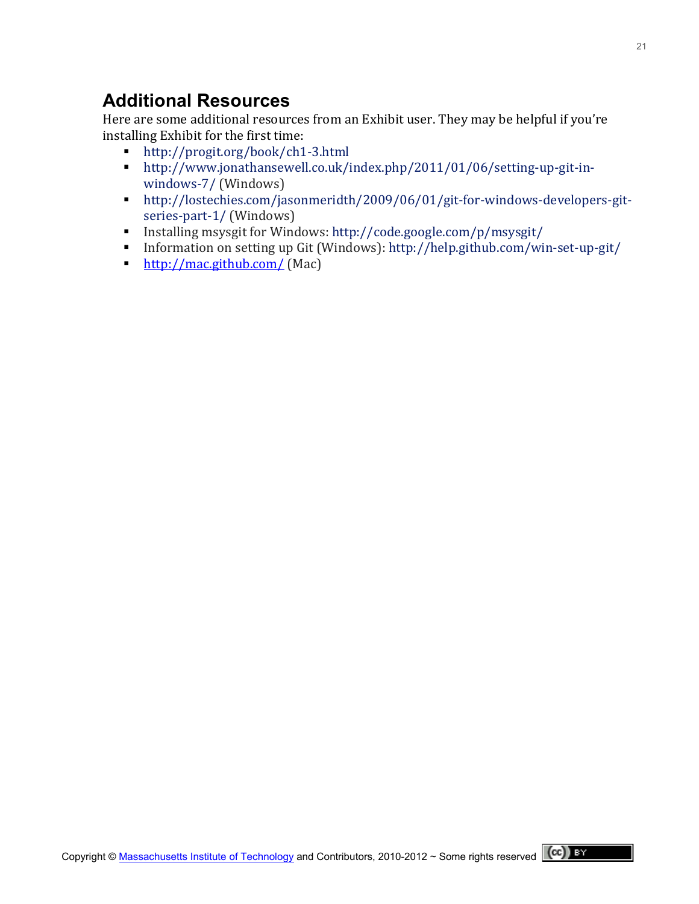## **Additional Resources**

Here are some additional resources from an Exhibit user. They may be helpful if you're installing Exhibit for the first time:

- http://progit.org/book/ch1-3.html
- http://www.jonathansewell.co.uk/index.php/2011/01/06/setting-up-git-in[windows=7/](http://www.jonathansewell.co.uk/index.php/2011/01/06/setting-up-git-in-windows-7/) (Windows)
- http://lostechies.com/jasonmeridth/2009/06/01/git-for-windows-developers-git[series=part=1/](http://lostechies.com/jasonmeridth/2009/06/01/git-for-windows-developers-git-series-part-1/) (Windows)
- Installing msysgit for Windows: http://code.google.com/p/msysgit/
- Information on setting up Git (Windows): http://help.github.com/win-set-up-git/
- <http://mac.github.com/> (Mac)

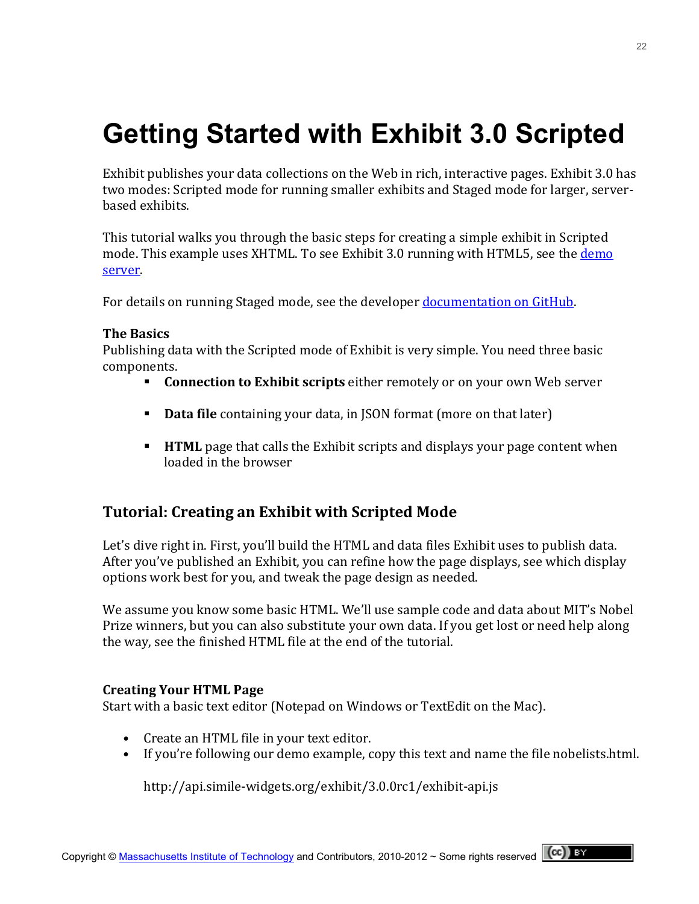# **Getting Started with Exhibit 3.0 Scripted**

Exhibit publishes your data collections on the Web in rich, interactive pages. Exhibit 3.0 has two modes: Scripted mode for running smaller exhibits and Staged mode for larger, serverhased exhibits.

This tutorial walks you through the basic steps for creating a simple exhibit in Scripted mode. This example uses XHTML. To see Exhibit 3.0 running with HTML5, see the demo [server.](http://databench.zepheira.com/demos/)

For details on running Staged mode, see the developer documentation on GitHub.

#### **The!Basics**

Publishing data with the Scripted mode of Exhibit is very simple. You need three basic components.

- **Connection to Exhibit scripts** either remotely or on your own Web server
- **Data file** containing your data, in JSON format (more on that later)
- **HTML** page that calls the Exhibit scripts and displays your page content when loaded in the browser

## **Tutorial: Creating an Exhibit with Scripted Mode**

Let's dive right in. First, you'll build the HTML and data files Exhibit uses to publish data. After you've published an Exhibit, you can refine how the page displays, see which display options work best for you, and tweak the page design as needed.

We assume you know some basic HTML. We'll use sample code and data about MIT's Nobel Prize winners, but you can also substitute your own data. If you get lost or need help along the way, see the finished HTML file at the end of the tutorial.

#### **Creating Your HTML Page**

Start with a basic text editor (Notepad on Windows or TextEdit on the Mac).

- Create an HTML file in your text editor.
- If you're following our demo example, copy this text and name the file nobelists.html.

http://api.simile-widgets.org/exhibit/3.0.0rc1/exhibit-api.js

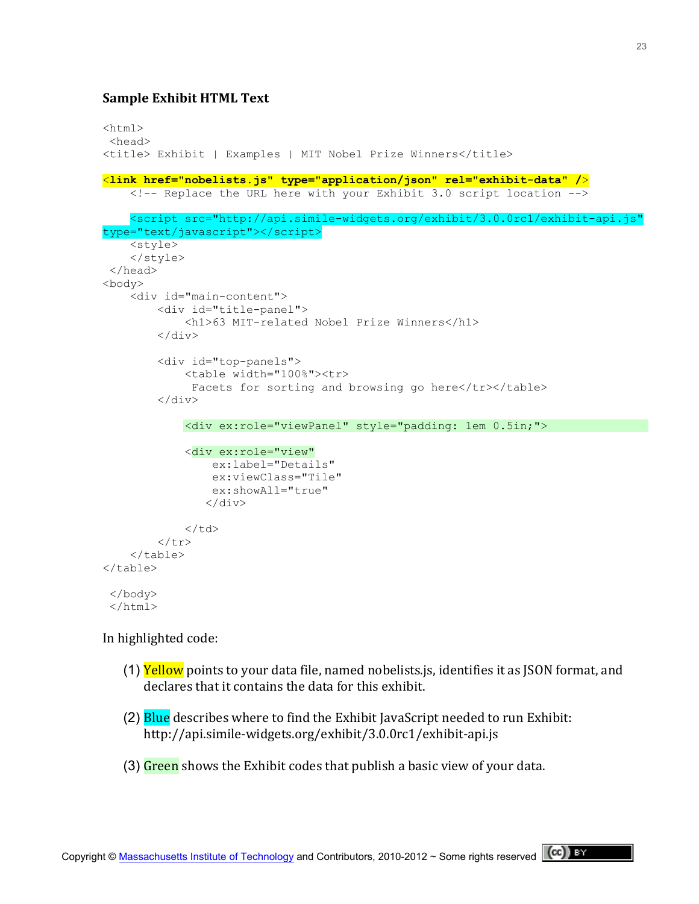#### **Sample Exhibit HTML Text**

```
<html><head>
<title> Exhibit | Examples | MIT Nobel Prize Winners</title>
<link href="nobelists.js" type="application/json" rel="exhibit-data" />
     <!-- Replace the URL here with your Exhibit 3.0 script location --> 
    <script src="http://api.simile-widgets.org/exhibit/3.0.0rc1/exhibit-api.js" 
type="text/javascript"></script>
     <style>
     </style>
</head> 
<body>
     <div id="main-content">
         <div id="title-panel">
             <h1>63 MIT-related Nobel Prize Winners</h1>
        \langle div>
         <div id="top-panels">
             <table width="100%"><tr>
             Facets for sorting and browsing go here</tr></table>
         </div>
            <div ex:role="viewPanel" style="padding: 1em 0.5in;">
             <div ex:role="view"
                  ex:label="Details"
                  ex:viewClass="Tile"
                 ex:showAll="true"
                \langle div>
            \langle t, d \rangle\langle/tr>
     </table>
</table>
</body>
</html>
```
#### In highlighted code:

- (1) Yellow points to your data file, named nobelists.js, identifies it as JSON format, and declares that it contains the data for this exhibit.
- (2) Blue describes where to find the Exhibit JavaScript needed to run Exhibit: http://api.simile=widgets.org/exhibit/3.0.0rc1/exhibit=api.js
- (3) Green shows the Exhibit codes that publish a basic view of your data.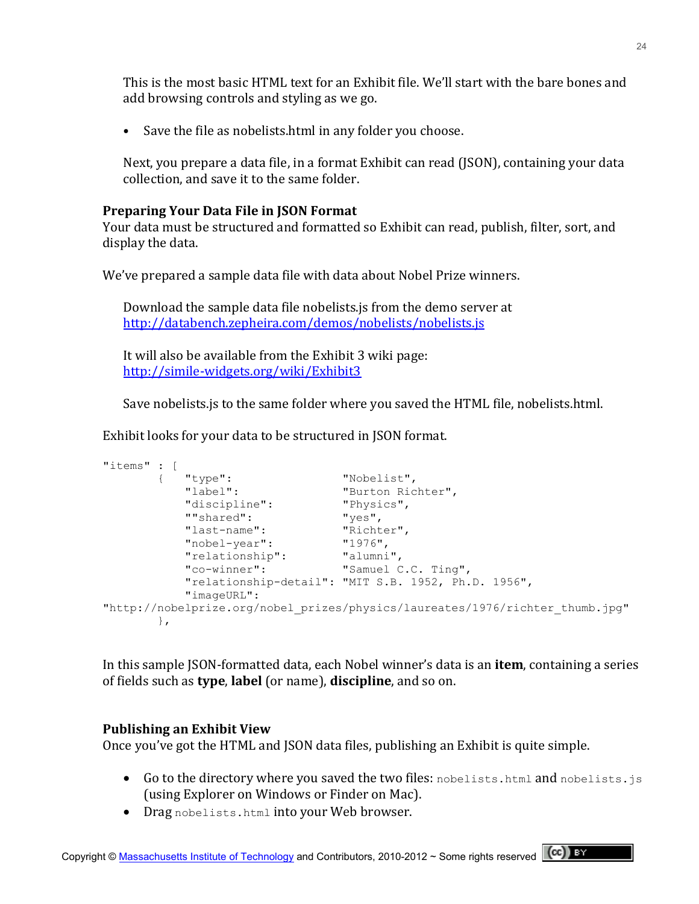This is the most basic HTML text for an Exhibit file. We'll start with the bare bones and add browsing controls and styling as we go.

• Save the file as nobelists.html in any folder you choose.

Next, you prepare a data file, in a format Exhibit can read (JSON), containing your data collection, and save it to the same folder.

#### **Preparing Your Data File in JSON Format**

Your data must be structured and formatted so Exhibit can read, publish, filter, sort, and display the data.

We've prepared a sample data file with data about Nobel Prize winners.

Download the sample data file nobelists.js from the demo server at <http://databench.zepheira.com/demos/nobelists/nobelists.js>

It will also be available from the Exhibit 3 wiki page: [http://simile=widgets.org/wiki/Exhibit3](http://simile-widgets.org/wiki/Exhibit3)

Save nobelists. is to the same folder where you saved the HTML file, nobelists.html.

Exhibit looks for your data to be structured in JSON format.

```
"items" : [
        { "type": "Nobelist",
                               "Burton Richter",<br>"Physics",
           "discipline":<br>""shared": "Yes",
           ""shared":
            "last-name": "Richter",
            "nobel-year": "1976",
           "relationship":
            "co-winner": "Samuel C.C. Ting",
            "relationship-detail": "MIT S.B. 1952, Ph.D. 1956",
            "imageURL": 
"http://nobelprize.org/nobel_prizes/physics/laureates/1976/richter_thumb.jpg"
        },
```
In this sample JSON-formatted data, each Nobel winner's data is an **item**, containing a series of fields such as **type**, label (or name), **discipline**, and so on.

### **Publishing!an!Exhibit!View**

Once you've got the HTML and JSON data files, publishing an Exhibit is quite simple.

- Go to the directory where you saved the two files: nobelists.html and nobelists.js (using Explorer on Windows or Finder on Mac).
- Drag nobelists.html into your Web browser.

24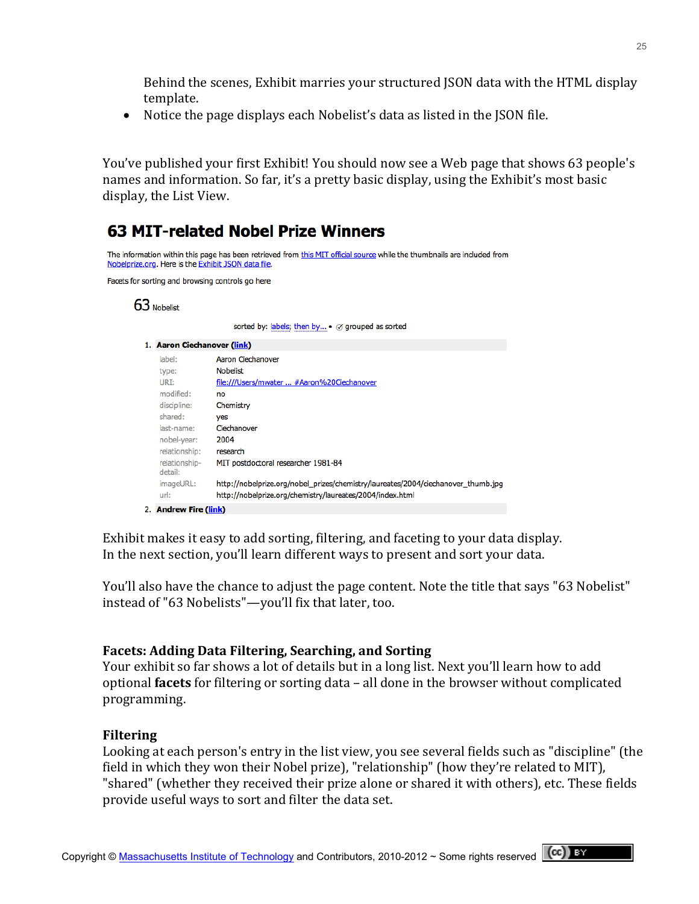Behind the scenes, Exhibit marries your structured JSON data with the HTML display template.

• Notice the page displays each Nobelist's data as listed in the JSON file.

You've published your first Exhibit! You should now see a Web page that shows 63 people's names and information. So far, it's a pretty basic display, using the Exhibit's most basic display, the List View.

## **63 MIT-related Nobel Prize Winners**

```
The information within this page has been retrieved from this MIT official source while the thumbnails are included from
Nobelprize.org. Here is the Exhibit JSON data file.
```
Facets for sorting and browsing controls go here

#### 63 Nobelist

sorted by: labels; then by... • ⊘ grouped as sorted

|                                                                                      | 1. Aaron Ciechanover (link) |                                                                                                                                                |  |  |
|--------------------------------------------------------------------------------------|-----------------------------|------------------------------------------------------------------------------------------------------------------------------------------------|--|--|
|                                                                                      | label:                      | Aaron Ciechanover                                                                                                                              |  |  |
|                                                                                      | type:                       | <b>Nobelist</b>                                                                                                                                |  |  |
|                                                                                      | URI:                        | file:///Users/mwater  #Aaron%20Ciechanover                                                                                                     |  |  |
|                                                                                      | modified:                   | no                                                                                                                                             |  |  |
|                                                                                      | discipline:                 | Chemistry                                                                                                                                      |  |  |
|                                                                                      | shared:                     | yes                                                                                                                                            |  |  |
|                                                                                      | last-name:                  | Ciechanover                                                                                                                                    |  |  |
|                                                                                      | nobel-year:                 | 2004                                                                                                                                           |  |  |
|                                                                                      | relationship:               | research                                                                                                                                       |  |  |
| relationship-<br>MIT postdoctoral researcher 1981-84<br>detail:<br>imageURL:<br>url: |                             |                                                                                                                                                |  |  |
|                                                                                      |                             | http://nobelprize.org/nobel_prizes/chemistry/laureates/2004/ciechanover_thumb.jpg<br>http://nobelprize.org/chemistry/laureates/2004/index.html |  |  |
|                                                                                      | 2. Andrew Fire (link)       |                                                                                                                                                |  |  |

Exhibit makes it easy to add sorting, filtering, and faceting to your data display. In the next section, you'll learn different ways to present and sort your data.

You'll also have the chance to adjust the page content. Note the title that says "63 Nobelist" instead of "63 Nobelists"—you'll fix that later, too.

#### **Facets: Adding Data Filtering, Searching, and Sorting**

Your exhibit so far shows a lot of details but in a long list. Next you'll learn how to add optional **facets** for filtering or sorting data – all done in the browser without complicated programming.

#### **Filtering**

Looking at each person's entry in the list view, you see several fields such as "discipline" (the field in which they won their Nobel prize), "relationship" (how they're related to MIT), "shared" (whether they received their prize alone or shared it with others), etc. These fields provide useful ways to sort and filter the data set.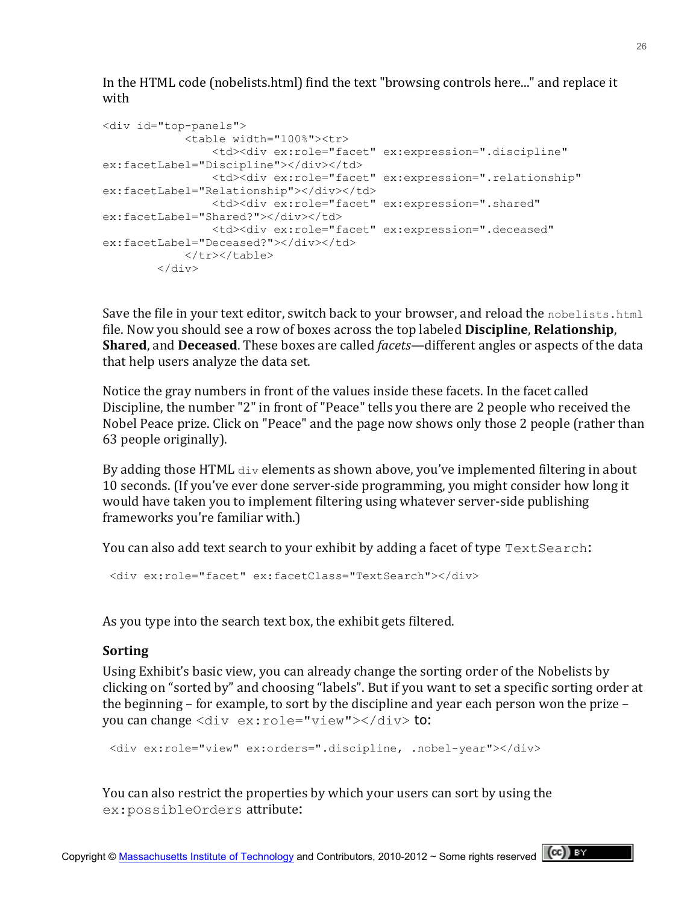In the HTML code (nobelists.html) find the text "browsing controls here..." and replace it with

```
<div id="top-panels">
             <table width="100%"><tr>
                 <td><div ex:role="facet" ex:expression=".discipline" 
ex:facetLabel="Discipline"></div></td>
                <td><div ex:role="facet" ex:expression=".relationship" 
ex:facetLabel="Relationship"></div></td>
                <td><div ex:role="facet" ex:expression=".shared" 
ex:facetLabel="Shared?"></div></td>
                <td><div ex:role="facet" ex:expression=".deceased" 
ex:facetLabel="Deceased?"></div></td>
           </tr></table>
        </div>
```
Save the file in your text editor, switch back to your browser, and reload the nobelists.html file. Now you should see a row of boxes across the top labeled **Discipline**, **Relationship**, **Shared**, and **Deceased**. These boxes are called *facets*—different angles or aspects of the data that help users analyze the data set.

Notice the gray numbers in front of the values inside these facets. In the facet called Discipline, the number "2" in front of "Peace" tells you there are 2 people who received the Nobel Peace prize. Click on "Peace" and the page now shows only those 2 people (rather than 63 people originally).

By adding those HTML  $div$  elements as shown above, you've implemented filtering in about 10 seconds. (If you've ever done server-side programming, you might consider how long it would have taken you to implement filtering using whatever server-side publishing frameworks you're familiar with.)

You can also add text search to your exhibit by adding a facet of type  $TextSearch$ :

```
<div ex:role="facet" ex:facetClass="TextSearch"></div>
```
As you type into the search text box, the exhibit gets filtered.

#### **Sorting**

Using Exhibit's basic view, you can already change the sorting order of the Nobelists by clicking on "sorted by" and choosing "labels". But if you want to set a specific sorting order at the beginning – for example, to sort by the discipline and year each person won the prize – you can change <div ex:role="view"></div> to:

```
<div ex:role="view" ex:orders=".discipline, .nobel-year"></div>
```
You can also restrict the properties by which your users can sort by using the ex:possibleOrders attribute: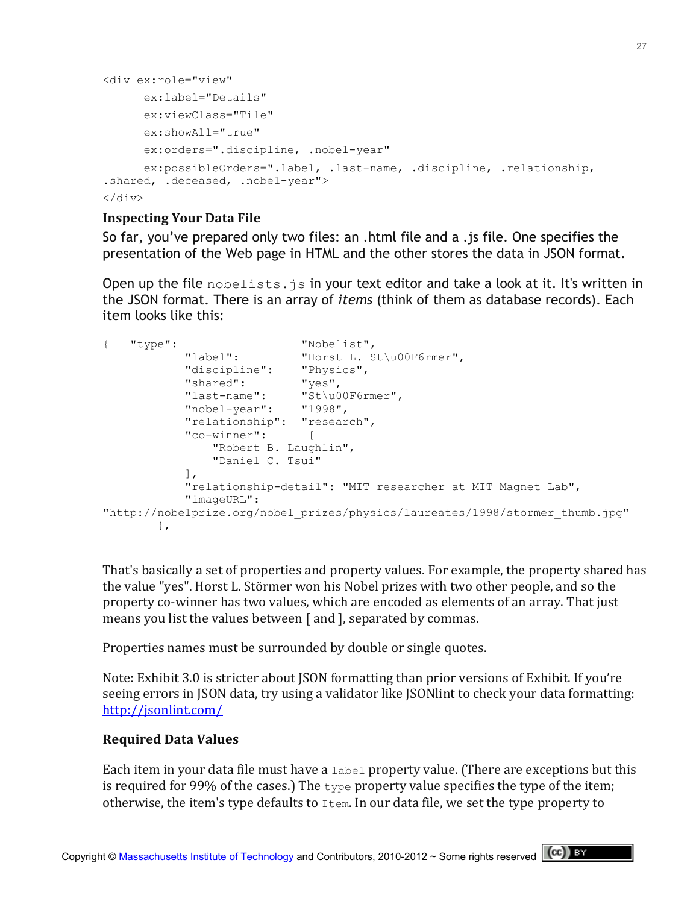```
<div ex:role="view"
      ex:label="Details"
      ex:viewClass="Tile"
      ex:showAll="true"
      ex:orders=".discipline, .nobel-year"
      ex:possibleOrders=".label, .last-name, .discipline, .relationship, 
.shared, .deceased, .nobel-year">
</div>
```
#### **Inspecting Your Data File**

So far, you've prepared only two files: an .html file and a .js file. One specifies the presentation of the Web page in HTML and the other stores the data in JSON format.

Open up the file nobelists. is in your text editor and take a look at it. It's written in the JSON format. There is an array of *items* (think of them as database records). Each item looks like this:

```
{ "type": "Nobelist",
"label": "Horst L. St\u00F6rmer",
            "discipline": "Physics",
           "shared": "yes",<br>"last-name": "St\u0
                          "St\u00F6rmer",
            "nobel-year": "1998",
            "relationship": "research",
           "co-winner": [
                "Robert B. Laughlin",
                "Daniel C. Tsui"
           \frac{1}{2},
            "relationship-detail": "MIT researcher at MIT Magnet Lab",
            "imageURL": 
"http://nobelprize.org/nobel_prizes/physics/laureates/1998/stormer_thumb.jpg"
        },
```
That's basically a set of properties and property values. For example, the property shared has the value "yes". Horst L. Störmer won his Nobel prizes with two other people, and so the property co-winner has two values, which are encoded as elements of an array. That just means you list the values between [ and ], separated by commas.

Properties names must be surrounded by double or single quotes.

Note: Exhibit 3.0 is stricter about JSON formatting than prior versions of Exhibit. If you're seeing errors in JSON data, try using a validator like JSONlint to check your data formatting: <http://jsonlint.com/>

#### **Required!Data!Values**

Each item in your data file must have a  $l$  abel property value. (There are exceptions but this is required for 99% of the cases.) The  $type$  property value specifies the type of the item; otherwise, the item's type defaults to  $I$ tem. In our data file, we set the type property to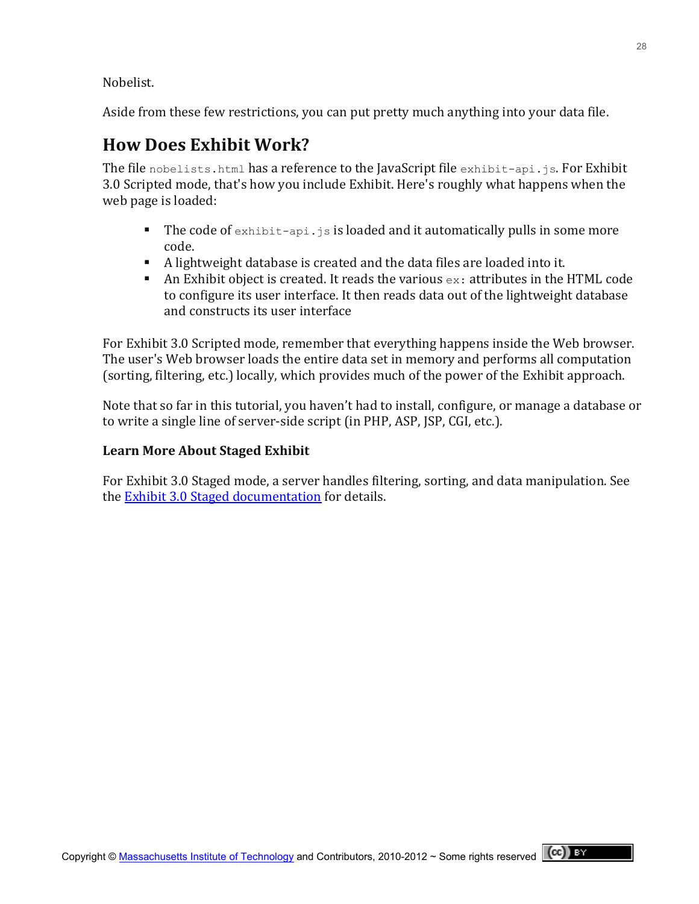Nobelist.

Aside from these few restrictions, you can put pretty much anything into your data file.

## **How Does Exhibit Work?**

The file nobelists.html has a reference to the JavaScript file  $e$ xhibit-api.js. For Exhibit 3.0 Scripted mode, that's how you include Exhibit. Here's roughly what happens when the web page is loaded:

- The code of  $\epsilon$ xhibit-api.js is loaded and it automatically pulls in some more code.
- A lightweight database is created and the data files are loaded into it.
- An Exhibit object is created. It reads the various  $ex:$  attributes in the HTML code to configure its user interface. It then reads data out of the lightweight database and constructs its user interface

For Exhibit 3.0 Scripted mode, remember that everything happens inside the Web browser. The user's Web browser loads the entire data set in memory and performs all computation (sorting, filtering, etc.) locally, which provides much of the power of the Exhibit approach.

Note that so far in this tutorial, you haven't had to install, configure, or manage a database or to write a single line of server-side script (in PHP, ASP, JSP, CGI, etc.).

### Learn More About Staged Exhibit

For Exhibit 3.0 Staged mode, a server handles filtering, sorting, and data manipulation. See the Exhibit 3.0 Staged documentation for details.

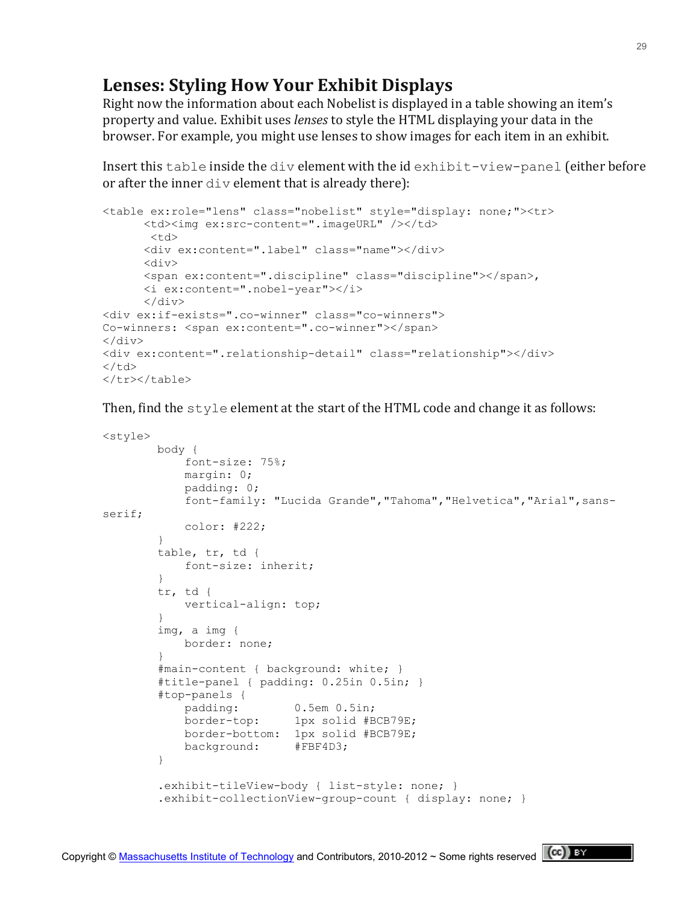## **Lenses: Styling How Your Exhibit Displays**

Right now the information about each Nobelist is displayed in a table showing an item's property and value. Exhibit uses *lenses* to style the HTML displaying your data in the browser. For example, you might use lenses to show images for each item in an exhibit.

Insert this table inside the div element with the id exhibit-view-panel (either before or after the inner  $div$  element that is already there):

```
<table ex:role="lens" class="nobelist" style="display: none;"><tr>
      <td><img ex:src-content=".imageURL" /></td>
       <td>
      <div ex:content=".label" class="name"></div>
      <div>
      <span ex:content=".discipline" class="discipline"></span>, 
      <i ex:content=".nobel-year"></i>
      \langle div>
<div ex:if-exists=".co-winner" class="co-winners">
Co-winners: <span ex:content=".co-winner"></span>
\langlediv><div ex:content=".relationship-detail" class="relationship"></div>
\langle t, d \rangle</tr></table>
```
Then, find the  $style$  style element at the start of the HTML code and change it as follows:

```
<style>
        body {
            font-size: 75%;
            margin: 0;
             padding: 0;
           font-family: "Lucida Grande", "Tahoma", "Helvetica", "Arial", sans-
serif;
            color: #222;
        }
        table, tr, td {
            font-size: inherit;
         }
        tr, td {
            vertical-align: top;
 }
        img, a img {
            border: none;
 }
        #main-content { background: white; }
         #title-panel { padding: 0.25in 0.5in; }
         #top-panels {
            padding: 0.5em 0.5in;
            border-top: 1px solid #BCB79E;
            border-bottom: 1px solid #BCB79E;
            background: #FBF4D3;
 }
         .exhibit-tileView-body { list-style: none; }
         .exhibit-collectionView-group-count { display: none; }
```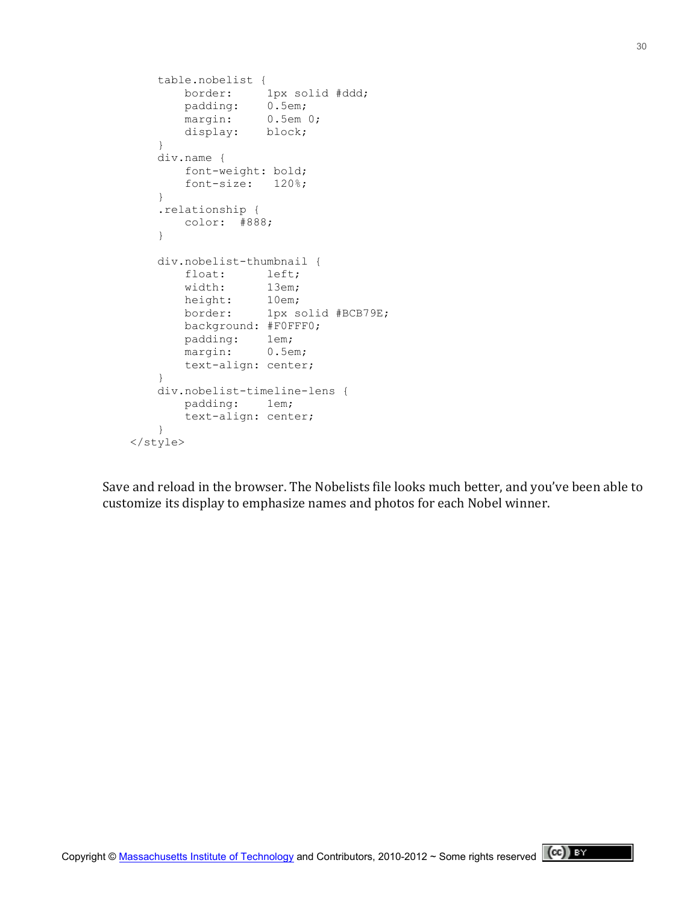```
 table.nobelist {
          border: 1px solid #ddd;
padding: 0.5em;
margin: 0.5em 0;
 display: block;
 }
       div.name {
          font-weight: bold;
          font-size: 120%;
       }
       .relationship {
          color: #888;
 }
       div.nobelist-thumbnail {
          float: left;
          width: 13em;
height: 10em;
 border: 1px solid #BCB79E;
          background: #F0FFF0;
          padding: 1em;
          margin: 0.5em;
          text-align: center;
       }
       div.nobelist-timeline-lens {
          padding: 1em;
          text-align: center;
       }
    </style>
```
Save and reload in the browser. The Nobelists file looks much better, and you've been able to customize its display to emphasize names and photos for each Nobel winner.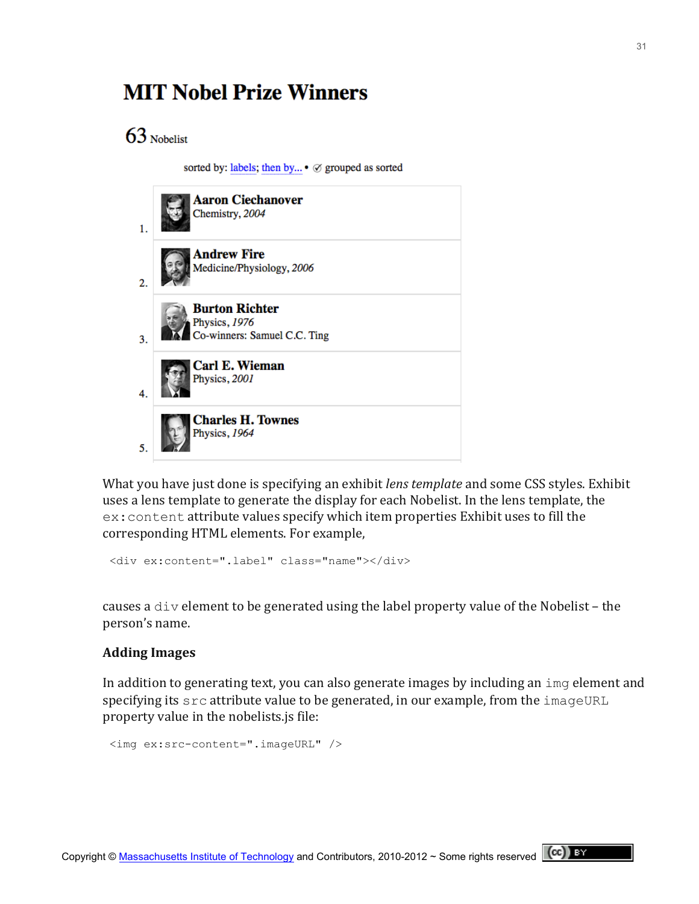## **MIT Nobel Prize Winners**

 $63$  Nobelist

sorted by: labels; then by... • Ø grouped as sorted



What you have just done is specifying an exhibit *lens template* and some CSS styles. Exhibit uses a lens template to generate the display for each Nobelist. In the lens template, the ex: content attribute values specify which item properties Exhibit uses to fill the corresponding HTML elements. For example,

<div ex:content=".label" class="name"></div>

causes a div element to be generated using the label property value of the Nobelist – the person's name.

#### **Adding!Images**

In addition to generating text, you can also generate images by including an  $\pm$  mg element and specifying its  $src$  attribute value to be generated, in our example, from the  $imageURL$ property value in the nobelists.js file:

```
<img ex:src-content=".imageURL" />
```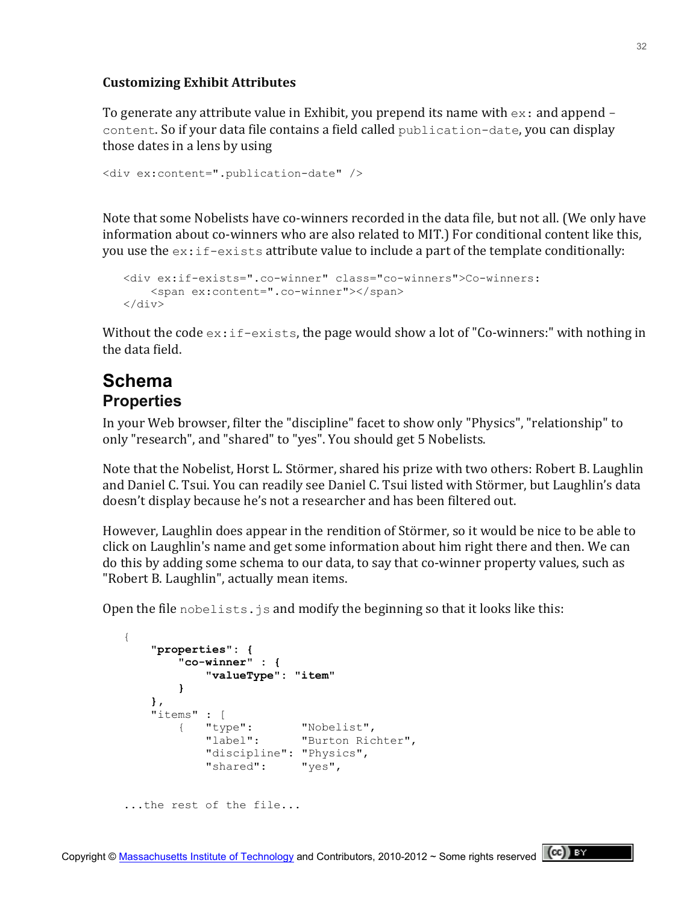#### **Customizing!Exhibit!Attributes**

To generate any attribute value in Exhibit, you prepend its name with  $ex:$  and append content. So if your data file contains a field called publication-date, you can display those dates in a lens by using

```
<div ex:content=".publication-date" />
```
Note that some Nobelists have co-winners recorded in the data file, but not all. (We only have information about co-winners who are also related to MIT.) For conditional content like this, you use the  $ex:if-exists$  attribute value to include a part of the template conditionally:

```
 <div ex:if-exists=".co-winner" class="co-winners">Co-winners: 
     <span ex:content=".co-winner"></span>
 </div>
```
Without the code  $ex:if-exists$ , the page would show a lot of "Co-winners:" with nothing in the data field.

## **Schema Properties**

In your Web browser, filter the "discipline" facet to show only "Physics", "relationship" to only "research", and "shared" to "yes". You should get 5 Nobelists.

Note that the Nobelist, Horst L. Störmer, shared his prize with two others: Robert B. Laughlin and Daniel C. Tsui. You can readily see Daniel C. Tsui listed with Störmer, but Laughlin's data doesn't display because he's not a researcher and has been filtered out.

However, Laughlin does appear in the rendition of Störmer, so it would be nice to be able to click on Laughlin's name and get some information about him right there and then. We can do this by adding some schema to our data, to say that co-winner property values, such as "Robert B. Laughlin", actually mean items.

Open the file nobelists. js and modify the beginning so that it looks like this:

```
 {
       "properties": {
          "co-winner" : {
             "valueType": "item"
 }
       },
      "items" : [\{ "type":
 { "type": "Nobelist",
 "label": "Burton Richter",
             "discipline": "Physics",
             "shared": "yes",
   ...the rest of the file...
```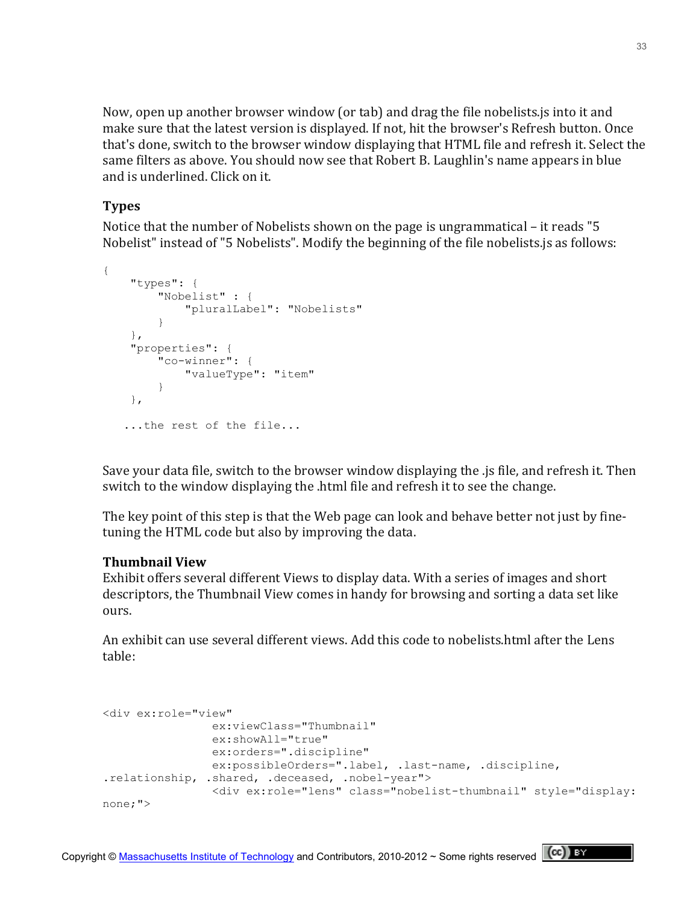Now, open up another browser window (or tab) and drag the file nobelists.js into it and make sure that the latest version is displayed. If not, hit the browser's Refresh button. Once that's done, switch to the browser window displaying that HTML file and refresh it. Select the same filters as above. You should now see that Robert B. Laughlin's name appears in blue and is underlined. Click on it.

#### **Types**

Notice that the number of Nobelists shown on the page is ungrammatical – it reads "5" Nobelist" instead of "5 Nobelists". Modify the beginning of the file nobelists.js as follows:

```
{
     "types": {
         "Nobelist" : {
              "pluralLabel": "Nobelists"
         }
     },
     "properties": {
         "co-winner": {
              "valueType": "item"
         }
     },
    ...the rest of the file...
```
Save your data file, switch to the browser window displaying the .js file, and refresh it. Then switch to the window displaying the .html file and refresh it to see the change.

The key point of this step is that the Web page can look and behave better not just by finetuning the HTML code but also by improving the data.

#### **Thumbnail View**

Exhibit offers several different Views to display data. With a series of images and short descriptors, the Thumbnail View comes in handy for browsing and sorting a data set like ours.

An exhibit can use several different views. Add this code to nobelists.html after the Lens table:

```
<div ex:role="view"
                ex:viewClass="Thumbnail"
                 ex:showAll="true"
                ex:orders=".discipline"
                ex:possibleOrders=".label, .last-name, .discipline, 
.relationship, .shared, .deceased, .nobel-year">
                 <div ex:role="lens" class="nobelist-thumbnail" style="display: 
none;">
```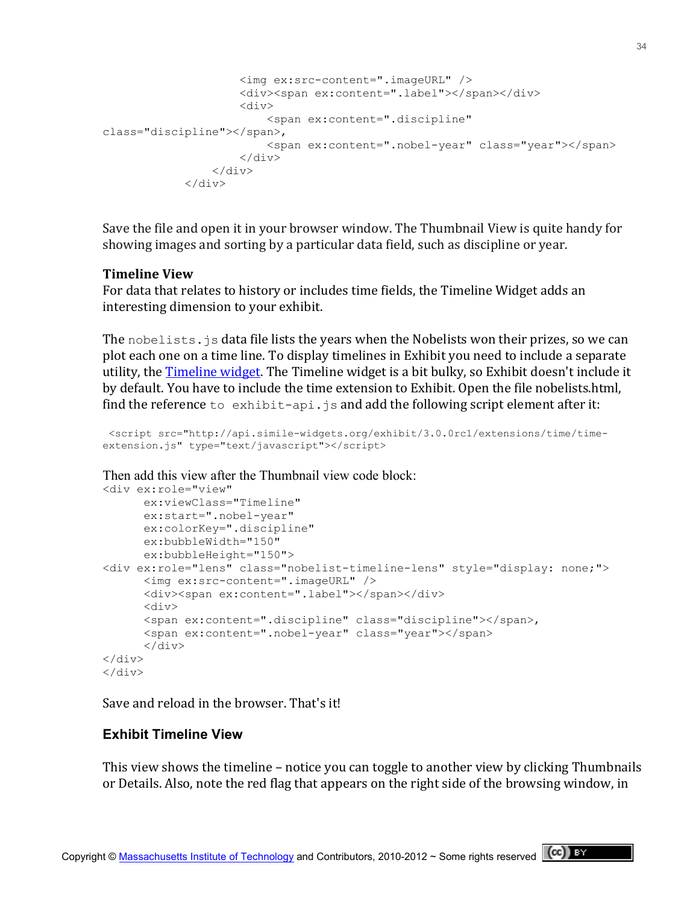```
 <img ex:src-content=".imageURL" />
                      <div><span ex:content=".label"></span></div>
                      <div>
                           <span ex:content=".discipline" 
class="discipline"></span>, 
                           <span ex:content=".nobel-year" class="year"></span>
                       </div>
                  </div>
             \langle div\rangle
```
Save the file and open it in your browser window. The Thumbnail View is quite handy for showing images and sorting by a particular data field, such as discipline or year.

#### **Timeline View**

For data that relates to history or includes time fields, the Timeline Widget adds an interesting dimension to your exhibit.

The nobelists.  $j$ s data file lists the years when the Nobelists won their prizes, so we can plot each one on a time line. To display timelines in Exhibit you need to include a separate utility, the Timeline widget. The Timeline widget is a bit bulky, so Exhibit doesn't include it by default. You have to include the time extension to Exhibit. Open the file nobelists.html, find the reference to exhibit-api. js and add the following script element after it:

```
<script src="http://api.simile-widgets.org/exhibit/3.0.0rc1/extensions/time/time-
extension.js" type="text/javascript"></script>
```
Then add this view after the Thumbnail view code block:

```
<div ex:role="view"
```

```
ex:viewClass="Timeline"
      ex:start=".nobel-year"
      ex:colorKey=".discipline"
      ex:bubbleWidth="150"
     ex:bubbleHeight="150">
<div ex:role="lens" class="nobelist-timeline-lens" style="display: none;">
      <img ex:src-content=".imageURL" />
      <div><span ex:content=".label"></span></div>
      \langlediv\rangle<span ex:content=".discipline" class="discipline"></span>, 
      <span ex:content=".nobel-year" class="year"></span>
      \langle div>
\langle div>
</div>
```
Save and reload in the browser. That's it!

#### **Exhibit Timeline View**

This view shows the timeline – notice you can toggle to another view by clicking Thumbnails or Details. Also, note the red flag that appears on the right side of the browsing window, in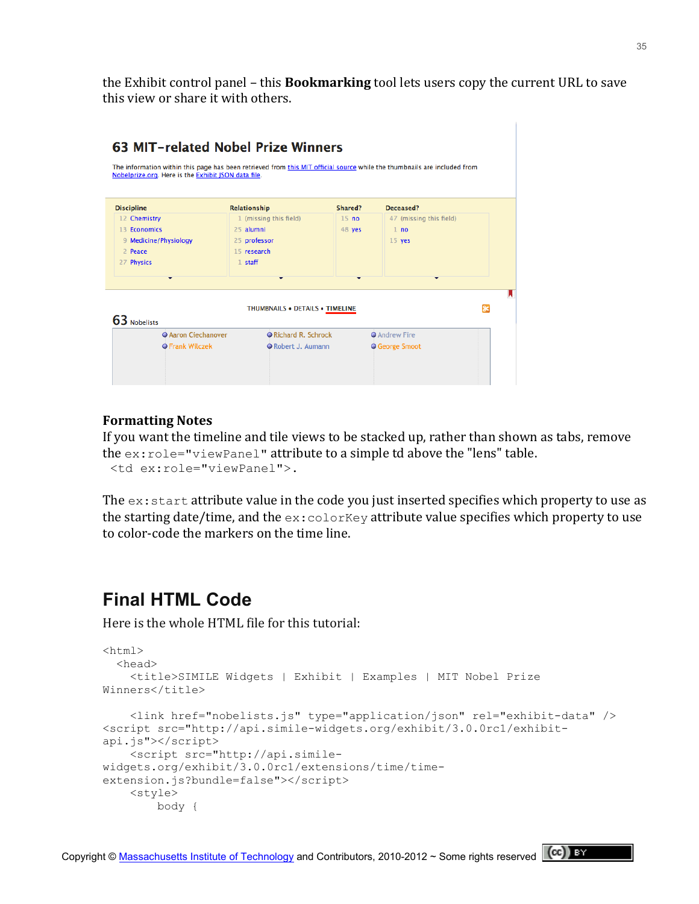the Exhibit control panel – this **Bookmarking** tool lets users copy the current URL to save this view or share it with others.

| 1 (missing this field)<br>47 (missing this field)<br>15 <sub>no</sub><br>25 alumni<br>48 yes<br>1 no<br>9 Medicine/Physiology<br>25 professor<br>15 yes<br>15 research<br>2 Peace<br>$1$ staff<br>THUMBNAILS . DETAILS . TIMELINE | <b>Discipline</b>                          | Relationship       | Shared? | Deceased?          |  |
|-----------------------------------------------------------------------------------------------------------------------------------------------------------------------------------------------------------------------------------|--------------------------------------------|--------------------|---------|--------------------|--|
| 13 Economics<br>27 Physics                                                                                                                                                                                                        | 12 Chemistry                               |                    |         |                    |  |
|                                                                                                                                                                                                                                   |                                            |                    |         |                    |  |
|                                                                                                                                                                                                                                   |                                            |                    |         |                    |  |
|                                                                                                                                                                                                                                   |                                            |                    |         |                    |  |
|                                                                                                                                                                                                                                   |                                            |                    |         |                    |  |
|                                                                                                                                                                                                                                   |                                            |                    |         |                    |  |
|                                                                                                                                                                                                                                   | 63 Nobelists<br><b>O Aaron Ciechanover</b> | Richard R. Schrock |         | <b>Andrew Fire</b> |  |

#### **Formatting!Notes**

If you want the timeline and tile views to be stacked up, rather than shown as tabs, remove the  $ex:role="viewPanel"$  attribute to a simple td above the "lens" table. <td ex:role="viewPanel">.

The  $ex:start$  attribute value in the code you just inserted specifies which property to use as the starting date/time, and the  $ex:colorKey$  attribute value specifies which property to use to color-code the markers on the time line.

## **Final HTML Code**

Here is the whole HTML file for this tutorial:

```
<html> <head>
    <title>SIMILE Widgets | Exhibit | Examples | MIT Nobel Prize 
Winners</title>
     <link href="nobelists.js" type="application/json" rel="exhibit-data" />
<script src="http://api.simile-widgets.org/exhibit/3.0.0rc1/exhibit-
api.js"></script>
     <script src="http://api.simile-
widgets.org/exhibit/3.0.0rc1/extensions/time/time-
extension.js?bundle=false"></script> 
     <style>
         body {
```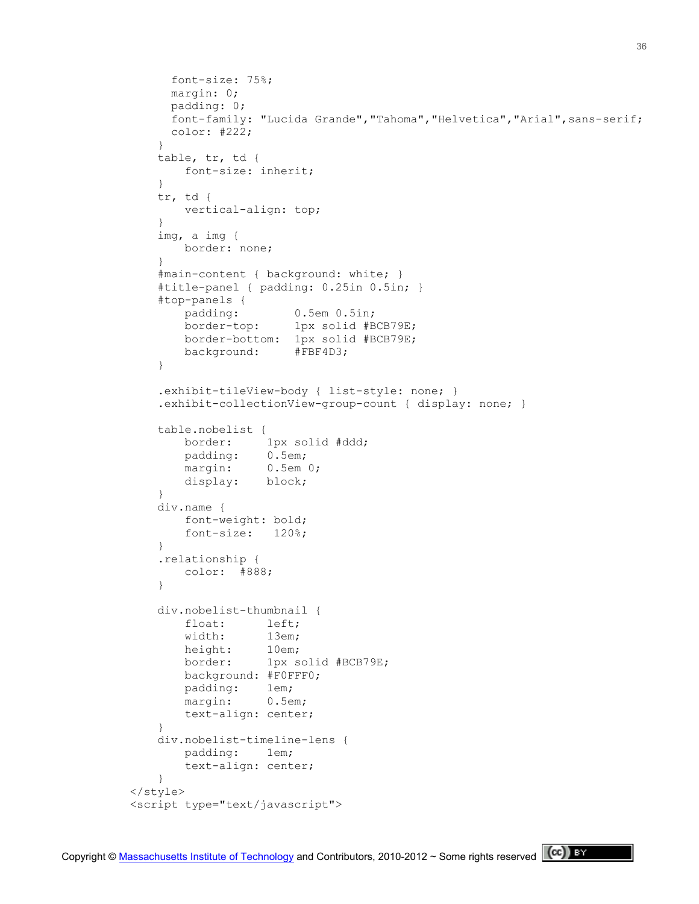```
 font-size: 75%;
          margin: 0;
          padding: 0;
         font-family: "Lucida Grande", "Tahoma", "Helvetica", "Arial", sans-serif;
          color: #222;
 }
        table, tr, td {
           font-size: inherit;
        }
        tr, td {
            vertical-align: top;
 }
        img, a img {
           border: none;
 }
        #main-content { background: white; }
        #title-panel { padding: 0.25in 0.5in; }
        #top-panels {
            padding: 0.5em 0.5in;
            border-top: 1px solid #BCB79E;
            border-bottom: 1px solid #BCB79E;
            background: #FBF4D3;
        }
        .exhibit-tileView-body { list-style: none; }
        .exhibit-collectionView-group-count { display: none; }
        table.nobelist {
            border: 1px solid #ddd;
            padding: 0.5em;
           margin: 0.5em 0;
            display: block;
 }
        div.name {
            font-weight: bold;
            font-size: 120%;
        }
        .relationship {
            color: #888;
 }
        div.nobelist-thumbnail {
            float: left;
            width: 13em;
           height: 10em;<br>horder: 1-
            border: 1px solid #BCB79E;
            background: #F0FFF0;
            padding: 1em;
           margin: 0.5em;
            text-align: center;
 }
        div.nobelist-timeline-lens {
            padding: 1em;
            text-align: center;
        }
    </style>
    <script type="text/javascript">
```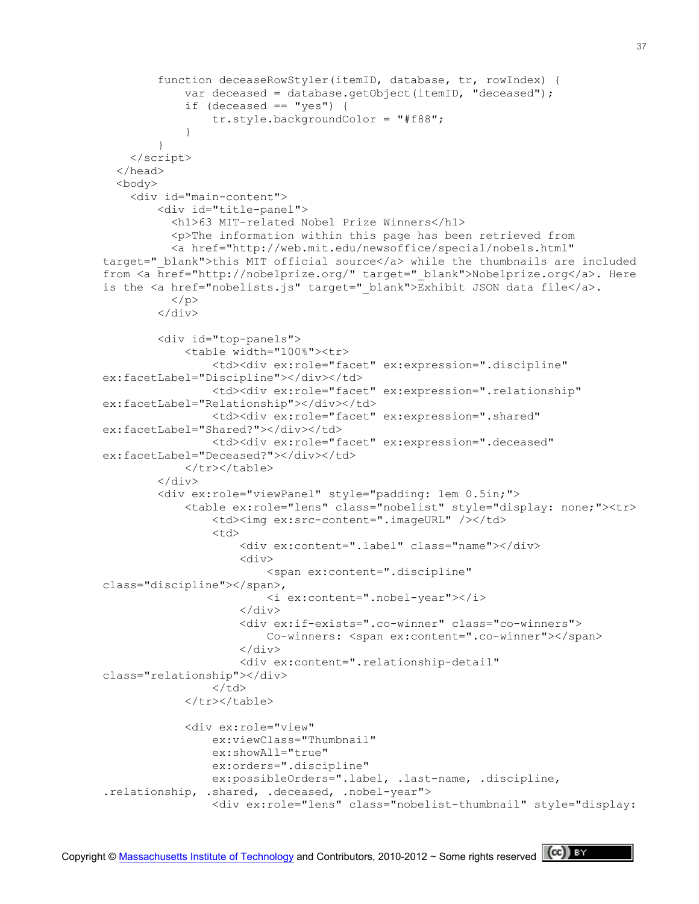```
 function deceaseRowStyler(itemID, database, tr, rowIndex) {
             var deceased = database.getObject(itemID, "deceased");
            if (deceased == "yes") {
                 tr.style.backgroundColor = "#f88";
 }
 }
     </script>
   </head> 
   <body>
     <div id="main-content">
         <div id="title-panel">
           <h1>63 MIT-related Nobel Prize Winners</h1>
           <p>The information within this page has been retrieved from
           <a href="http://web.mit.edu/newsoffice/special/nobels.html" 
target=" blank">this MIT official source</a> while the thumbnails are included
from <a href="http://nobelprize.org/" target="_blank">Nobelprize.org</a>. Here 
is the \langle a \rangle href="nobelists.js" target=" blank">Exhibit JSON data file\langle /a \rangle.
          \langle/p>
        \langlediv> <div id="top-panels">
             <table width="100%"><tr>
                  <td><div ex:role="facet" ex:expression=".discipline" 
ex:facetLabel="Discipline"></div></td>
                  <td><div ex:role="facet" ex:expression=".relationship" 
ex:facetLabel="Relationship"></div></td>
                  <td><div ex:role="facet" ex:expression=".shared" 
ex:facetLabel="Shared?"></div></td>
                 <td><div ex:role="facet" ex:expression=".deceased" 
ex:facetLabel="Deceased?"></div></td>
             </tr></table>
        \langle /div>
         <div ex:role="viewPanel" style="padding: 1em 0.5in;">
             <table ex:role="lens" class="nobelist" style="display: none;"><tr>
                  <td><img ex:src-content=".imageURL" /></td>
                  <td>
                      <div ex:content=".label" class="name"></div>
                     <div>
                          <span ex:content=".discipline" 
class="discipline"></span>,
                          <i ex:content=".nobel-year"></i>
                     \langle div>
                     <div ex:if-exists=".co-winner" class="co-winners">
                         Co-winners: <span ex:content=".co-winner"></span>
                     \langlediv><div ex:content=".relationship-detail" 
class="relationship"></div>
                 \langle/td>
            </tr></table>
             <div ex:role="view"
                 ex:viewClass="Thumbnail"
                  ex:showAll="true"
                 ex:orders=".discipline"
                 ex:possibleOrders=".label, .last-name, .discipline, 
.relationship, .shared, .deceased, .nobel-year">
                  <div ex:role="lens" class="nobelist-thumbnail" style="display:
```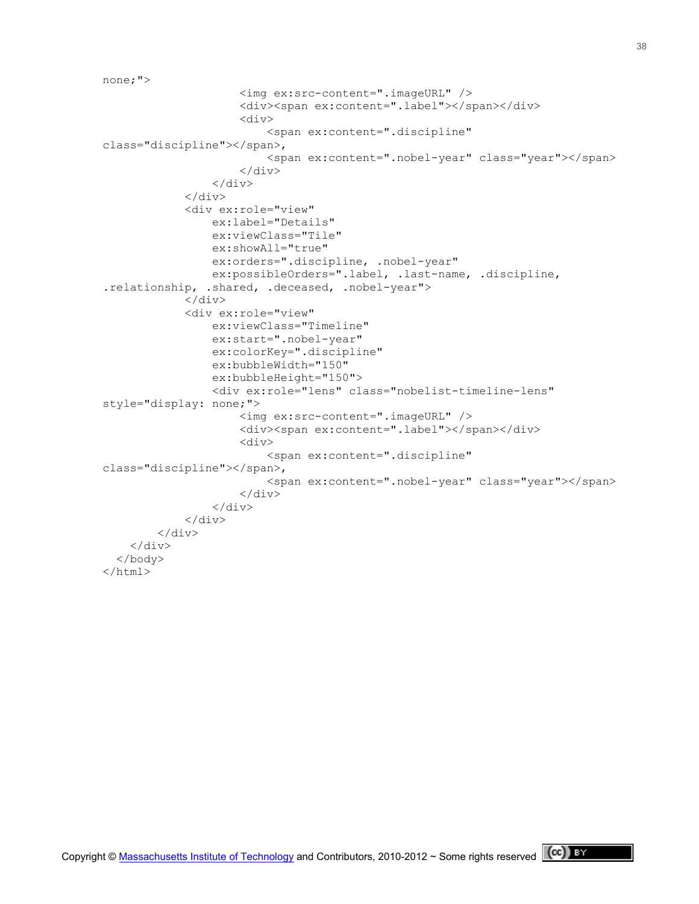```
none;">
                       <img ex:src-content=".imageURL" />
                      <div><span ex:content=".label"></span></div>
                      <div>
                            <span ex:content=".discipline" 
class="discipline"></span>, 
                            <span ex:content=".nobel-year" class="year"></span>
                       </div>
                  \langlediv\rangle\langle div>
              <div ex:role="view"
                  ex:label="Details"
                  ex:viewClass="Tile"
                  ex:showAll="true"
                  ex:orders=".discipline, .nobel-year"
                  ex:possibleOrders=".label, .last-name, .discipline, 
.relationship, .shared, .deceased, .nobel-year">
             \langlediv\rangle <div ex:role="view"
                  ex:viewClass="Timeline"
                  ex:start=".nobel-year"
                  ex:colorKey=".discipline"
                  ex:bubbleWidth="150"
                  ex:bubbleHeight="150">
                  <div ex:role="lens" class="nobelist-timeline-lens" 
style="display: none;">
                       <img ex:src-content=".imageURL" />
                      <div><span ex:content=".label"></span></div>
                      <div>
                            <span ex:content=".discipline" 
class="discipline"></span>,
                            <span ex:content=".nobel-year" class="year"></span>
                      \langle/div\rangle </div>
             \langlediv\rangle\langle div>
    \langle/div\rangle </body>
\langle/html>
```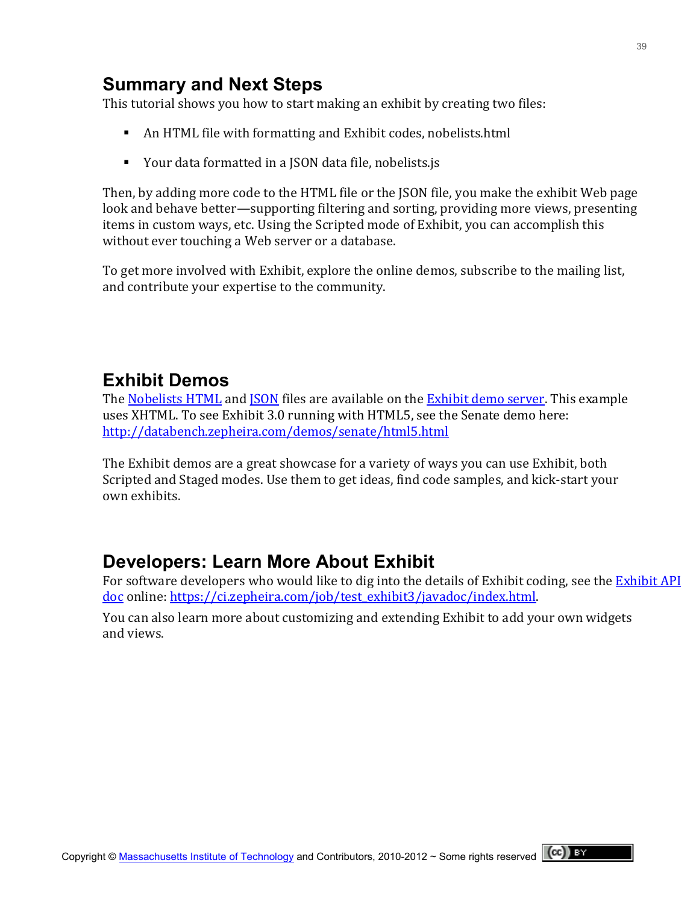## **Summary and Next Steps**

This tutorial shows you how to start making an exhibit by creating two files:

- An HTML file with formatting and Exhibit codes, nobelists.html
- Your data formatted in a JSON data file, nobelists.js

Then, by adding more code to the HTML file or the JSON file, you make the exhibit Web page look and behave better—supporting filtering and sorting, providing more views, presenting items in custom ways, etc. Using the Scripted mode of Exhibit, you can accomplish this without ever touching a Web server or a database.

To get more involved with Exhibit, explore the online demos, subscribe to the mailing list, and contribute your expertise to the community.

## **Exhibit Demos**

The Nobelists HTML and JSON files are available on the Exhibit demo server. This example uses XHTML. To see Exhibit 3.0 running with HTML5, see the Senate demo here: <http://databench.zepheira.com/demos/senate/html5.html>

The Exhibit demos are a great showcase for a variety of ways you can use Exhibit, both Scripted and Staged modes. Use them to get ideas, find code samples, and kick-start your own exhibits.

## **Developers: Learn More About Exhibit**

For software developers who would like to dig into the details of Exhibit coding, see the Exhibit API [doc](https://ci.zepheira.com/job/test_exhibit3/javadoc/index.html) online: https://ci.zepheira.com/job/test\_exhibit3/javadoc/index.html.

You can also learn more about customizing and extending Exhibit to add your own widgets and views.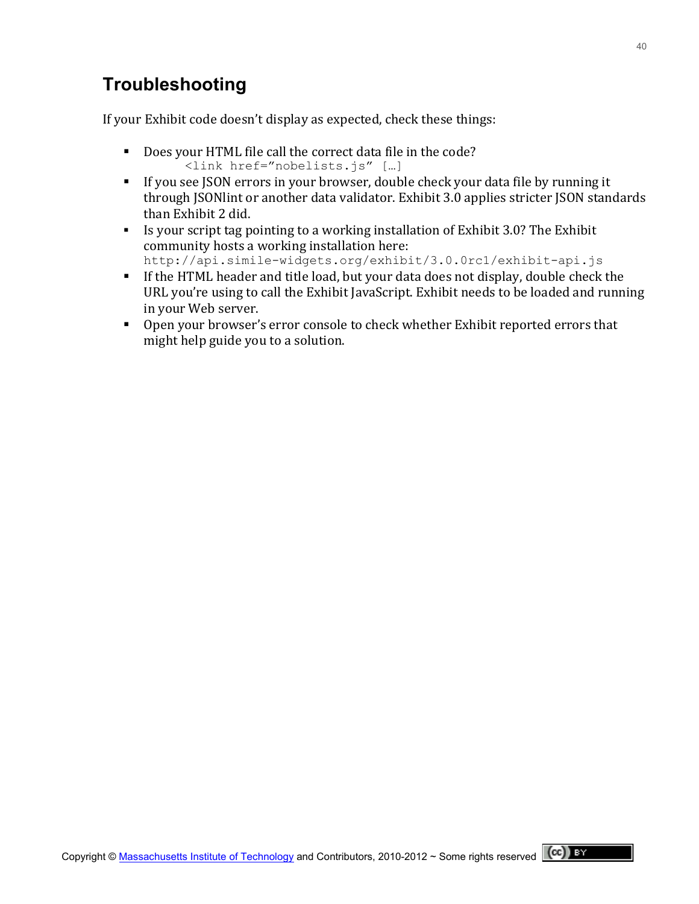## **Troubleshooting**

If your Exhibit code doesn't display as expected, check these things:

- Does your HTML file call the correct data file in the code? <link href="nobelists.js" […]
- If you see JSON errors in your browser, double check your data file by running it through ISONlint or another data validator. Exhibit 3.0 applies stricter ISON standards than Exhibit 2 did.
- Is your script tag pointing to a working installation of Exhibit 3.0? The Exhibit community hosts a working installation here:
	- http://api.simile-widgets.org/exhibit/3.0.0rc1/exhibit-api.js
- If the HTML header and title load, but your data does not display, double check the URL you're using to call the Exhibit JavaScript. Exhibit needs to be loaded and running in your Web server.
- Open your browser's error console to check whether Exhibit reported errors that might help guide you to a solution.

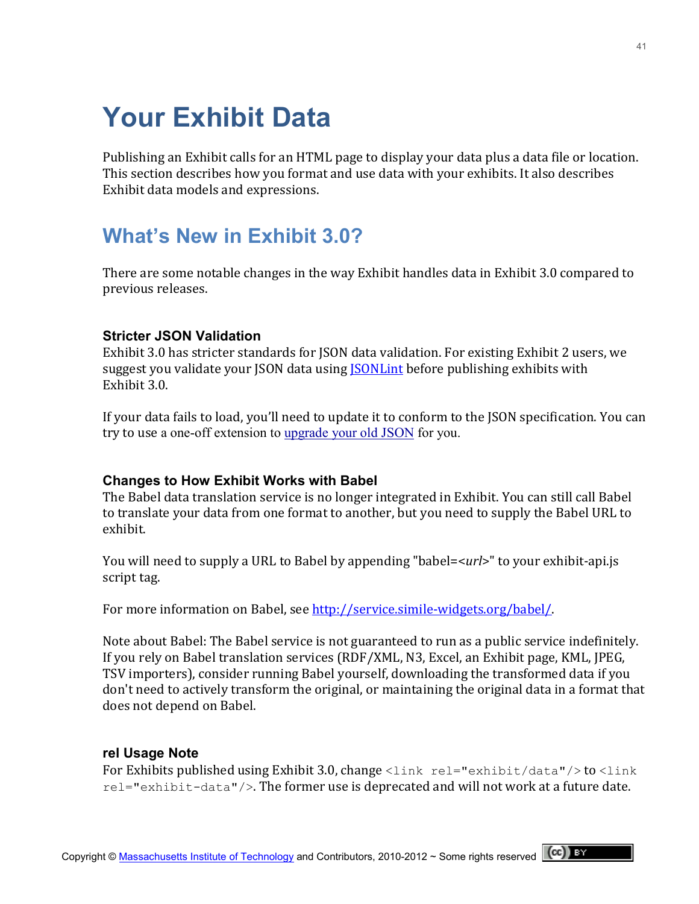# **Your Exhibit Data**

Publishing an Exhibit calls for an HTML page to display your data plus a data file or location. This section describes how you format and use data with your exhibits. It also describes Exhibit data models and expressions.

# **What's New in Exhibit 3.0?**

There are some notable changes in the way Exhibit handles data in Exhibit 3.0 compared to previous releases.

#### **Stricter JSON Validation**

Exhibit 3.0 has stricter standards for JSON data validation. For existing Exhibit 2 users, we suggest you validate your JSON data using **JSONLint** before publishing exhibits with Exhibit 3.0.

If your data fails to load, you'll need to update it to conform to the ISON specification. You can try to use a one-off extension to [upgrade your old JSON](https://github.com/zepheira/exhibit3/issues/37) for you.

#### **Changes to How Exhibit Works with Babel**

The Babel data translation service is no longer integrated in Exhibit. You can still call Babel to translate your data from one format to another, but you need to supply the Babel URL to exhibit.

You will need to supply a URL to Babel by appending "babel=<*url*>" to your exhibit-api.js script tag.

For more information on Babel, see http://service.simile-widgets.org/babel/.

Note about Babel: The Babel service is not guaranteed to run as a public service indefinitely. If you rely on Babel translation services (RDF/XML, N3, Excel, an Exhibit page, KML, JPEG, TSV importers), consider running Babel yourself, downloading the transformed data if you don't need to actively transform the original, or maintaining the original data in a format that does not depend on Babel.

#### **rel Usage Note**

For Exhibits published using Exhibit 3.0, change  $\langle$ link rel="exhibit/data"/> to  $\langle$ link  $rel="exhibit-data'/$ . The former use is deprecated and will not work at a future date.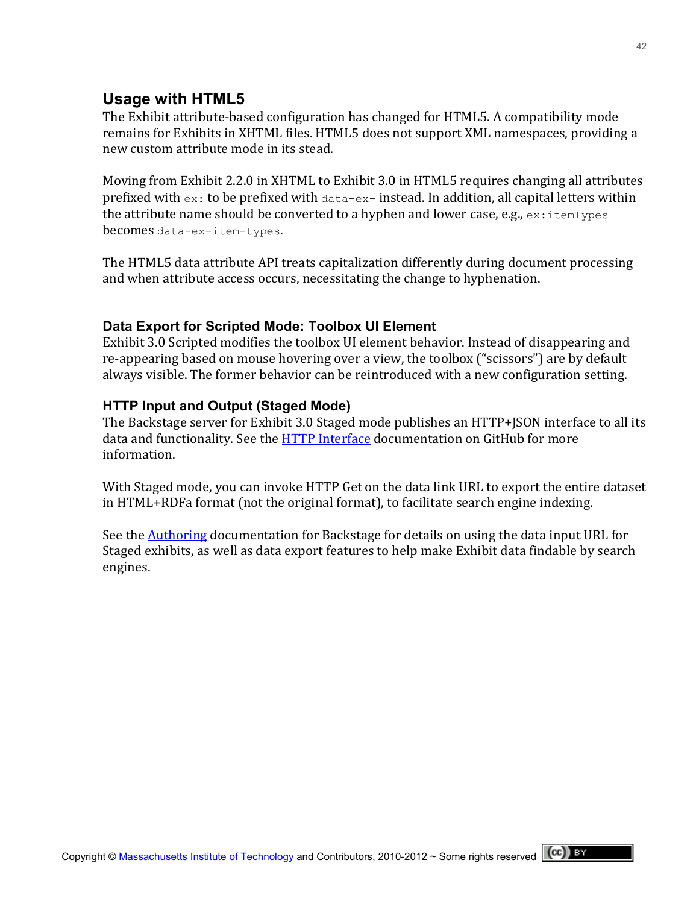## **Usage with HTML5**

The Exhibit attribute-based configuration has changed for HTML5. A compatibility mode remains for Exhibits in XHTML files. HTML5 does not support XML namespaces, providing a new custom attribute mode in its stead.

Moving from Exhibit 2.2.0 in XHTML to Exhibit 3.0 in HTML5 requires changing all attributes prefixed with  $ex:$  to be prefixed with  $data-ex-$  instead. In addition, all capital letters within the attribute name should be converted to a hyphen and lower case, e.g.,  $ex:itemTypes$ becomes data-ex-item-types.

The HTML5 data attribute API treats capitalization differently during document processing and when attribute access occurs, necessitating the change to hyphenation.

#### **Data Export for Scripted Mode: Toolbox UI Element**

Exhibit 3.0 Scripted modifies the toolbox UI element behavior. Instead of disappearing and re-appearing based on mouse hovering over a view, the toolbox ("scissors") are by default always visible. The former behavior can be reintroduced with a new configuration setting.

#### **HTTP Input and Output (Staged Mode)**

The Backstage server for Exhibit 3.0 Staged mode publishes an HTTP+JSON interface to all its data and functionality. See the **HTTP Interface documentation on GitHub for more** information.!

With Staged mode, you can invoke HTTP Get on the data link URL to export the entire dataset in HTML+RDFa format (not the original format), to facilitate search engine indexing.

See the Authoring documentation for Backstage for details on using the data input URL for Staged exhibits, as well as data export features to help make Exhibit data findable by search engines.

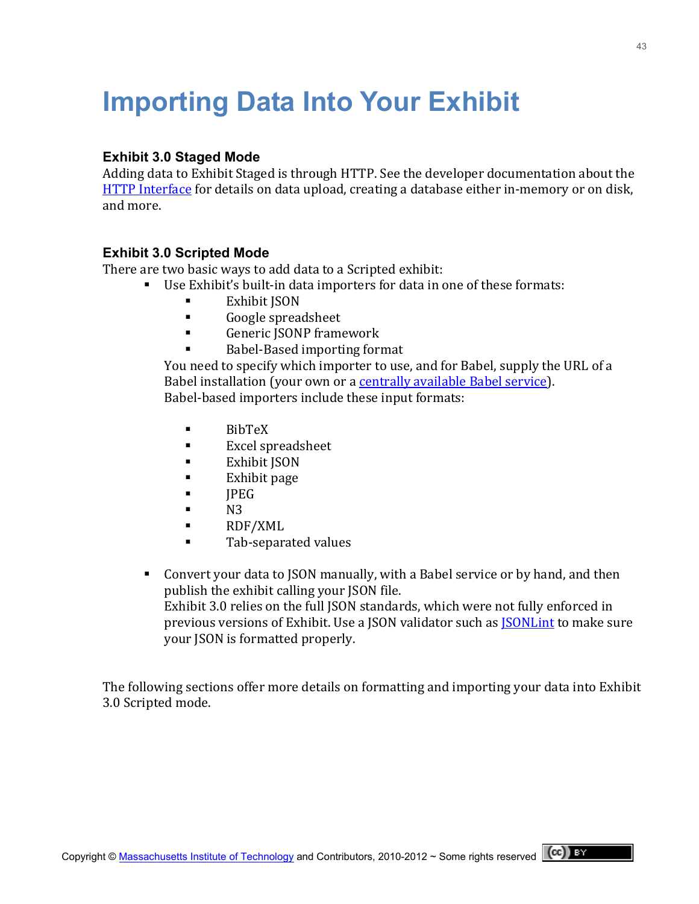# **Importing Data Into Your Exhibit**

#### **Exhibit 3.0 Staged Mode**

Adding data to Exhibit Staged is through HTTP. See the developer documentation about the HTTP Interface for details on data upload, creating a database either in-memory or on disk, and more.

#### **Exhibit 3.0 Scripted Mode**

There are two basic ways to add data to a Scripted exhibit:

- Use Exhibit's built-in data importers for data in one of these formats:
	- Exhibit ISON
	- **Google spreadsheet**
	- Generic JSONP framework
	- Babel-Based importing format

You need to specify which importer to use, and for Babel, supply the URL of a Babel installation (your own or a centrally available Babel service). Babel-based importers include these input formats:

- $\blacksquare$  BibTeX
- **Excel spreadsheet**
- **Exhibit ISON**
- $\blacksquare$  Exhibit page
- $IPEG$
- $N3$
- RDF/XML
- **Tab-separated values**
- Convert your data to JSON manually, with a Babel service or by hand, and then publish the exhibit calling your JSON file. Exhibit 3.0 relies on the full JSON standards, which were not fully enforced in previous versions of Exhibit. Use a JSON validator such as JSONLint to make sure your JSON is formatted properly.

The following sections offer more details on formatting and importing your data into Exhibit 3.0 Scripted mode.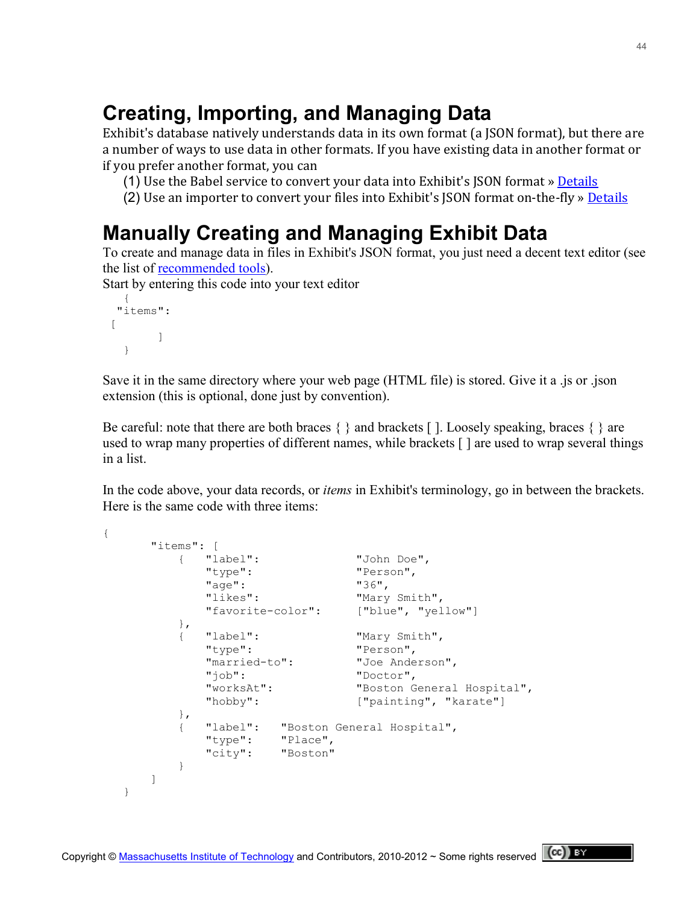# **Creating, Importing, and Managing Data**

Exhibit's database natively understands data in its own format (a JSON format), but there are a number of ways to use data in other formats. If you have existing data in another format or if you prefer another format, you can

- (1) Use the Babel service to convert your data into Exhibit's JSON format » Details
- (2) Use an importer to convert your files into Exhibit's JSON format on-the-fly » Details

# **Manually Creating and Managing Exhibit Data**

To create and manage data in files in Exhibit's JSON format, you just need a decent text editor (see the list of [recommended tools\)](http://simile-widgets.org/w/index.php?title=Exhibit/Tools&action=edit&redlink=1).

Start by entering this code into your text editor

```
{ 
  "items":
\lceil\Box }
```
Save it in the same directory where your web page (HTML file) is stored. Give it a .js or .json extension (this is optional, done just by convention).

Be careful: note that there are both braces  $\{\}$  and brackets []. Loosely speaking, braces  $\{\}$  are used to wrap many properties of different names, while brackets [ ] are used to wrap several things in a list.

In the code above, your data records, or *items* in Exhibit's terminology, go in between the brackets. Here is the same code with three items:

```
{
      "items": [
         { "label": "John Doe",
           "type":
           "age": "36",<br>"likes": "Mary"
                           "Mary Smith",
           "favorite-color": ["blue", "yellow"]
         },
        { "label": "Mary Smith",<br>"type": "Person",
 "type": "Person",
 "married-to": "Joe Anderson",
            "job": "Doctor",
                           "Boston General Hospital",
           "hobby": ["painting", "karate"]
         },
         { "label": "Boston General Hospital",
 "type": "Place",
 "city": "Boston"
 }
      ]
   }
```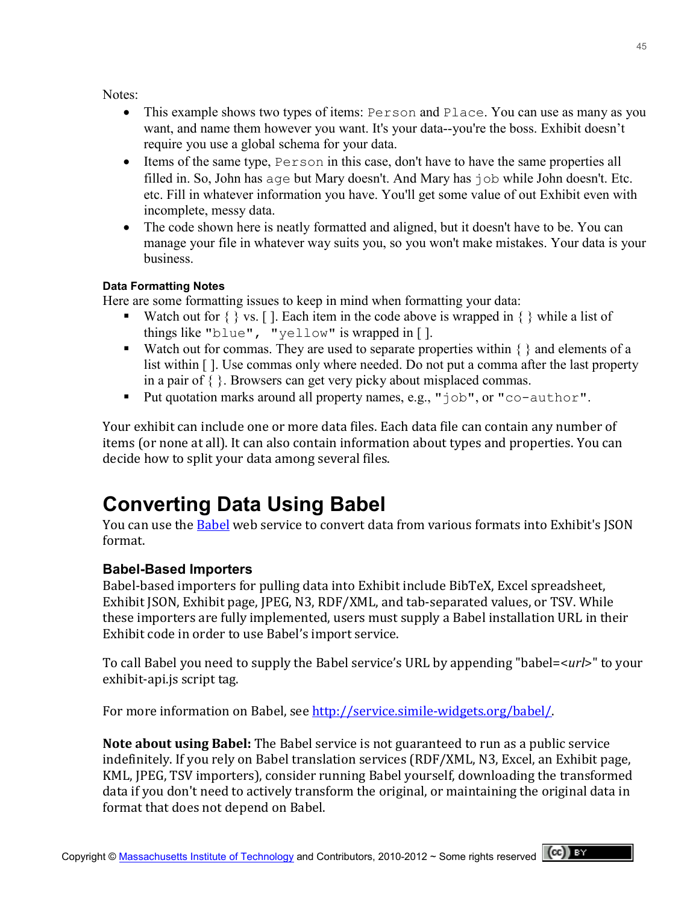Notes:

- This example shows two types of items: Person and Place. You can use as many as you want, and name them however you want. It's your data--you're the boss. Exhibit doesn't require you use a global schema for your data.
- Items of the same type, Person in this case, don't have to have the same properties all filled in. So, John has age but Mary doesn't. And Mary has job while John doesn't. Etc. etc. Fill in whatever information you have. You'll get some value of out Exhibit even with incomplete, messy data.
- The code shown here is neatly formatted and aligned, but it doesn't have to be. You can manage your file in whatever way suits you, so you won't make mistakes. Your data is your business.

#### **Data Formatting Notes**

Here are some formatting issues to keep in mind when formatting your data:

- Watch out for  $\{\}$  vs. [ ]. Each item in the code above is wrapped in  $\{\}$  while a list of things like "blue", "yellow" is wrapped in [ ].
- Watch out for commas. They are used to separate properties within  $\{\}$  and elements of a list within [ ]. Use commas only where needed. Do not put a comma after the last property in a pair of { }. Browsers can get very picky about misplaced commas.
- Put quotation marks around all property names, e.g., "job", or "co-author".

Your exhibit can include one or more data files. Each data file can contain any number of items (or none at all). It can also contain information about types and properties. You can decide how to split your data among several files.

# **Converting Data Using Babel**

You can use the Babel web service to convert data from various formats into Exhibit's JSON format.

### **Babel-Based Importers**

Babel-based importers for pulling data into Exhibit include BibTeX, Excel spreadsheet, Exhibit JSON, Exhibit page, JPEG, N3, RDF/XML, and tab-separated values, or TSV. While these importers are fully implemented, users must supply a Babel installation URL in their Exhibit code in order to use Babel's import service.

To call Babel you need to supply the Babel service's URL by appending "babel=<*url*>" to your exhibit-api.js script tag.

For more information on Babel, see http://service.simile-widgets.org/babel/.

Note about using Babel: The Babel service is not guaranteed to run as a public service indefinitely. If you rely on Babel translation services (RDF/XML, N3, Excel, an Exhibit page, KML, JPEG, TSV importers), consider running Babel yourself, downloading the transformed data if you don't need to actively transform the original, or maintaining the original data in format that does not depend on Babel.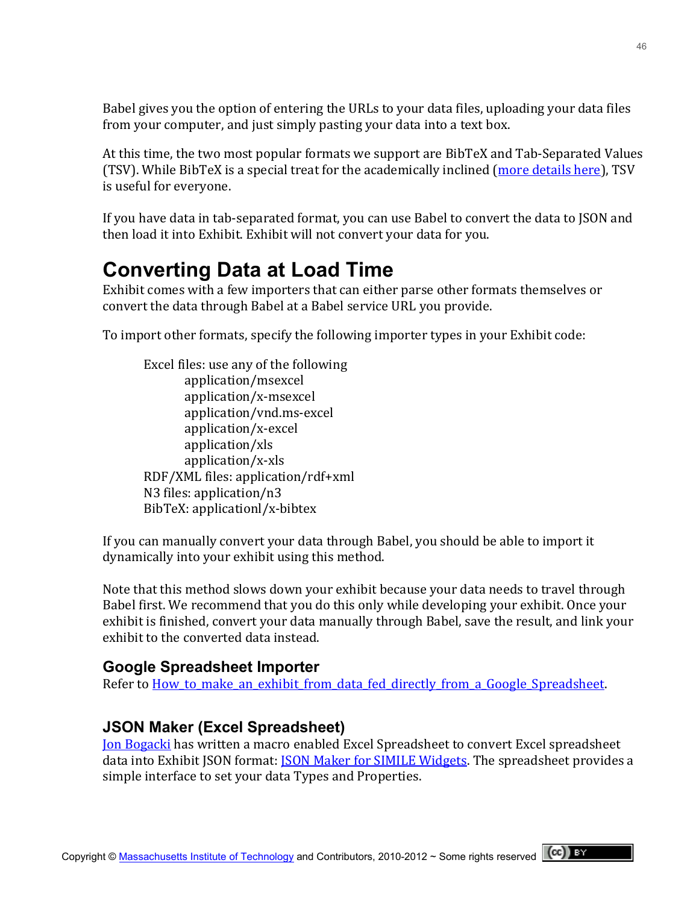Babel gives you the option of entering the URLs to your data files, uploading your data files from your computer, and just simply pasting your data into a text box.

At this time, the two most popular formats we support are BibTeX and Tab-Separated Values (TSV). While BibTeX is a special treat for the academically inclined (more details here), TSV is useful for everyone.

If you have data in tab-separated format, you can use Babel to convert the data to JSON and then load it into Exhibit. Exhibit will not convert your data for you.

# **Converting Data at Load Time**

Exhibit comes with a few importers that can either parse other formats themselves or convert the data through Babel at a Babel service URL you provide.

To import other formats, specify the following importer types in your Exhibit code:

Excel files: use any of the following application/msexcel application/x-msexcel application/vnd.ms-excel application/x=excel! application/xls! application/x=xls! RDF/XML files: application/rdf+xml N3 files: application/n3 BibTeX: applicationl/x-bibtex

If you can manually convert your data through Babel, you should be able to import it dynamically into your exhibit using this method.

Note that this method slows down your exhibit because your data needs to travel through Babel first. We recommend that you do this only while developing your exhibit. Once your exhibit is finished, convert your data manually through Babel, save the result, and link your exhibit to the converted data instead.

## **Google Spreadsheet Importer**

Refer to How to make an exhibit from data fed directly from a Google Spreadsheet.

## **JSON Maker (Excel Spreadsheet)**

Jon Bogacki has written a macro enabled Excel Spreadsheet to convert Excel spreadsheet data into Exhibit ISON format: **JSON Maker for SIMILE Widgets. The spreadsheet provides a** simple interface to set your data Types and Properties.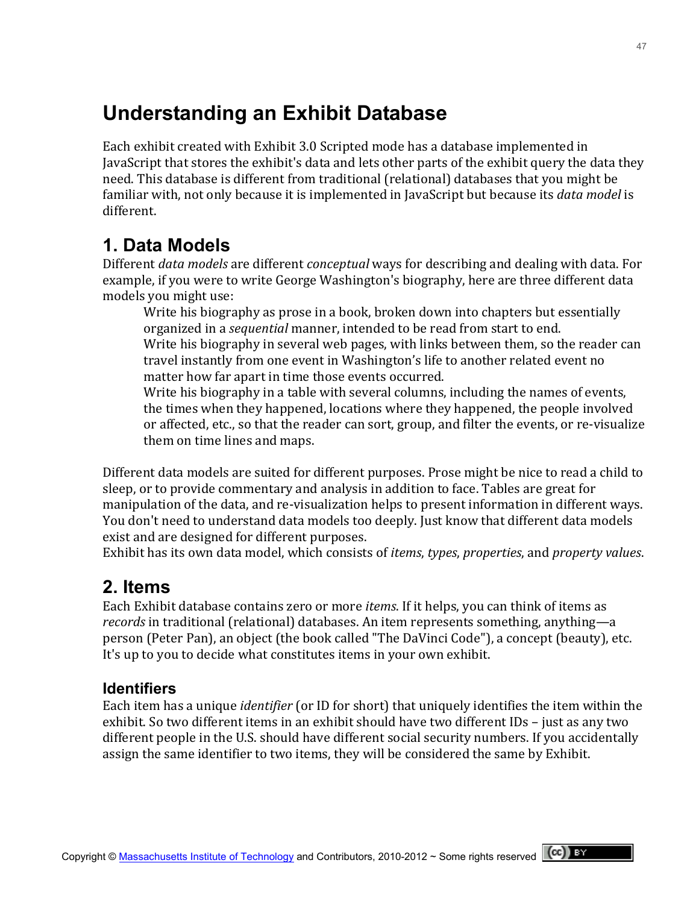# **Understanding an Exhibit Database**

Each exhibit created with Exhibit 3.0 Scripted mode has a database implemented in JavaScript that stores the exhibit's data and lets other parts of the exhibit query the data they need. This database is different from traditional (relational) databases that you might be familiar with, not only because it is implemented in JavaScript but because its *data model* is different.

## **1. Data Models**

Different *data models* are different *conceptual* ways for describing and dealing with data. For example, if you were to write George Washington's biography, here are three different data models you might use:

Write his biography as prose in a book, broken down into chapters but essentially organized in a *sequential* manner, intended to be read from start to end. Write his biography in several web pages, with links between them, so the reader can travel instantly from one event in Washington's life to another related event no matter how far apart in time those events occurred.

Write his biography in a table with several columns, including the names of events, the times when they happened, locations where they happened, the people involved or affected, etc., so that the reader can sort, group, and filter the events, or re-visualize them on time lines and maps.

Different data models are suited for different purposes. Prose might be nice to read a child to sleep, or to provide commentary and analysis in addition to face. Tables are great for manipulation of the data, and re-visualization helps to present information in different ways. You don't need to understand data models too deeply. Just know that different data models exist and are designed for different purposes.

Exhibit has its own data model, which consists of *items*, *types*, *properties*, and *property values*.

## **2. Items**

Each Exhibit database contains zero or more *items*. If it helps, you can think of items as *records* in traditional (relational) databases. An item represents something, anything—a person (Peter Pan), an object (the book called "The DaVinci Code"), a concept (beauty), etc. It's up to you to decide what constitutes items in your own exhibit.

## **Identifiers**

Each item has a unique *identifier* (or ID for short) that uniquely identifies the item within the exhibit. So two different items in an exhibit should have two different IDs – just as any two different people in the U.S. should have different social security numbers. If you accidentally assign the same identifier to two items, they will be considered the same by Exhibit.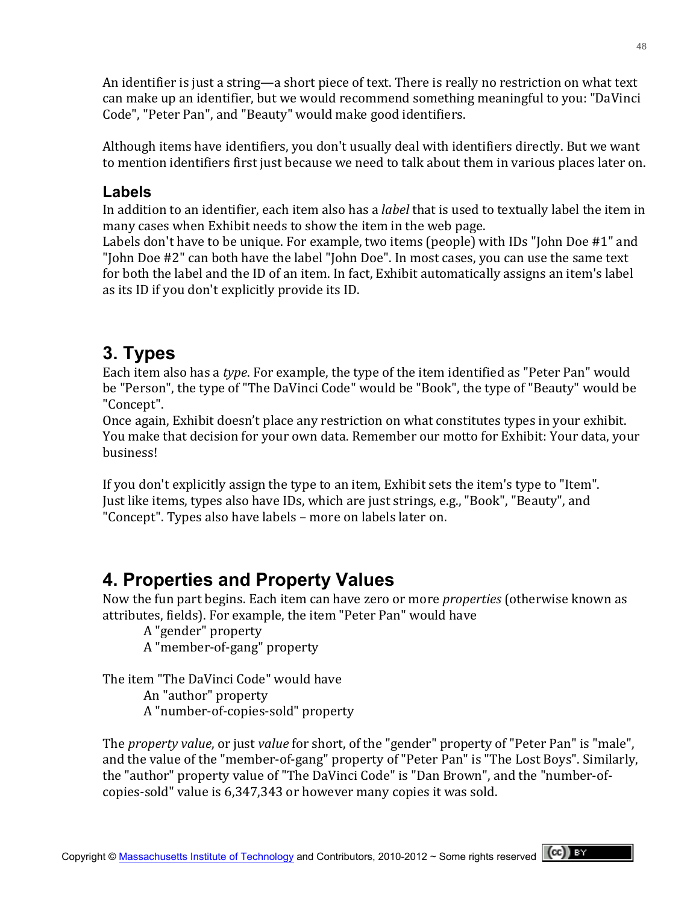An identifier is just a string—a short piece of text. There is really no restriction on what text can make up an identifier, but we would recommend something meaningful to you: "DaVinci" Code", "Peter Pan", and "Beauty" would make good identifiers.

Although items have identifiers, you don't usually deal with identifiers directly. But we want to mention identifiers first just because we need to talk about them in various places later on.

### **Labels**

In addition to an identifier, each item also has a *label* that is used to textually label the item in many cases when Exhibit needs to show the item in the web page.

Labels don't have to be unique. For example, two items (people) with IDs "John Doe #1" and "John Doe #2" can both have the label "John Doe". In most cases, you can use the same text for both the label and the ID of an item. In fact, Exhibit automatically assigns an item's label as its ID if you don't explicitly provide its ID.

## **3. Types**

Each item also has a *type*. For example, the type of the item identified as "Peter Pan" would be "Person", the type of "The DaVinci Code" would be "Book", the type of "Beauty" would be "Concept".

Once again, Exhibit doesn't place any restriction on what constitutes types in your exhibit. You make that decision for your own data. Remember our motto for Exhibit: Your data, your business!

If you don't explicitly assign the type to an item, Exhibit sets the item's type to "Item". Just like items, types also have IDs, which are just strings, e.g., "Book", "Beauty", and "Concept". Types also have labels – more on labels later on.

## **4. Properties and Property Values**

Now the fun part begins. Each item can have zero or more *properties* (otherwise known as attributes, fields). For example, the item "Peter Pan" would have

A "gender" property

A "member-of-gang" property

The item "The DaVinci Code" would have

An "author" property

A "number-of-copies-sold" property

The *property value*, or just *value* for short, of the "gender" property of "Peter Pan" is "male", and the value of the "member-of-gang" property of "Peter Pan" is "The Lost Boys". Similarly, the "author" property value of "The DaVinci Code" is "Dan Brown", and the "number-ofcopies-sold" value is 6,347,343 or however many copies it was sold.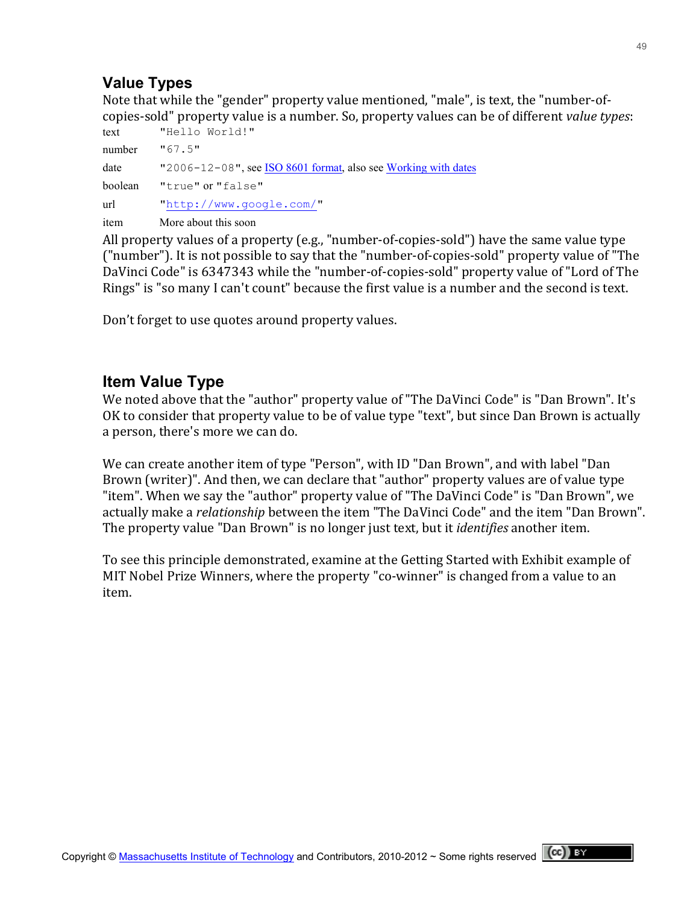## **Value Types**

Note that while the "gender" property value mentioned, "male", is text, the "number-ofcopies-sold" property value is a number. So, property values can be of different *value types*:

| text    | "Hello World!"                                                               |
|---------|------------------------------------------------------------------------------|
| number  | "67.5"                                                                       |
| date    | "2006–12–08", see $\frac{ISO\ 8601\ 6rmat}{1}$ , also see Working with dates |
| boolean | "true" or "false"                                                            |
| url     | "http://www.google.com/"                                                     |
| item    | More about this soon                                                         |

All property values of a property (e.g., "number-of-copies-sold") have the same value type ("number"). It is not possible to say that the "number-of-copies-sold" property value of "The DaVinci Code" is 6347343 while the "number-of-copies-sold" property value of "Lord of The Rings" is "so many I can't count" because the first value is a number and the second is text.

Don't forget to use quotes around property values.

## **Item Value Type**

We noted above that the "author" property value of "The DaVinci Code" is "Dan Brown". It's OK to consider that property value to be of value type "text", but since Dan Brown is actually a person, there's more we can do.

We can create another item of type "Person", with ID "Dan Brown", and with label "Dan Brown (writer)". And then, we can declare that "author" property values are of value type "item". When we say the "author" property value of "The DaVinci Code" is "Dan Brown", we actually make a *relationship* between the item "The DaVinci Code" and the item "Dan Brown". The property value "Dan Brown" is no longer just text, but it *identifies* another item.

To see this principle demonstrated, examine at the Getting Started with Exhibit example of MIT Nobel Prize Winners, where the property "co-winner" is changed from a value to an item.

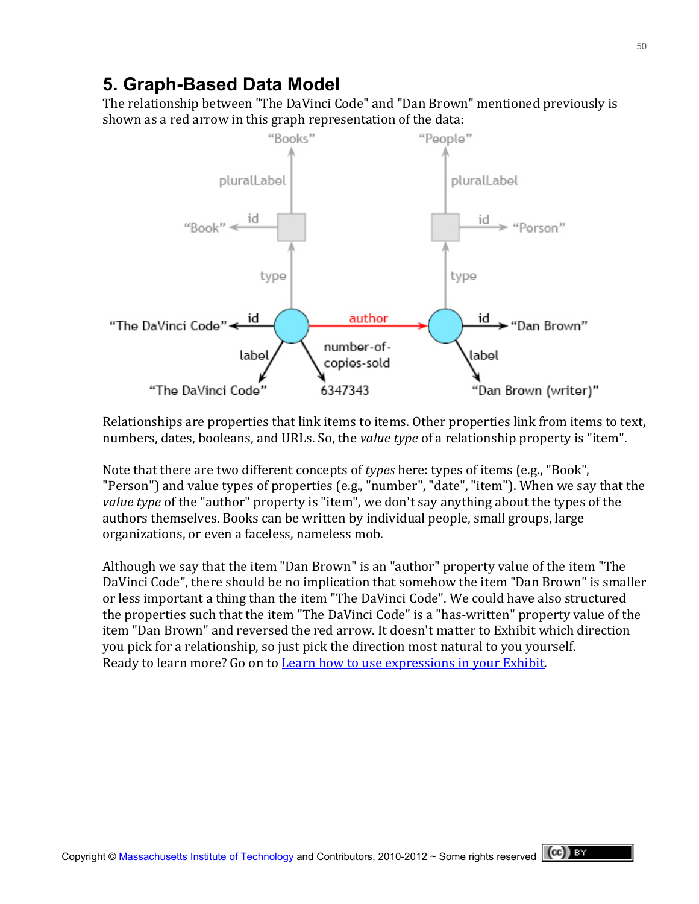## **5. Graph-Based Data Model**

The relationship between "The DaVinci Code" and "Dan Brown" mentioned previously is shown as a red arrow in this graph representation of the data:



Relationships are properties that link items to items. Other properties link from items to text, numbers, dates, booleans, and URLs. So, the *value type* of a relationship property is "item".

Note that there are two different concepts of *types* here: types of items (e.g., "Book", "Person") and value types of properties (e.g., "number", "date", "item"). When we say that the value type of the "author" property is "item", we don't say anything about the types of the authors themselves. Books can be written by individual people, small groups, large organizations, or even a faceless, nameless mob.

Although we say that the item "Dan Brown" is an "author" property value of the item "The DaVinci Code", there should be no implication that somehow the item "Dan Brown" is smaller or less important a thing than the item "The DaVinci Code". We could have also structured the properties such that the item "The DaVinci Code" is a "has-written" property value of the item "Dan Brown" and reversed the red arrow. It doesn't matter to Exhibit which direction you pick for a relationship, so just pick the direction most natural to you yourself. Ready to learn more? Go on to Learn how to use expressions in your Exhibit.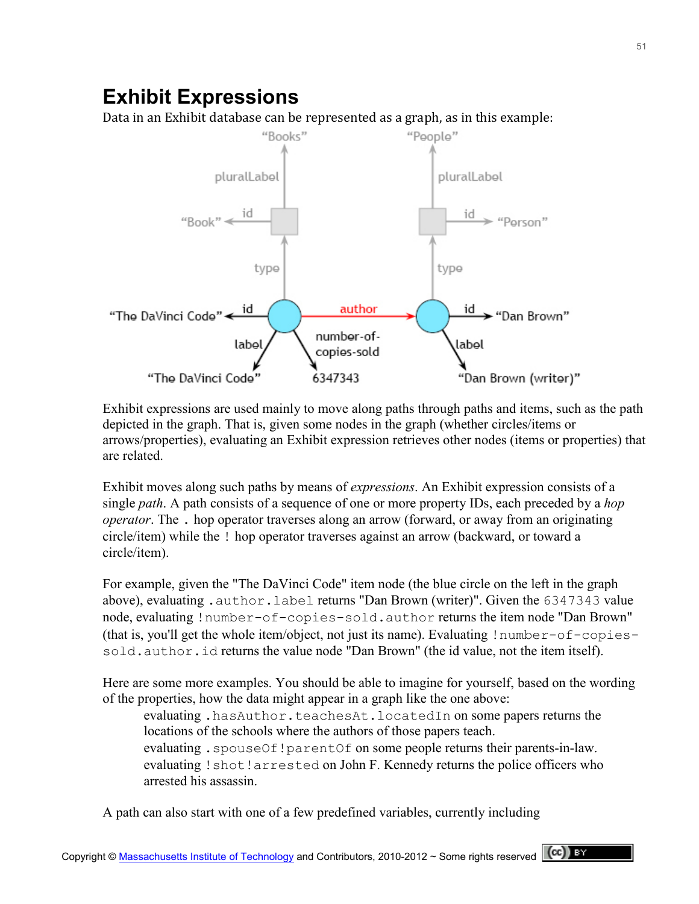## **Exhibit Expressions**

Data in an Exhibit database can be represented as a graph, as in this example:



Exhibit expressions are used mainly to move along paths through paths and items, such as the path depicted in the graph. That is, given some nodes in the graph (whether circles/items or arrows/properties), evaluating an Exhibit expression retrieves other nodes (items or properties) that are related.

Exhibit moves along such paths by means of *expressions*. An Exhibit expression consists of a single *path*. A path consists of a sequence of one or more property IDs, each preceded by a *hop operator*. The . hop operator traverses along an arrow (forward, or away from an originating circle/item) while the ! hop operator traverses against an arrow (backward, or toward a circle/item).

For example, given the "The DaVinci Code" item node (the blue circle on the left in the graph above), evaluating .author.label returns "Dan Brown (writer)". Given the 6347343 value node, evaluating !number-of-copies-sold.author returns the item node "Dan Brown" (that is, you'll get the whole item/object, not just its name). Evaluating !number-of-copiessold.author.id returns the value node "Dan Brown" (the id value, not the item itself).

Here are some more examples. You should be able to imagine for yourself, based on the wording of the properties, how the data might appear in a graph like the one above:

evaluating .hasAuthor.teachesAt.locatedIn on some papers returns the locations of the schools where the authors of those papers teach. evaluating . spouseOf!parentOf on some people returns their parents-in-law. evaluating !shot!arrested on John F. Kennedy returns the police officers who arrested his assassin.

A path can also start with one of a few predefined variables, currently including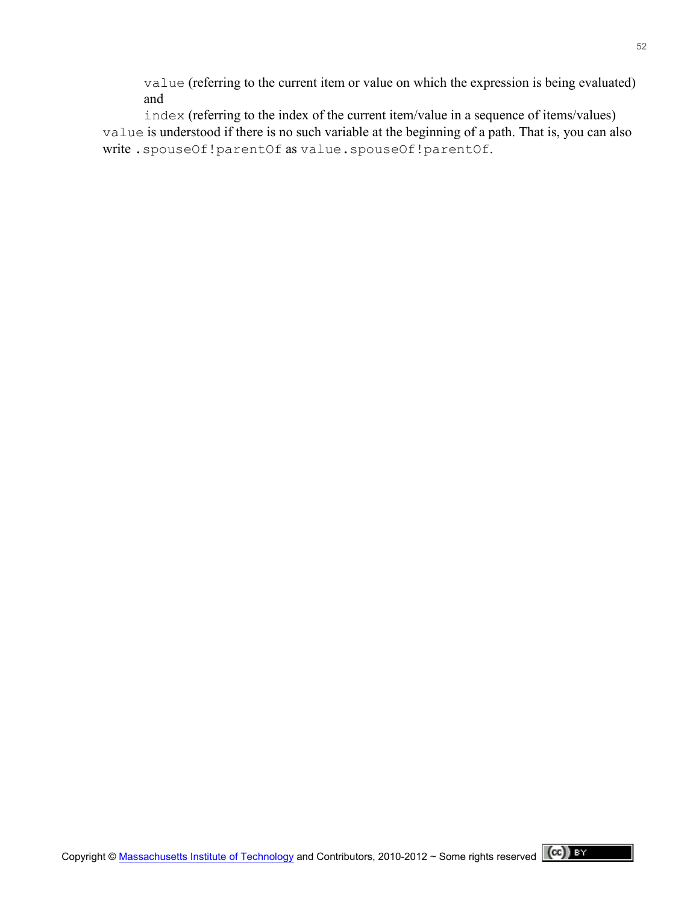value (referring to the current item or value on which the expression is being evaluated) and

index (referring to the index of the current item/value in a sequence of items/values) value is understood if there is no such variable at the beginning of a path. That is, you can also write .spouseOf!parentOf as value.spouseOf!parentOf.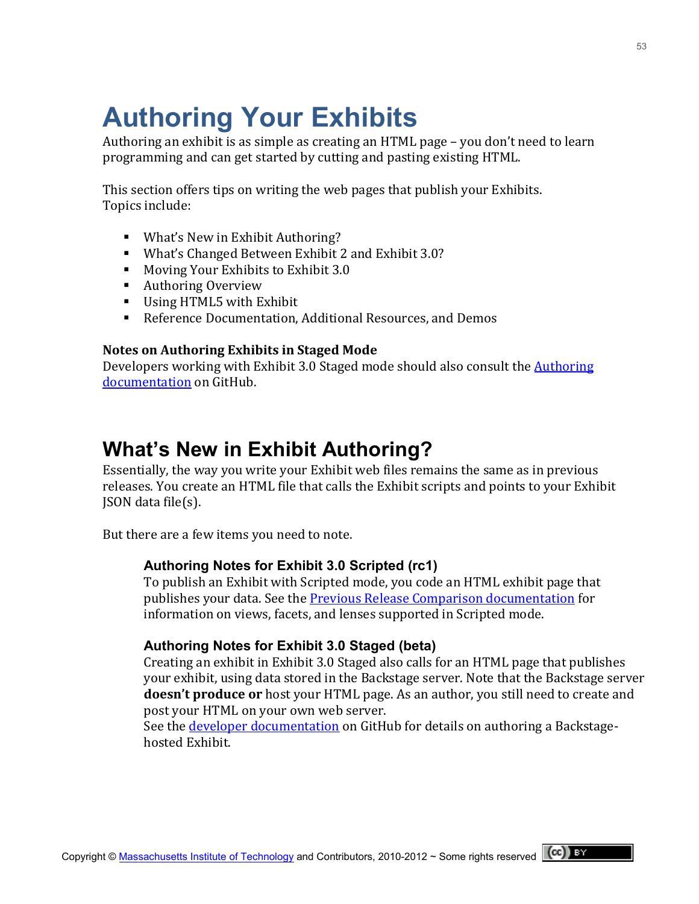# **Authoring Your Exhibits**

Authoring an exhibit is as simple as creating an HTML page – you don't need to learn programming and can get started by cutting and pasting existing HTML.

This section offers tips on writing the web pages that publish your Exhibits. Topics include:

- **What's New in Exhibit Authoring?**
- What's Changed Between Exhibit 2 and Exhibit 3.0?
- Moving Your Exhibits to Exhibit 3.0
- Authoring Overview
- $\blacksquare$  Using HTML5 with Exhibit
- Reference Documentation, Additional Resources, and Demos

#### **Notes on Authoring Exhibits in Staged Mode**

Developers working with Exhibit 3.0 Staged mode should also consult the Authoring [documentation](https://github.com/zepheira/backstage/wiki/Authoring) on GitHub.

## **What's New in Exhibit Authoring?**

Essentially, the way you write your Exhibit web files remains the same as in previous releases. You create an HTML file that calls the Exhibit scripts and points to your Exhibit  $|SON|$  data file(s).

But there are a few items you need to note.

#### **Authoring Notes for Exhibit 3.0 Scripted (rc1)**

To publish an Exhibit with Scripted mode, you code an HTML exhibit page that publishes your data. See the Previous Release Comparison documentation for information on views, facets, and lenses supported in Scripted mode.

#### **Authoring Notes for Exhibit 3.0 Staged (beta)**

Creating an exhibit in Exhibit 3.0 Staged also calls for an HTML page that publishes your exhibit, using data stored in the Backstage server. Note that the Backstage server **doesn't produce or** host your HTML page. As an author, you still need to create and post your HTML on your own web server.

See the developer documentation on GitHub for details on authoring a Backstagehosted Exhibit.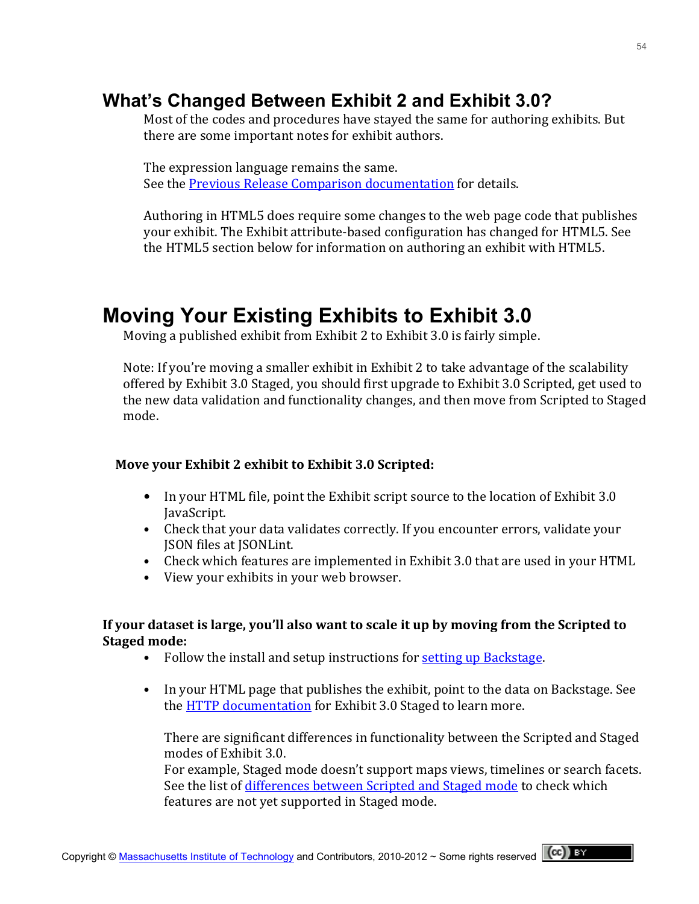## **What's Changed Between Exhibit 2 and Exhibit 3.0?**

Most of the codes and procedures have stayed the same for authoring exhibits. But there are some important notes for exhibit authors.

The expression language remains the same. See the Previous Release Comparison documentation for details.

Authoring in HTML5 does require some changes to the web page code that publishes your exhibit. The Exhibit attribute-based configuration has changed for HTML5. See the HTML5 section below for information on authoring an exhibit with HTML5.

## **Moving Your Existing Exhibits to Exhibit 3.0**

Moving a published exhibit from Exhibit 2 to Exhibit 3.0 is fairly simple.

Note: If you're moving a smaller exhibit in Exhibit 2 to take advantage of the scalability offered by Exhibit 3.0 Staged, you should first upgrade to Exhibit 3.0 Scripted, get used to the new data validation and functionality changes, and then move from Scripted to Staged mode.

#### **Move your Exhibit 2 exhibit to Exhibit 3.0 Scripted:**

- In your HTML file, point the Exhibit script source to the location of Exhibit 3.0 JavaScript.
- Check that your data validates correctly. If you encounter errors, validate your **ISON files at ISONLint.**
- Check which features are implemented in Exhibit 3.0 that are used in your HTML
- View your exhibits in your web browser.

#### If your dataset is large, you'll also want to scale it up by moving from the Scripted to **Staged mode:**

- Follow the install and setup instructions for setting up Backstage.
- In your HTML page that publishes the exhibit, point to the data on Backstage. See the HTTP documentation for Exhibit 3.0 Staged to learn more.

There are significant differences in functionality between the Scripted and Staged modes of Exhibit 3.0.

For example, Staged mode doesn't support maps views, timelines or search facets. See the list of differences between Scripted and Staged mode to check which features are not yet supported in Staged mode.

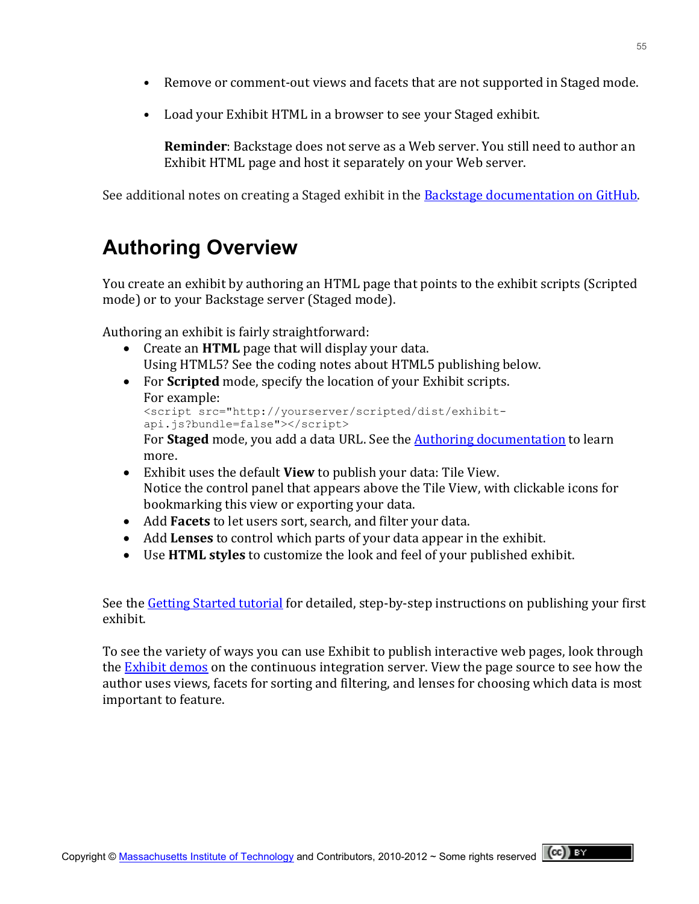- Remove or comment-out views and facets that are not supported in Staged mode.
- Load your Exhibit HTML in a browser to see your Staged exhibit.

**Reminder**: Backstage does not serve as a Web server. You still need to author an Exhibit HTML page and host it separately on your Web server.

See additional notes on creating a Staged exhibit in the Backstage documentation on GitHub.

# **Authoring Overview**

You create an exhibit by authoring an HTML page that points to the exhibit scripts (Scripted mode) or to your Backstage server (Staged mode).

Authoring an exhibit is fairly straightforward:

- Create an **HTML** page that will display your data. Using HTML5? See the coding notes about HTML5 publishing below.
- For **Scripted** mode, specify the location of your Exhibit scripts. For example: <script src="http://yourserver/scripted/dist/exhibitapi.js?bundle=false"></script>

For **Staged** mode, you add a data URL. See the **Authoring documentation** to learn more.

- **Exhibit uses the default View to publish your data: Tile View.** Notice the control panel that appears above the Tile View, with clickable icons for bookmarking this view or exporting your data.
- Add **Facets** to let users sort, search, and filter your data.
- Add **Lenses** to control which parts of your data appear in the exhibit.
- Use **HTML styles** to customize the look and feel of your published exhibit.

See the Getting Started tutorial for detailed, step-by-step instructions on publishing your first exhibit.!

To see the variety of ways you can use Exhibit to publish interactive web pages, look through the **Exhibit demos** on the continuous integration server. View the page source to see how the author uses views, facets for sorting and filtering, and lenses for choosing which data is most important to feature.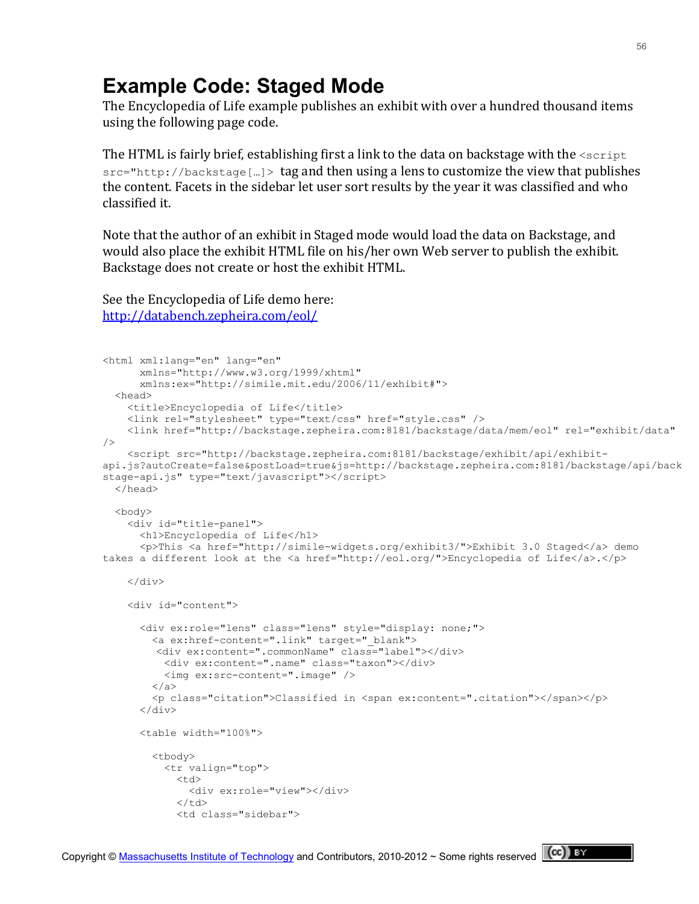## **Example Code: Staged Mode**

The Encyclopedia of Life example publishes an exhibit with over a hundred thousand items using the following page code.

The HTML is fairly brief, establishing first a link to the data on backstage with the  $\leq$ script  $src="http://backstage[...] > tag and then using a lens to customize the view that publishes$ the content. Facets in the sidebar let user sort results by the year it was classified and who classified it.

Note that the author of an exhibit in Staged mode would load the data on Backstage, and would also place the exhibit HTML file on his/her own Web server to publish the exhibit. Backstage does not create or host the exhibit HTML.

See the Encyclopedia of Life demo here: <http://databench.zepheira.com/eol/>

```
<html xml:lang="en" lang="en"
       xmlns="http://www.w3.org/1999/xhtml"
      xmlns:ex="http://simile.mit.edu/2006/11/exhibit#">
  <head> 
    <title>Encyclopedia of Life</title> 
    <link rel="stylesheet" type="text/css" href="style.css" />
    <link href="http://backstage.zepheira.com:8181/backstage/data/mem/eol" rel="exhibit/data" 
/ <script src="http://backstage.zepheira.com:8181/backstage/exhibit/api/exhibit-
api.js?autoCreate=false&postLoad=true&js=http://backstage.zepheira.com:8181/backstage/api/back
stage-api.js" type="text/javascript"></script>
  </head>
  <body> 
    <div id="title-panel"> 
      <h1>Encyclopedia of Life</h1> 
       <p>This <a href="http://simile-widgets.org/exhibit3/">Exhibit 3.0 Staged</a> demo 
takes a different look at the <a href="http://eol.org/">Encyclopedia of Life</a>.</p>
    </div> 
     <div id="content"> 
       <div ex:role="lens" class="lens" style="display: none;"> 
         <a ex:href-content=".link" target="_blank">
         <div ex:content=".commonName" class="label"></div>
           <div ex:content=".name" class="taxon"></div>
           <img ex:src-content=".image" />
        \langlea>
        <p class="citation">Classified in <span ex:content=".citation"></span></p>
       </div> 
       <table width="100%">
         <tbody>
           <tr valign="top"> 
            < t.d <div ex:role="view"></div> 
            \langle t \rangle <td class="sidebar">
```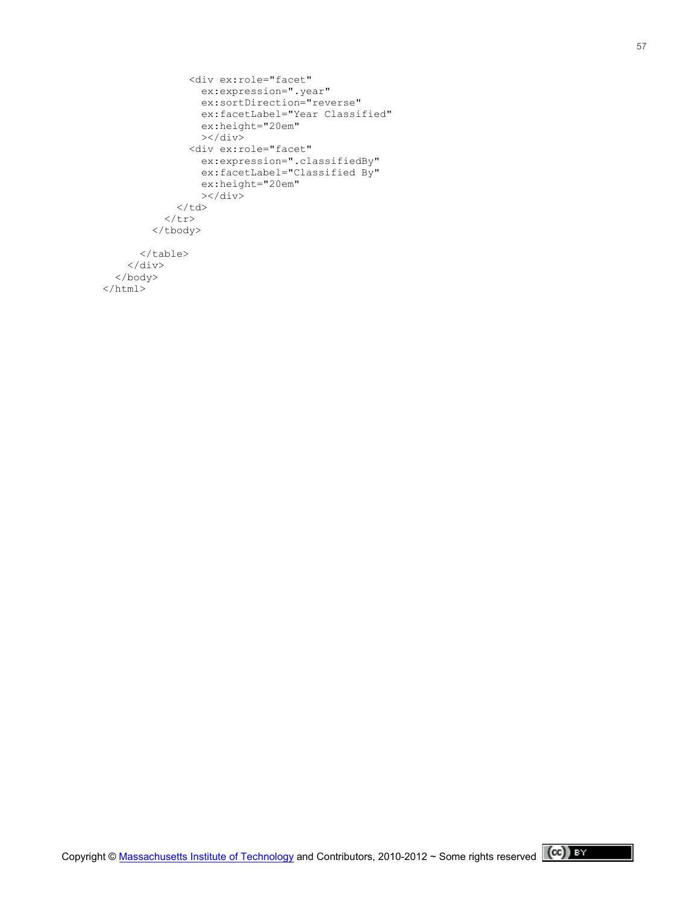```
 <div ex:role="facet"
                    ex:expression=".year"
                    ex:sortDirection="reverse"
                    ex:facetLabel="Year Classified"
                    ex:height="20em"
                   >\frac{1}{\text{div}} <div ex:role="facet"
                    ex:expression=".classifiedBy"
                    ex:facetLabel="Classified By"
                    ex:height="20em"
                   >\frac{1}{\text{div}}\langle t \rangle\langletr>
          </tbody>
        </table> 
    \langle div>
   </body> 
\langle/html>
```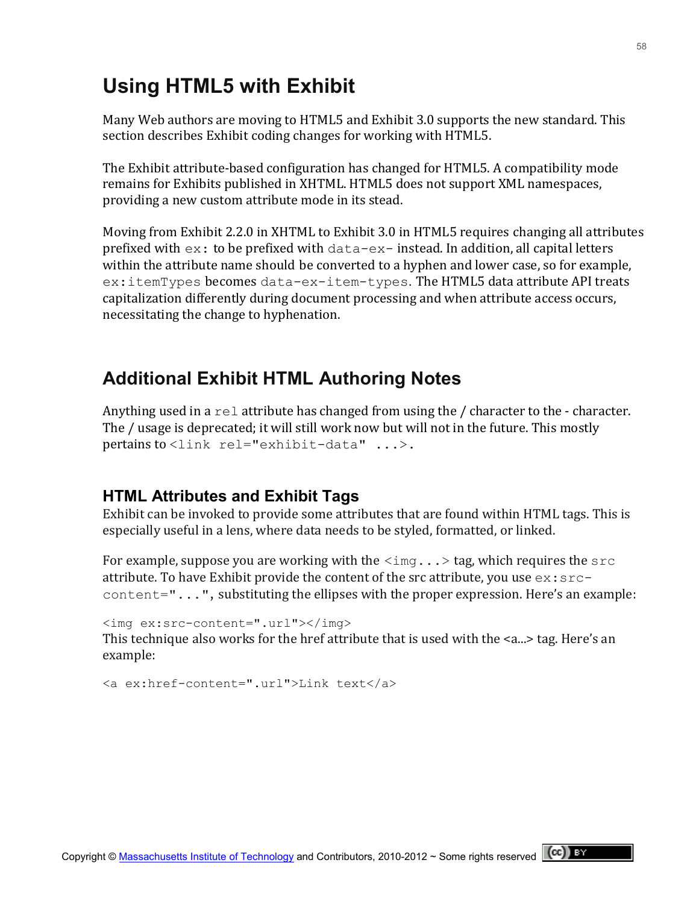# **Using HTML5 with Exhibit**

Many Web authors are moving to HTML5 and Exhibit 3.0 supports the new standard. This section describes Exhibit coding changes for working with HTML5.

The Exhibit attribute-based configuration has changed for HTML5. A compatibility mode remains for Exhibits published in XHTML. HTML5 does not support XML namespaces, providing a new custom attribute mode in its stead.

Moving from Exhibit 2.2.0 in XHTML to Exhibit 3.0 in HTML5 requires changing all attributes prefixed with  $ex:$  to be prefixed with data-ex- instead. In addition, all capital letters within the attribute name should be converted to a hyphen and lower case, so for example, ex: itemTypes becomes data-ex-item-types. The HTML5 data attribute API treats capitalization differently during document processing and when attribute access occurs, necessitating the change to hyphenation.

## **Additional Exhibit HTML Authoring Notes**

Anything used in a rel attribute has changed from using the / character to the - character. The / usage is deprecated; it will still work now but will not in the future. This mostly pertains to  $\langle$ link rel="exhibit-data" ...>.

## **HTML Attributes and Exhibit Tags**

Exhibit can be invoked to provide some attributes that are found within HTML tags. This is especially useful in a lens, where data needs to be styled, formatted, or linked.

For example, suppose you are working with the  $\langle \text{img} \ldots \rangle$  tag, which requires the  $\text{src}$ attribute. To have Exhibit provide the content of the src attribute, you use  $ex:src$ content=" $\dots$ ", substituting the ellipses with the proper expression. Here's an example:

```
<img ex:src-content=".url"></img>
This technique also works for the href attribute that is used with the <a...> tag. Here's an
example:
```

```
<a ex:href-content=".url">Link text</a>
```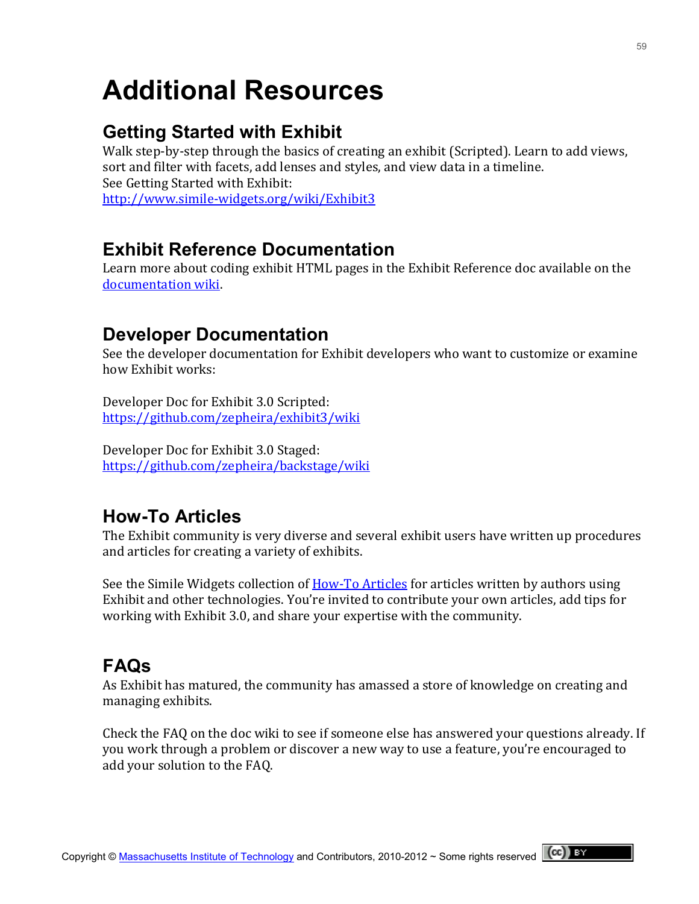# **Additional Resources**

## **Getting Started with Exhibit**

Walk step-by-step through the basics of creating an exhibit (Scripted). Learn to add views, sort and filter with facets, add lenses and styles, and view data in a timeline. See Getting Started with Exhibit: [http://www.simile=widgets.org/wiki/Exhibit3](http://www.simile-widgets.org/wiki/Exhibit3)

## **Exhibit Reference Documentation**

Learn more about coding exhibit HTML pages in the Exhibit Reference doc available on the documentation wiki.

## **Developer Documentation**

See the developer documentation for Exhibit developers who want to customize or examine how Exhibit works:

Developer Doc for Exhibit 3.0 Scripted: <https://github.com/zepheira/exhibit3/wiki>

Developer Doc for Exhibit 3.0 Staged: <https://github.com/zepheira/backstage/wiki>

## **How-To Articles**

The Exhibit community is very diverse and several exhibit users have written up procedures and articles for creating a variety of exhibits.

See the Simile Widgets collection of **How-To Articles** for articles written by authors using Exhibit and other technologies. You're invited to contribute your own articles, add tips for working with Exhibit 3.0, and share your expertise with the community.

## **FAQs**

As Exhibit has matured, the community has amassed a store of knowledge on creating and managing exhibits.

Check the FAQ on the doc wiki to see if someone else has answered your questions already. If you work through a problem or discover a new way to use a feature, you're encouraged to add your solution to the FAQ.

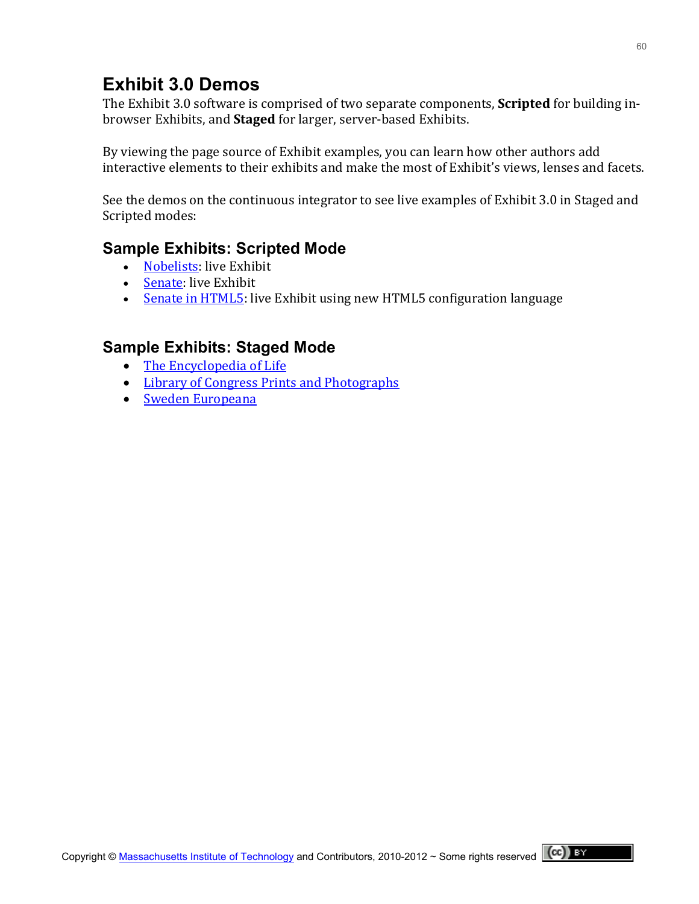## **Exhibit 3.0 Demos**

The Exhibit 3.0 software is comprised of two separate components, **Scripted** for building inbrowser Exhibits, and **Staged** for larger, server-based Exhibits.

By viewing the page source of Exhibit examples, you can learn how other authors add interactive elements to their exhibits and make the most of Exhibit's views, lenses and facets.

See the demos on the continuous integrator to see live examples of Exhibit 3.0 in Staged and Scripted modes:

## **Sample Exhibits: Scripted Mode**

- [Nobelists:](http://databench.zepheira.com/demos/nobelists/nobelists.html) live Exhibit
- [Senate:](http://databench.zepheira.com/demos/senate/senate.html) live Exhibit
- Senate in HTML5: live Exhibit using new HTML5 configuration language

## **Sample Exhibits: Staged Mode**

- $\bullet$  The Encyclopedia of Life
- Library of Congress Prints and Photographs
- Sweden Europeana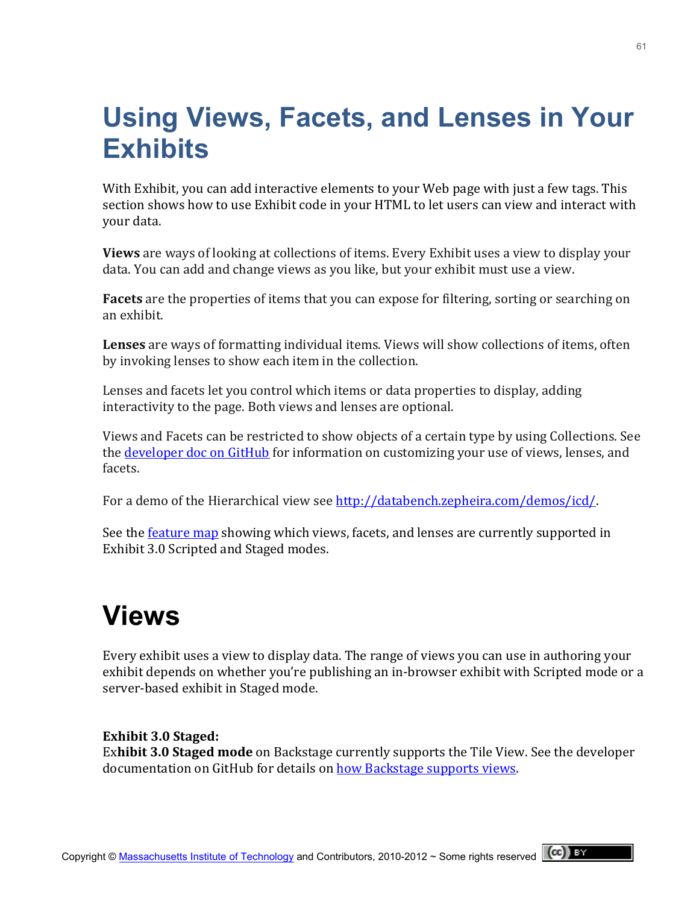# **Using Views, Facets, and Lenses in Your Exhibits**

With Exhibit, you can add interactive elements to your Web page with just a few tags. This section shows how to use Exhibit code in your HTML to let users can view and interact with vour data.

**Views** are ways of looking at collections of items. Every Exhibit uses a view to display your data. You can add and change views as you like, but your exhibit must use a view.

**Facets** are the properties of items that you can expose for filtering, sorting or searching on an!exhibit.

Lenses are ways of formatting individual items. Views will show collections of items, often by invoking lenses to show each item in the collection.

Lenses and facets let you control which items or data properties to display, adding interactivity to the page. Both views and lenses are optional.

Views and Facets can be restricted to show objects of a certain type by using Collections. See the developer doc on GitHub for information on customizing your use of views, lenses, and facets.

For a demo of the Hierarchical view see [http://databench.zepheira.com/demos/icd/.](http://databench.zepheira.com/demos/icd/)

See the <u>feature map</u> showing which views, facets, and lenses are currently supported in Exhibit 3.0 Scripted and Staged modes.

# **Views**

Every exhibit uses a view to display data. The range of views you can use in authoring your exhibit depends on whether you're publishing an in-browser exhibit with Scripted mode or a server-based exhibit in Staged mode.

#### **Exhibit 3.0 Staged:**

**Exhibit 3.0 Staged mode** on Backstage currently supports the Tile View. See the developer documentation on GitHub for details on how Backstage supports views.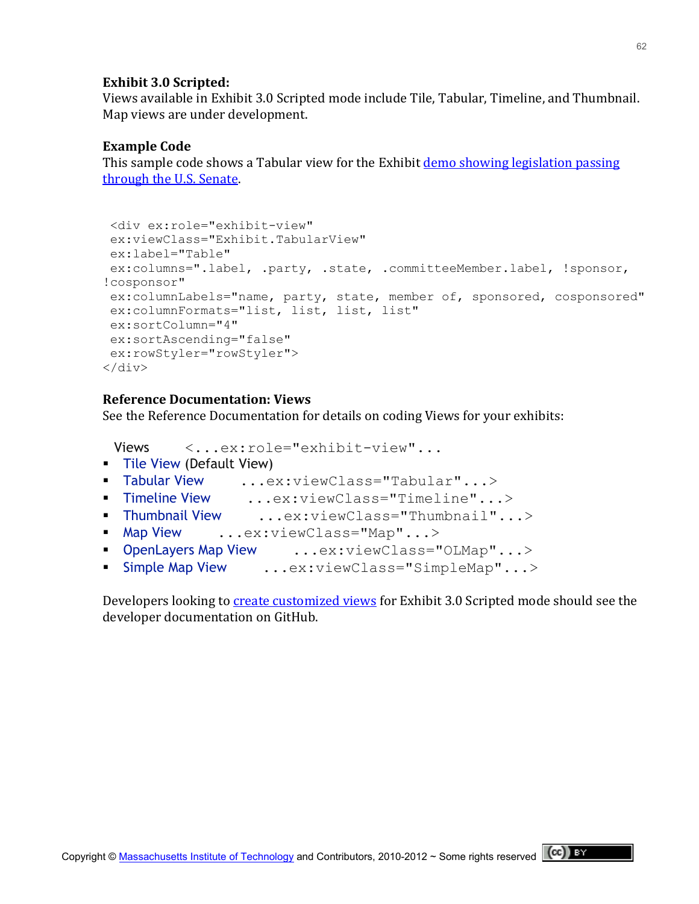#### **Exhibit 3.0 Scripted:**

Views available in Exhibit 3.0 Scripted mode include Tile, Tabular, Timeline, and Thumbnail. Map views are under development.

#### **Example Code**

This sample code shows a Tabular view for the Exhibit demo showing legislation passing through the U.S. Senate.

```
<div ex:role="exhibit-view"
ex:viewClass="Exhibit.TabularView" 
ex:label="Table" 
ex:columns=".label, .party, .state, .committeeMember.label, !sponsor, 
!cosponsor" 
ex:columnLabels="name, party, state, member of, sponsored, cosponsored"
ex:columnFormats="list, list, list, list" 
ex:sortColumn="4" 
ex:sortAscending="false" 
ex:rowStyler="rowStyler">
\langle div\rangle
```
#### **Reference!Documentation:!Views**

See the Reference Documentation for details on coding Views for your exhibits:

```
Views <...ex:role="exhibit-view"...
Tile View (Default View)
 Tabular View ...ex:viewClass="Tabular"...>
 Timeline View ...ex:viewClass="Timeline"...>
 Thumbnail View ...ex:viewClass="Thumbnail"...>
Map View ...ex:viewClass="Map"...>
 OpenLayers Map View ...ex:viewClass="OLMap"...>
Simple Map View ...ex:viewClass="SimpleMap"...>
```
Developers looking to **create customized views** for Exhibit 3.0 Scripted mode should see the developer documentation on GitHub.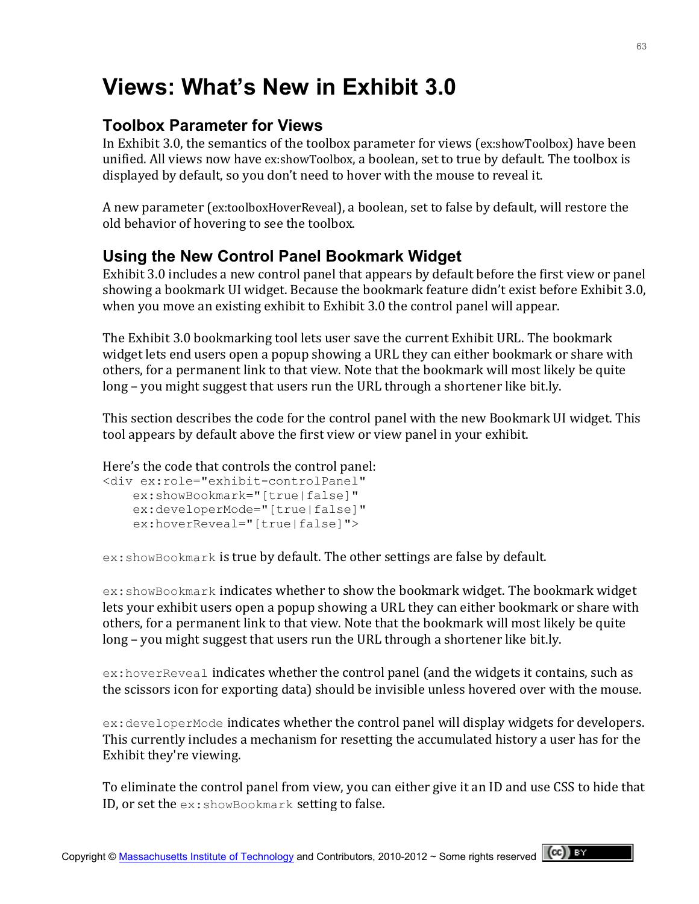# **Views: What's New in Exhibit 3.0**

## **Toolbox Parameter for Views**

In Exhibit 3.0, the semantics of the toolbox parameter for views (ex:showToolbox) have been unified. All views now have ex:showToolbox, a boolean, set to true by default. The toolbox is displayed by default, so you don't need to hover with the mouse to reveal it.

A new parameter (ex:toolboxHoverReveal), a boolean, set to false by default, will restore the old behavior of hovering to see the toolbox.

## **Using the New Control Panel Bookmark Widget**

Exhibit 3.0 includes a new control panel that appears by default before the first view or panel showing a bookmark UI widget. Because the bookmark feature didn't exist before Exhibit 3.0, when you move an existing exhibit to Exhibit 3.0 the control panel will appear.

The Exhibit 3.0 bookmarking tool lets user save the current Exhibit URL. The bookmark widget lets end users open a popup showing a URL they can either bookmark or share with others, for a permanent link to that view. Note that the bookmark will most likely be quite long – you might suggest that users run the URL through a shortener like bit.ly.

This section describes the code for the control panel with the new Bookmark UI widget. This tool appears by default above the first view or view panel in your exhibit.

Here's the code that controls the control panel:

```
<div ex:role="exhibit-controlPanel"
   ex:showBookmark="[true|false]"
   ex:developerMode="[true|false]"
    ex:hoverReveal="[true|false]">
```
 $ex:$  showBookmark is true by default. The other settings are false by default.

 $ex:$  showBookmark indicates whether to show the bookmark widget. The bookmark widget lets your exhibit users open a popup showing a URL they can either bookmark or share with others, for a permanent link to that view. Note that the bookmark will most likely be quite long – you might suggest that users run the URL through a shortener like bit.ly.

 $ex:$  hover Reveal indicates whether the control panel (and the widgets it contains, such as the scissors icon for exporting data) should be invisible unless hovered over with the mouse.

 $ex:$  developer Mode indicates whether the control panel will display widgets for developers. This currently includes a mechanism for resetting the accumulated history a user has for the Exhibit they're viewing.

To eliminate the control panel from view, you can either give it an ID and use CSS to hide that ID, or set the  $ex:$ showBookmark setting to false.

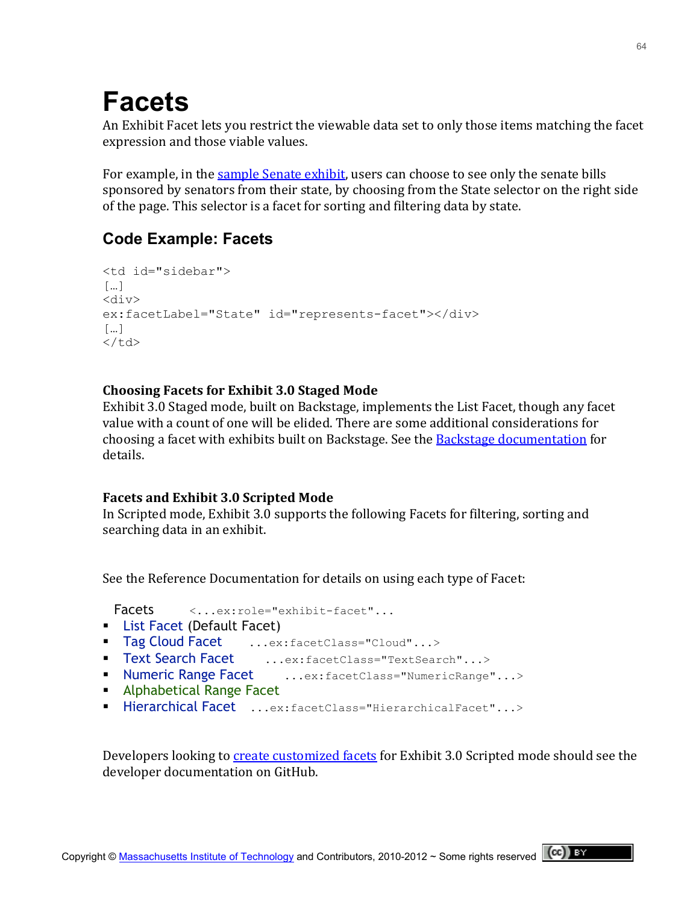# **Facets**

An Exhibit Facet lets you restrict the viewable data set to only those items matching the facet expression and those viable values.

For example, in the sample Senate exhibit, users can choose to see only the senate bills sponsored by senators from their state, by choosing from the State selector on the right side of the page. This selector is a facet for sorting and filtering data by state.

## **Code Example: Facets**

```
<td id="sidebar"> 
[...]<div>
ex:facetLabel="State" id="represents-facet"></div>
\lceil ... \rceil\langle/td>
```
### **Choosing Facets for Exhibit 3.0 Staged Mode**

Exhibit 3.0 Staged mode, built on Backstage, implements the List Facet, though any facet value with a count of one will be elided. There are some additional considerations for choosing a facet with exhibits built on Backstage. See the Backstage documentation for details.

### **Facets and Exhibit 3.0 Scripted Mode**

In Scripted mode, Exhibit 3.0 supports the following Facets for filtering, sorting and searching data in an exhibit.

See the Reference Documentation for details on using each type of Facet:

Facets  $\langle \ldots \rangle$  ...ex:role="exhibit-facet"...

- **[List Facet](http://simile-widgets.org/wiki/Exhibit/List_Facet) (Default Facet)**
- [Tag Cloud Facet](http://simile-widgets.org/wiki/Exhibit/Tag_Cloud_Facet) ...ex: facetClass="Cloud"...>
- [Text Search Facet](http://simile-widgets.org/wiki/Exhibit/Text_Search_Facet) ...ex:facetClass="TextSearch"...>
- [Numeric Range Facet](http://simile-widgets.org/wiki/Exhibit/Numeric_Range_Facet) ...ex:facetClass="NumericRange"...>
- **[Alphabetical Range Facet](http://simile-widgets.org/w/index.php?title=Exhibit/Alphabetical_Range_Facet&action=edit&redlink=1)**
- [Hierarchical Facet](http://simile-widgets.org/wiki/Exhibit/Hierarchical_Facet) ...ex:facetClass="HierarchicalFacet"...>

Developers looking to create customized facets for Exhibit 3.0 Scripted mode should see the developer documentation on GitHub.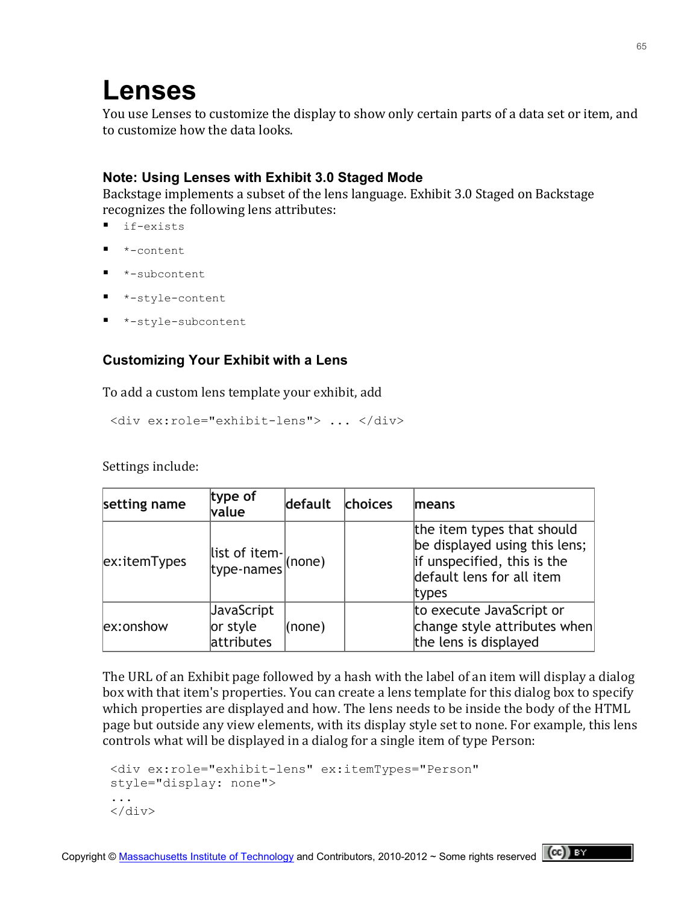# **Lenses**

You use Lenses to customize the display to show only certain parts of a data set or item, and to customize how the data looks.

### **Note: Using Lenses with Exhibit 3.0 Staged Mode**

Backstage implements a subset of the lens language. Exhibit 3.0 Staged on Backstage recognizes the following lens attributes:

- **I** if-exists
- \*-content
- \*-subcontent
- \*-style-content
- \*-style-subcontent

## **Customizing Your Exhibit with a Lens**

To add a custom lens template your exhibit, add

```
<div ex:role="exhibit-lens"> ... </div>
```
Settings include:

| setting name | type of<br>value                     | default    | choices | means                                                                                                                            |
|--------------|--------------------------------------|------------|---------|----------------------------------------------------------------------------------------------------------------------------------|
| ex:itemTypes | $\frac{1}{\text{type-names}}$ (none) |            |         | the item types that should<br>be displayed using this lens;<br>if unspecified, this is the<br>default lens for all item<br>types |
| ex:onshow    | JavaScript<br>or style<br>attributes | $ $ (none) |         | to execute JavaScript or<br>change style attributes when<br>the lens is displayed                                                |

The URL of an Exhibit page followed by a hash with the label of an item will display a dialog box with that item's properties. You can create a lens template for this dialog box to specify which properties are displayed and how. The lens needs to be inside the body of the HTML page but outside any view elements, with its display style set to none. For example, this lens controls what will be displayed in a dialog for a single item of type Person:

```
<div ex:role="exhibit-lens" ex:itemTypes="Person"
style="display: none">
...
</div>
```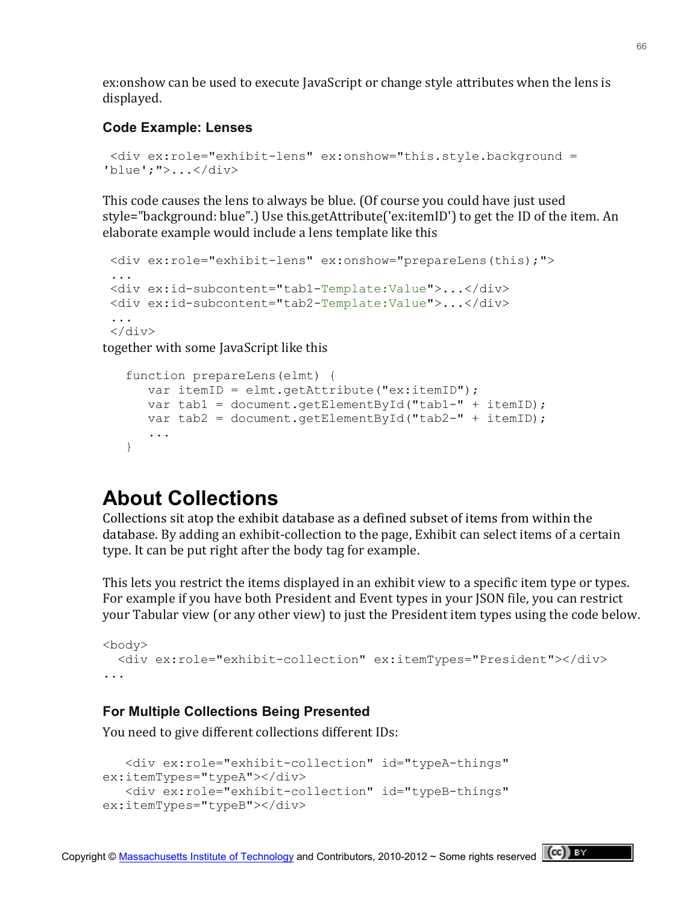ex:onshow can be used to execute JavaScript or change style attributes when the lens is displayed.

#### **Code Example: Lenses**

```
<div ex:role="exhibit-lens" ex:onshow="this.style.background = 
'blue';">...</div>
```
This code causes the lens to always be blue. (Of course you could have just used style="background: blue".) Use this.getAttribute('ex:itemID') to get the ID of the item. An elaborate example would include a lens template like this

```
<div ex:role="exhibit-lens" ex:onshow="prepareLens(this);">
...
<div ex:id-subcontent="tab1-Template:Value">...</div>
<div ex:id-subcontent="tab2-Template:Value">...</div>
...
\langle div>
```
together with some JavaScript like this

```
 function prepareLens(elmt) {
  var itemID = elmt.getAttribute("ex:itemID");
   var tab1 = document.getElementById("tab1-" + itemID);
   var tab2 = document.getElementById("tab2-" + itemID);
    ...
 }
```
## **About Collections**

Collections sit atop the exhibit database as a defined subset of items from within the database. By adding an exhibit-collection to the page, Exhibit can select items of a certain type. It can be put right after the body tag for example.

This lets you restrict the items displayed in an exhibit view to a specific item type or types. For example if you have both President and Event types in your JSON file, you can restrict your Tabular view (or any other view) to just the President item types using the code below.

```
<body>
  <div ex:role="exhibit-collection" ex:itemTypes="President"></div>
...
```
#### **For Multiple Collections Being Presented**

You need to give different collections different IDs:

```
 <div ex:role="exhibit-collection" id="typeA-things" 
ex:itemTypes="typeA"></div>
    <div ex:role="exhibit-collection" id="typeB-things" 
ex:itemTypes="typeB"></div>
```